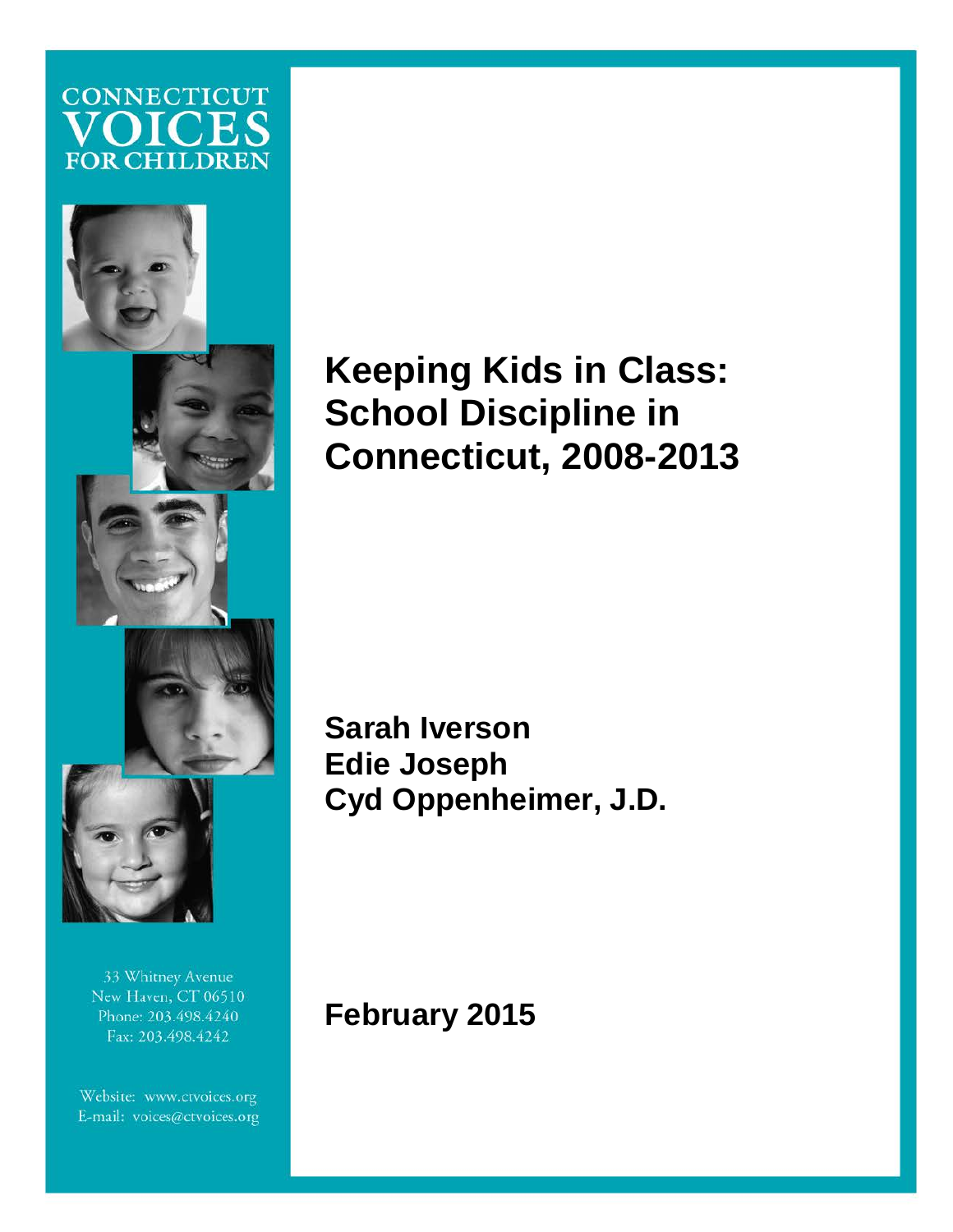## **CONNECTICUT**  $\left( \right)$ **FOR CHILDREN**



33 Whitney Avenue New Haven, CT 06510 Phone: 203.498.4240 Fax: 203.498.4242

Website: www.ctvoices.org E-mail: voices@ctvoices.org

Connecticut Voices for Children

# **Keeping Kids in Class: School Discipline in Connecticut, 2008-2013**

**Sarah Iverson Edie Joseph Cyd Oppenheimer, J.D.** 

change the formatting of the pull quote the pull quote the pull quote the pull quote the pull quote the pull quote the pull quote the pull quote the pull quote the pull quote the pull quote the pull quote the pull quote th **February 2015**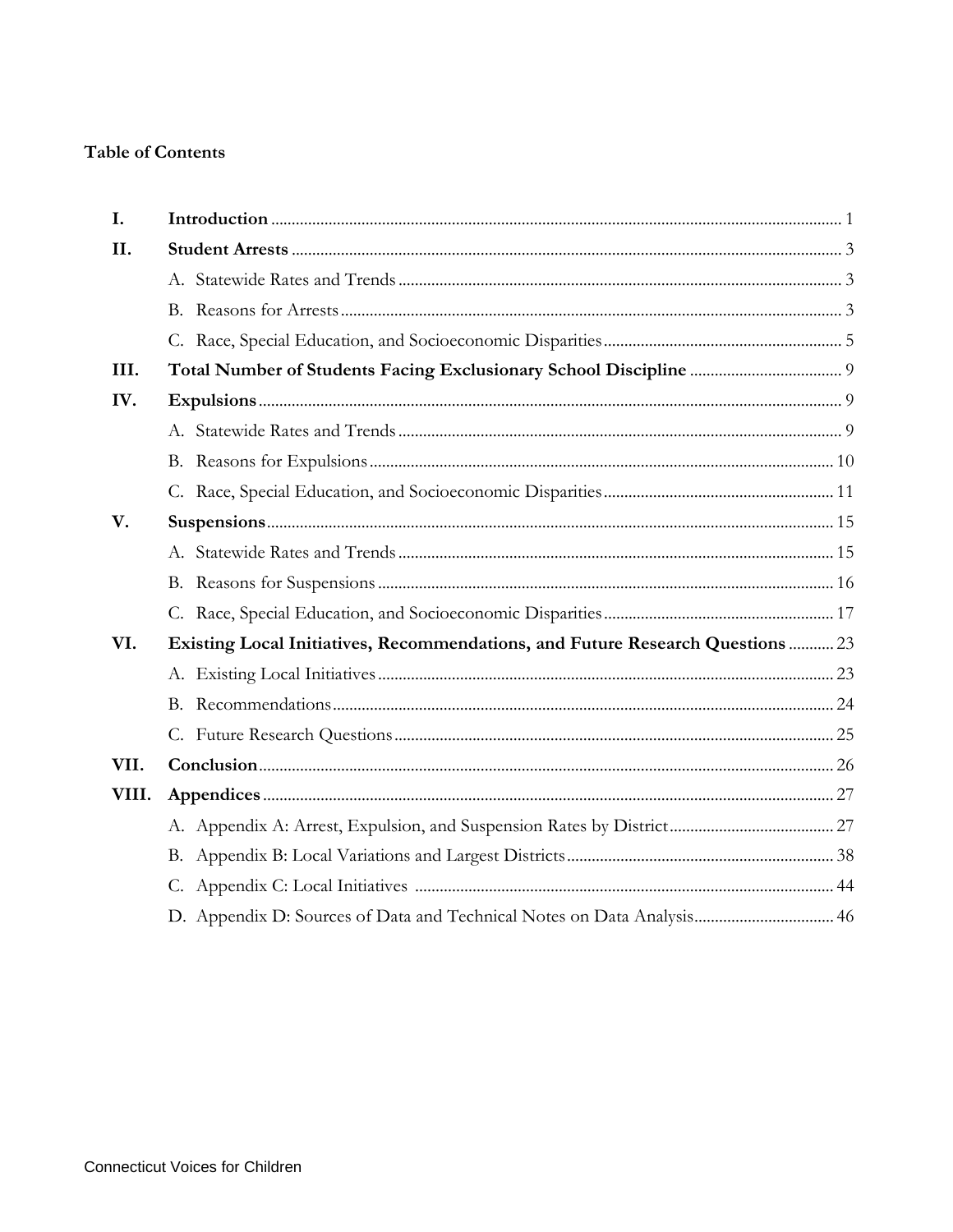## **Table of Contents**

| I.    |                                                                                |  |
|-------|--------------------------------------------------------------------------------|--|
| II.   |                                                                                |  |
|       |                                                                                |  |
|       |                                                                                |  |
|       |                                                                                |  |
| III.  |                                                                                |  |
| IV.   |                                                                                |  |
|       |                                                                                |  |
|       |                                                                                |  |
|       |                                                                                |  |
| V.    |                                                                                |  |
|       |                                                                                |  |
|       |                                                                                |  |
|       |                                                                                |  |
| VI.   | Existing Local Initiatives, Recommendations, and Future Research Questions  23 |  |
|       |                                                                                |  |
|       | B.                                                                             |  |
|       |                                                                                |  |
| VII.  |                                                                                |  |
| VIII. |                                                                                |  |
|       |                                                                                |  |
|       |                                                                                |  |
|       |                                                                                |  |
|       | D. Appendix D: Sources of Data and Technical Notes on Data Analysis 46         |  |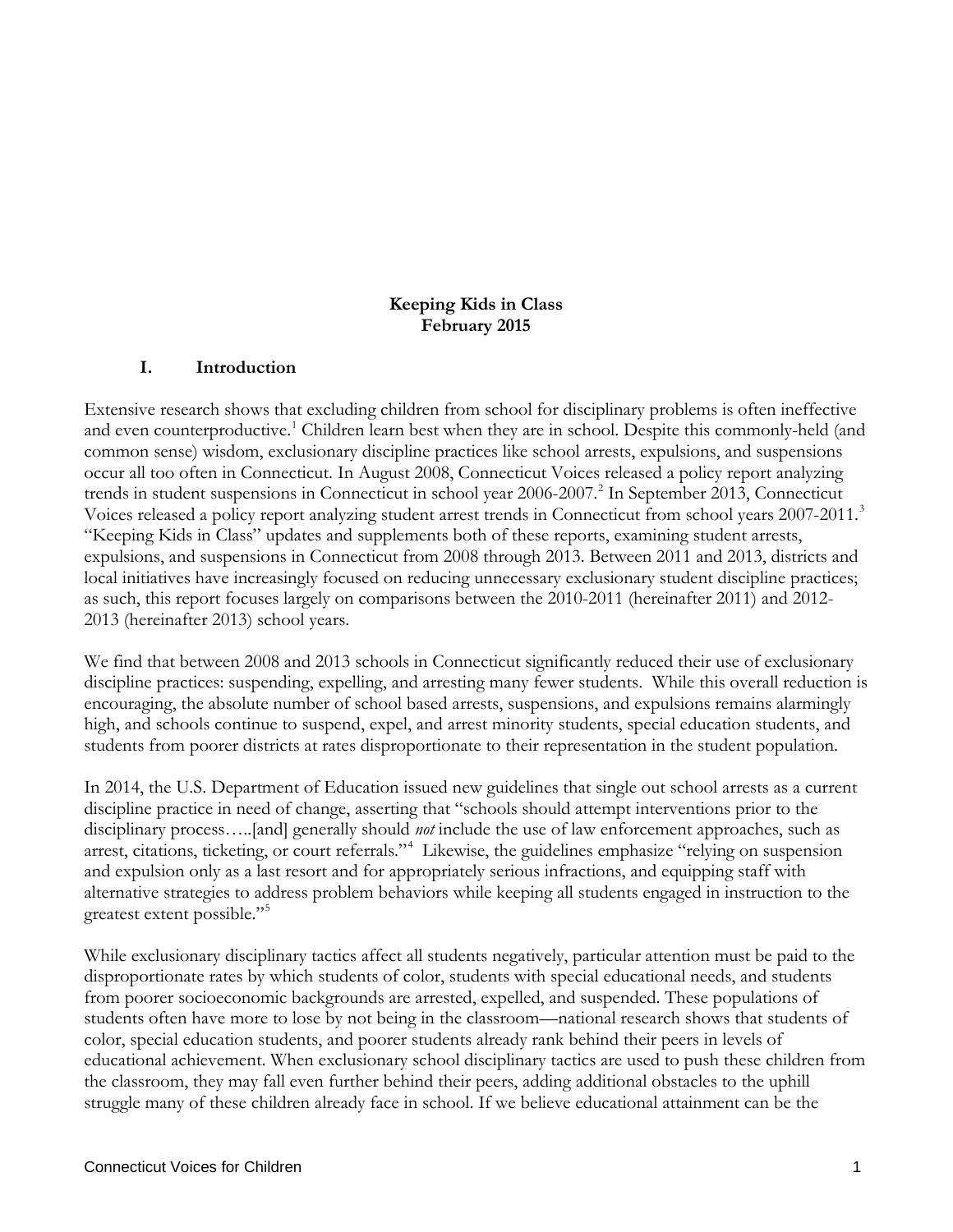#### **Keeping Kids in Class February 2015**

#### **I. Introduction**

Extensive research shows that excluding children from school for disciplinary problems is often ineffective and even counterproductive.<sup>[1](#page-50-0)</sup> Children learn best when they are in school. Despite this commonly-held (and common sense) wisdom, exclusionary discipline practices like school arrests, expulsions, and suspensions occur all too often in Connecticut. In August 2008, Connecticut Voices released a policy report analyzing trends in student suspensions in Connecticut in school year [2](#page-50-1)006-2007.<sup>2</sup> In September 2013, Connecticut Voices released a policy report analyzing student arrest trends in Connecticut from school years 2007-2011. [3](#page-50-2) "Keeping Kids in Class" updates and supplements both of these reports, examining student arrests, expulsions, and suspensions in Connecticut from 2008 through 2013. Between 2011 and 2013, districts and local initiatives have increasingly focused on reducing unnecessary exclusionary student discipline practices; as such, this report focuses largely on comparisons between the 2010-2011 (hereinafter 2011) and 2012- 2013 (hereinafter 2013) school years.

We find that between 2008 and 2013 schools in Connecticut significantly reduced their use of exclusionary discipline practices: suspending, expelling, and arresting many fewer students. While this overall reduction is encouraging, the absolute number of school based arrests, suspensions, and expulsions remains alarmingly high, and schools continue to suspend, expel, and arrest minority students, special education students, and students from poorer districts at rates disproportionate to their representation in the student population.

In 2014, the U.S. Department of Education issued new guidelines that single out school arrests as a current discipline practice in need of change, asserting that "schools should attempt interventions prior to the disciplinary process…..[and] generally should *not* include the use of law enforcement approaches, such as arrest, citations, ticketing, or court referrals."[4](#page-50-3) Likewise, the guidelines emphasize "relying on suspension and expulsion only as a last resort and for appropriately serious infractions, and equipping staff with alternative strategies to address problem behaviors while keeping all students engaged in instruction to the greatest extent possible."

While exclusionary disciplinary tactics affect all students negatively, particular attention must be paid to the disproportionate rates by which students of color, students with special educational needs, and students from poorer socioeconomic backgrounds are arrested, expelled, and suspended. These populations of students often have more to lose by not being in the classroom—national research shows that students of color, special education students, and poorer students already rank behind their peers in levels of educational achievement. When exclusionary school disciplinary tactics are used to push these children from the classroom, they may fall even further behind their peers, adding additional obstacles to the uphill struggle many of these children already face in school. If we believe educational attainment can be the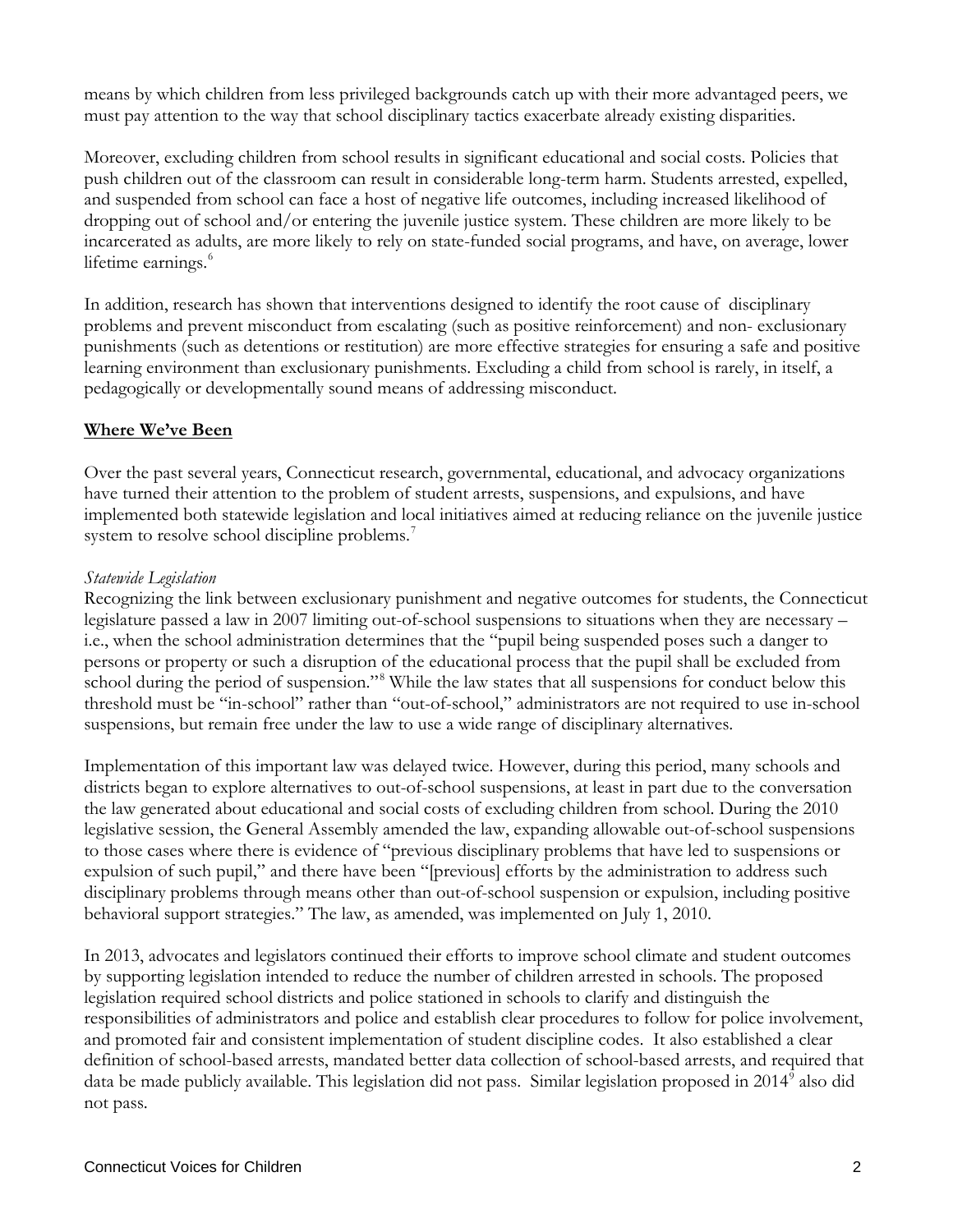means by which children from less privileged backgrounds catch up with their more advantaged peers, we must pay attention to the way that school disciplinary tactics exacerbate already existing disparities.

Moreover, excluding children from school results in significant educational and social costs. Policies that push children out of the classroom can result in considerable long-term harm. Students arrested, expelled, and suspended from school can face a host of negative life outcomes, including increased likelihood of dropping out of school and/or entering the juvenile justice system. These children are more likely to be incarcerated as adults, are more likely to rely on state-funded social programs, and have, on average, lower lifetime earnings.<sup>[6](#page-51-0)</sup>

In addition, research has shown that interventions designed to identify the root cause of disciplinary problems and prevent misconduct from escalating (such as positive reinforcement) and non- exclusionary punishments (such as detentions or restitution) are more effective strategies for ensuring a safe and positive learning environment than exclusionary punishments. Excluding a child from school is rarely, in itself, a pedagogically or developmentally sound means of addressing misconduct.

#### **Where We've Been**

Over the past several years, Connecticut research, governmental, educational, and advocacy organizations have turned their attention to the problem of student arrests, suspensions, and expulsions, and have implemented both statewide legislation and local initiatives aimed at reducing reliance on the juvenile justice system to resolve school discipline problems.<sup>[7](#page-51-1)</sup>

#### *Statewide Legislation*

Recognizing the link between exclusionary punishment and negative outcomes for students, the Connecticut legislature passed a law in 2007 limiting out-of-school suspensions to situations when they are necessary – i.e., when the school administration determines that the "pupil being suspended poses such a danger to persons or property or such a disruption of the educational process that the pupil shall be excluded from school during the period of suspension."<sup>[8](#page-51-2)</sup> While the law states that all suspensions for conduct below this threshold must be "in-school" rather than "out-of-school," administrators are not required to use in-school suspensions, but remain free under the law to use a wide range of disciplinary alternatives.

Implementation of this important law was delayed twice. However, during this period, many schools and districts began to explore alternatives to out-of-school suspensions, at least in part due to the conversation the law generated about educational and social costs of excluding children from school. During the 2010 legislative session, the General Assembly amended the law, expanding allowable out-of-school suspensions to those cases where there is evidence of "previous disciplinary problems that have led to suspensions or expulsion of such pupil," and there have been "[previous] efforts by the administration to address such disciplinary problems through means other than out-of-school suspension or expulsion, including positive behavioral support strategies." The law, as amended, was implemented on July 1, 2010.

In 2013, advocates and legislators continued their efforts to improve school climate and student outcomes by supporting legislation intended to reduce the number of children arrested in schools. The proposed legislation required school districts and police stationed in schools to clarify and distinguish the responsibilities of administrators and police and establish clear procedures to follow for police involvement, and promoted fair and consistent implementation of student discipline codes. It also established a clear definition of school-based arrests, mandated better data collection of school-based arrests, and required that data be made publicly available. This legislation did not pass. Similar legislation proposed in 2014<sup>[9](#page-51-3)</sup> also did not pass.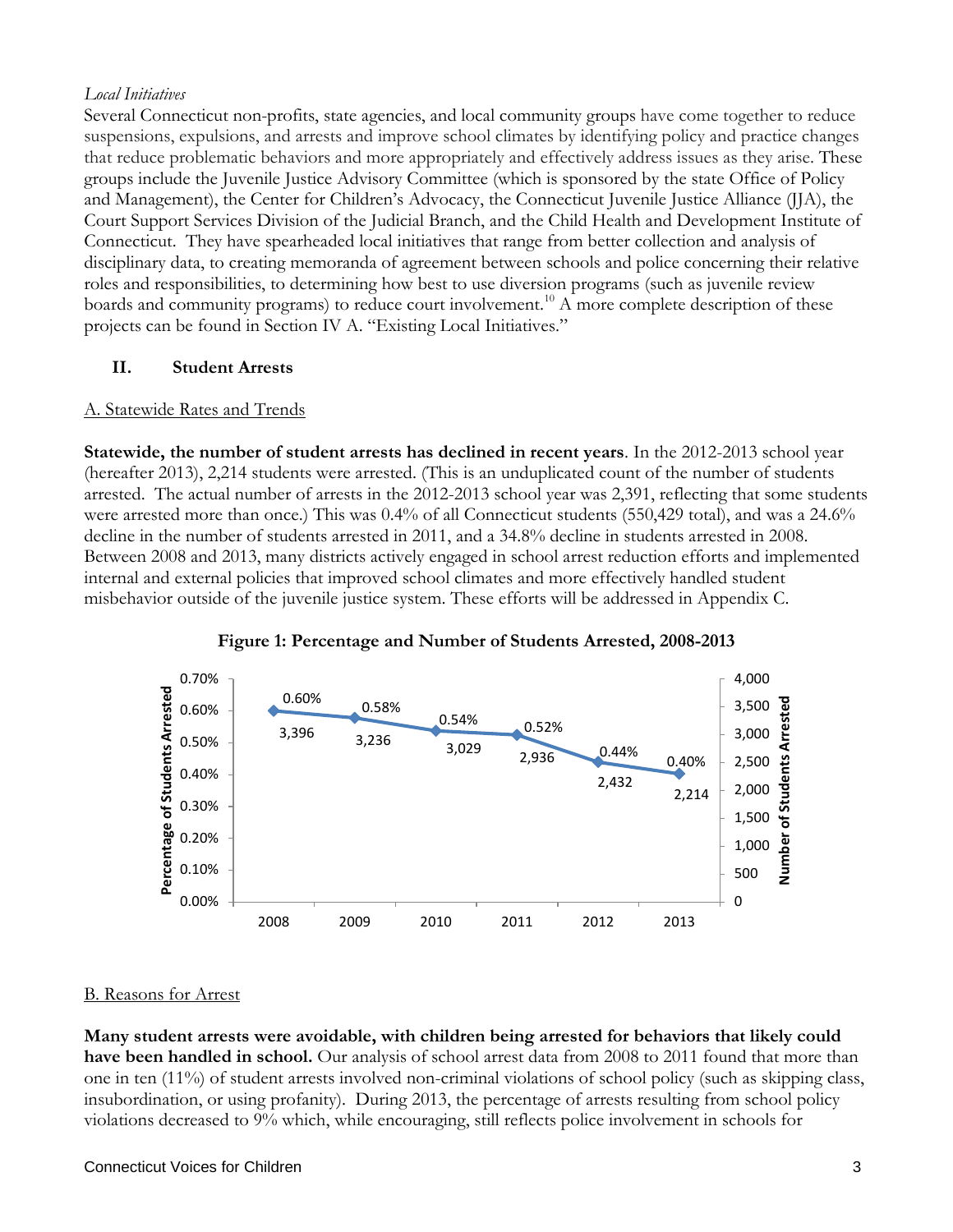#### *Local Initiatives*

Several Connecticut non-profits, state agencies, and local community groups have come together to reduce suspensions, expulsions, and arrests and improve school climates by identifying policy and practice changes that reduce problematic behaviors and more appropriately and effectively address issues as they arise. These groups include the Juvenile Justice Advisory Committee (which is sponsored by the state Office of Policy and Management), the Center for Children's Advocacy, the Connecticut Juvenile Justice Alliance (JJA), the Court Support Services Division of the Judicial Branch, and the Child Health and Development Institute of Connecticut. They have spearheaded local initiatives that range from better collection and analysis of disciplinary data, to creating memoranda of agreement between schools and police concerning their relative roles and responsibilities, to determining how best to use diversion programs (such as juvenile review boards and community programs) to reduce court involvement.<sup>[10](#page-51-4)</sup> A more complete description of these projects can be found in Section IV A. "Existing Local Initiatives."

#### **II. Student Arrests**

#### A. Statewide Rates and Trends

**Statewide, the number of student arrests has declined in recent years**. In the 2012-2013 school year (hereafter 2013), 2,214 students were arrested. (This is an unduplicated count of the number of students arrested. The actual number of arrests in the 2012-2013 school year was 2,391, reflecting that some students were arrested more than once.) This was 0.4% of all Connecticut students (550,429 total), and was a 24.6% decline in the number of students arrested in 2011, and a 34.8% decline in students arrested in 2008. Between 2008 and 2013, many districts actively engaged in school arrest reduction efforts and implemented internal and external policies that improved school climates and more effectively handled student misbehavior outside of the juvenile justice system. These efforts will be addressed in Appendix C.





#### B. Reasons for Arrest

**Many student arrests were avoidable, with children being arrested for behaviors that likely could have been handled in school.** Our analysis of school arrest data from 2008 to 2011 found that more than one in ten (11%) of student arrests involved non-criminal violations of school policy (such as skipping class, insubordination, or using profanity). During 2013, the percentage of arrests resulting from school policy violations decreased to 9% which, while encouraging, still reflects police involvement in schools for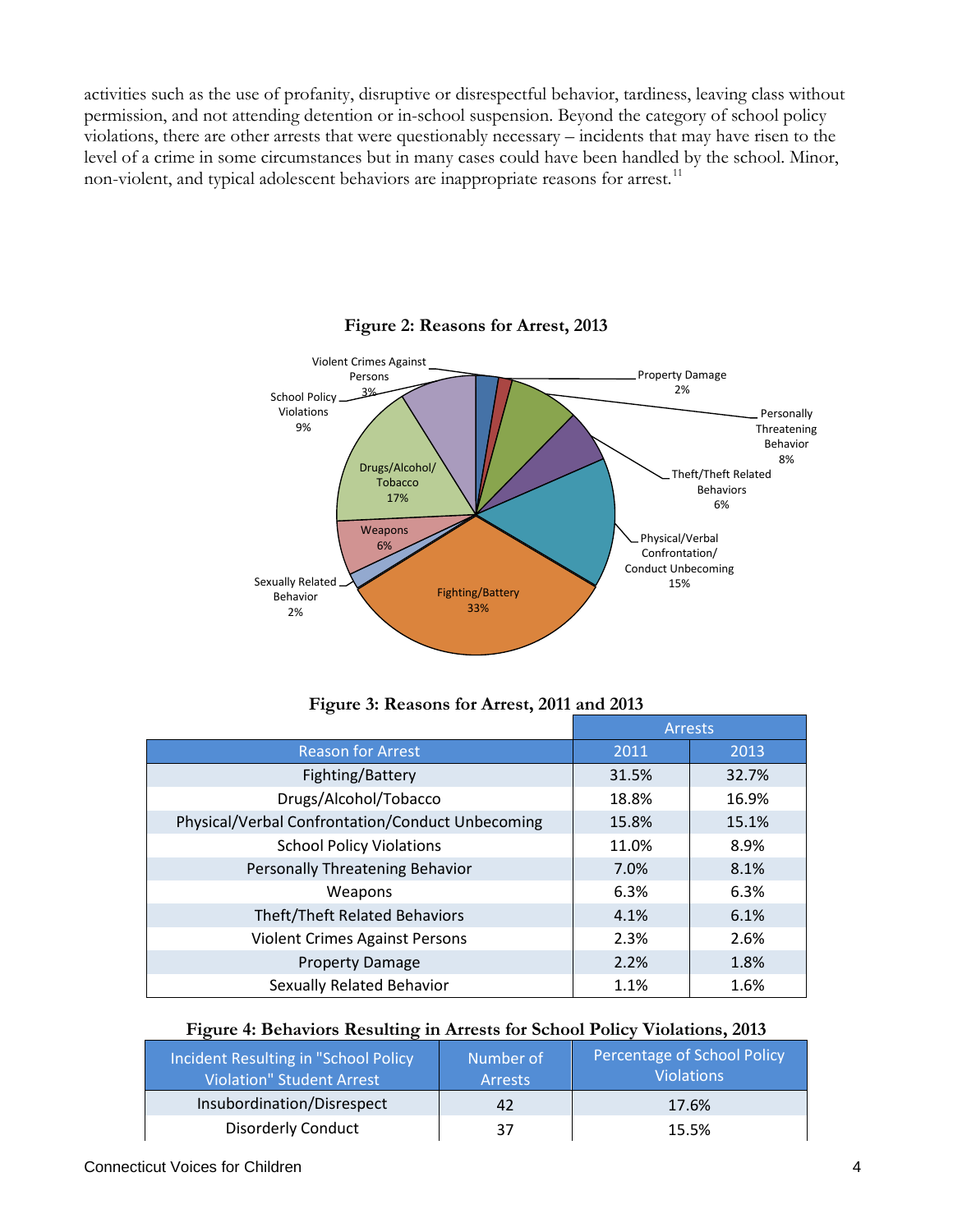activities such as the use of profanity, disruptive or disrespectful behavior, tardiness, leaving class without permission, and not attending detention or in-school suspension. Beyond the category of school policy violations, there are other arrests that were questionably necessary – incidents that may have risen to the level of a crime in some circumstances but in many cases could have been handled by the school. Minor, non-violent, and typical adolescent behaviors are inappropriate reasons for arrest.<sup>[11](#page-51-5)</sup>



#### **Figure 2: Reasons for Arrest, 2013**

|  |  |  |  |  | Figure 3: Reasons for Arrest, 2011 and 2013 |
|--|--|--|--|--|---------------------------------------------|
|--|--|--|--|--|---------------------------------------------|

|                                                  | <b>Arrests</b> |       |
|--------------------------------------------------|----------------|-------|
| <b>Reason for Arrest</b>                         | 2011           | 2013  |
| Fighting/Battery                                 | 31.5%          | 32.7% |
| Drugs/Alcohol/Tobacco                            | 18.8%          | 16.9% |
| Physical/Verbal Confrontation/Conduct Unbecoming | 15.8%          | 15.1% |
| <b>School Policy Violations</b>                  | 11.0%          | 8.9%  |
| Personally Threatening Behavior                  | 7.0%           | 8.1%  |
| Weapons                                          | 6.3%           | 6.3%  |
| Theft/Theft Related Behaviors                    | 4.1%           | 6.1%  |
| <b>Violent Crimes Against Persons</b>            | 2.3%           | 2.6%  |
| <b>Property Damage</b>                           | 2.2%           | 1.8%  |
| Sexually Related Behavior                        | 1.1%           | 1.6%  |

#### **Figure 4: Behaviors Resulting in Arrests for School Policy Violations, 2013**

| Incident Resulting in "School Policy<br>Violation" Student Arrest | Number of<br><b>Arrests</b> | Percentage of School Policy<br><b>Violations</b> |
|-------------------------------------------------------------------|-----------------------------|--------------------------------------------------|
| Insubordination/Disrespect                                        | 42                          | 17.6%                                            |
| <b>Disorderly Conduct</b>                                         | 37                          | 15.5%                                            |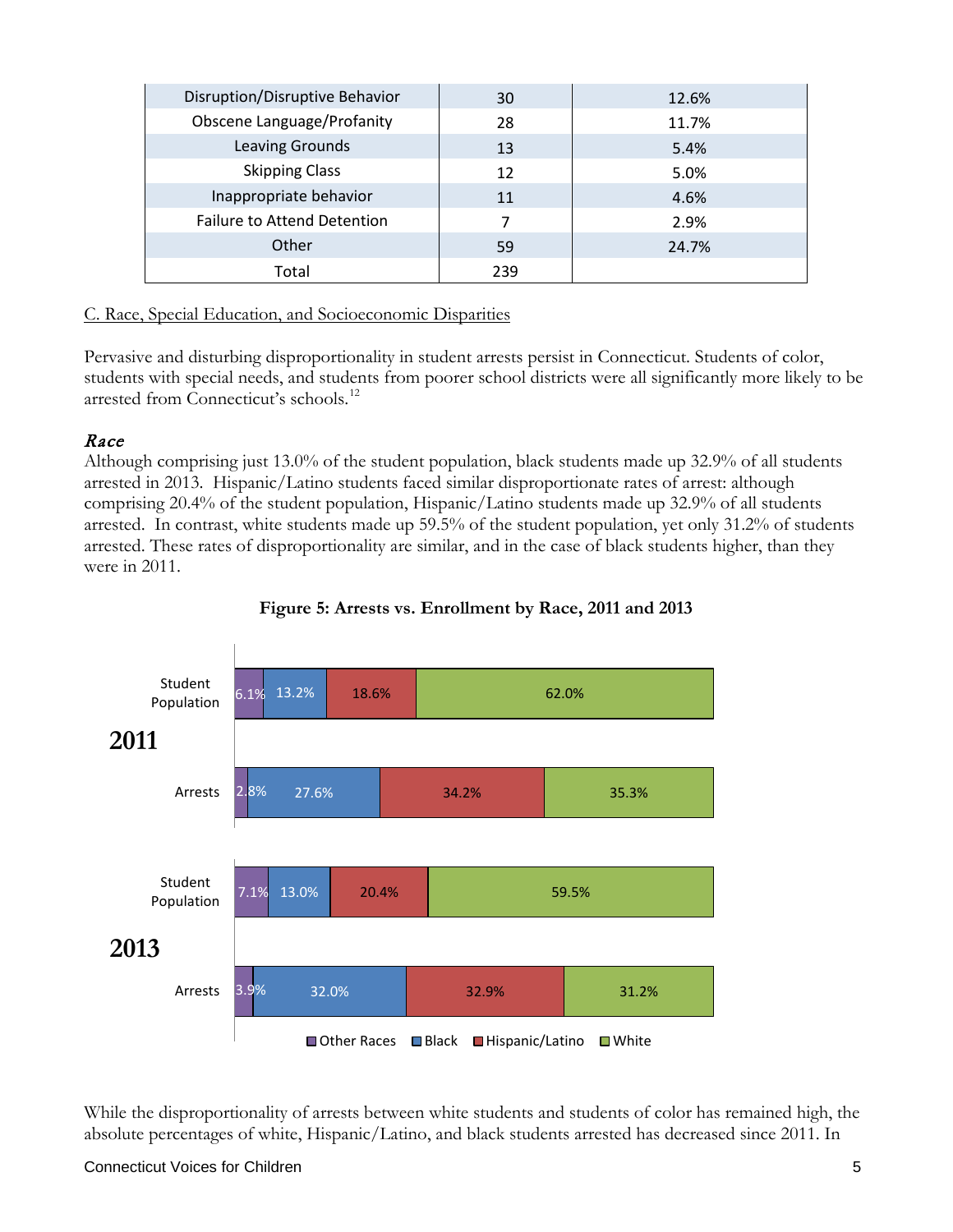| Disruption/Disruptive Behavior     | 30  | 12.6% |
|------------------------------------|-----|-------|
| <b>Obscene Language/Profanity</b>  | 28  | 11.7% |
| Leaving Grounds                    | 13  | 5.4%  |
| <b>Skipping Class</b>              | 12  | 5.0%  |
| Inappropriate behavior             | 11  | 4.6%  |
| <b>Failure to Attend Detention</b> | 7   | 2.9%  |
| Other                              | 59  | 24.7% |
| Total                              | 239 |       |

#### C. Race, Special Education, and Socioeconomic Disparities

Pervasive and disturbing disproportionality in student arrests persist in Connecticut. Students of color, students with special needs, and students from poorer school districts were all significantly more likely to be arrested from Connecticut's schools.<sup>[12](#page-51-6)</sup>

#### Race

Although comprising just 13.0% of the student population, black students made up 32.9% of all students arrested in 2013. Hispanic/Latino students faced similar disproportionate rates of arrest: although comprising 20.4% of the student population, Hispanic/Latino students made up 32.9% of all students arrested. In contrast, white students made up 59.5% of the student population, yet only 31.2% of students arrested. These rates of disproportionality are similar, and in the case of black students higher, than they were in 2011.





While the disproportionality of arrests between white students and students of color has remained high, the absolute percentages of white, Hispanic/Latino, and black students arrested has decreased since 2011. In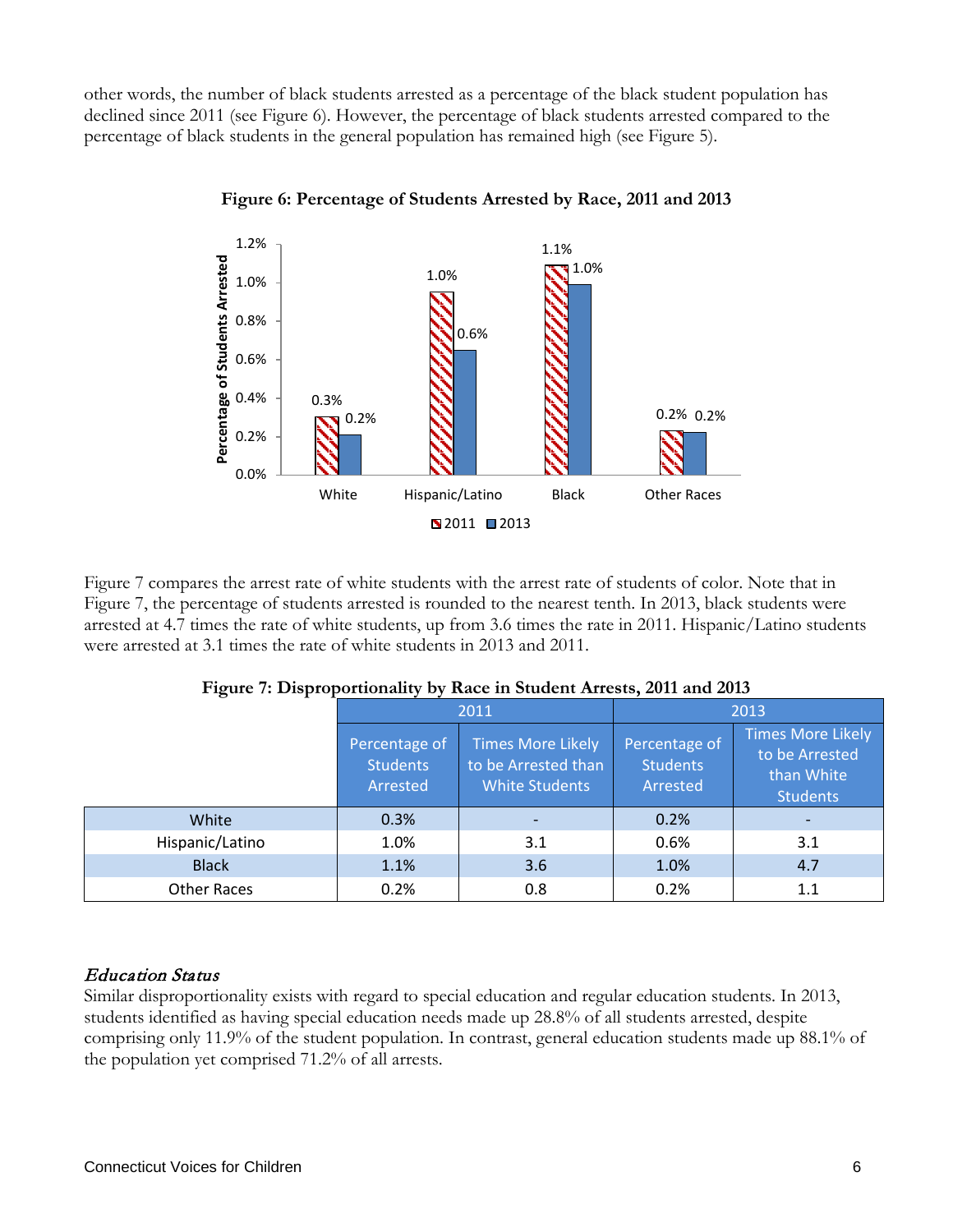other words, the number of black students arrested as a percentage of the black student population has declined since 2011 (see Figure 6). However, the percentage of black students arrested compared to the percentage of black students in the general population has remained high (see Figure 5).



**Figure 6: Percentage of Students Arrested by Race, 2011 and 2013**

Figure 7 compares the arrest rate of white students with the arrest rate of students of color. Note that in Figure 7, the percentage of students arrested is rounded to the nearest tenth. In 2013, black students were arrested at 4.7 times the rate of white students, up from 3.6 times the rate in 2011. Hispanic/Latino students were arrested at 3.1 times the rate of white students in 2013 and 2011.

|                    | 2011                                                                                                                     |     | 2013                                         |                                                                             |
|--------------------|--------------------------------------------------------------------------------------------------------------------------|-----|----------------------------------------------|-----------------------------------------------------------------------------|
|                    | <b>Times More Likely</b><br>Percentage of<br>to be Arrested than<br><b>Students</b><br><b>White Students</b><br>Arrested |     | Percentage of<br><b>Students</b><br>Arrested | <b>Times More Likely</b><br>to be Arrested<br>than White<br><b>Students</b> |
| White              | 0.3%                                                                                                                     |     | 0.2%                                         |                                                                             |
| Hispanic/Latino    | 1.0%                                                                                                                     | 3.1 | 0.6%                                         | 3.1                                                                         |
| <b>Black</b>       | 1.1%                                                                                                                     | 3.6 | 1.0%                                         | 4.7                                                                         |
| <b>Other Races</b> | 0.2%                                                                                                                     | 0.8 | 0.2%                                         | 1.1                                                                         |

**Figure 7: Disproportionality by Race in Student Arrests, 2011 and 2013**

#### Education Status

Similar disproportionality exists with regard to special education and regular education students. In 2013, students identified as having special education needs made up 28.8% of all students arrested, despite comprising only 11.9% of the student population. In contrast, general education students made up 88.1% of the population yet comprised 71.2% of all arrests.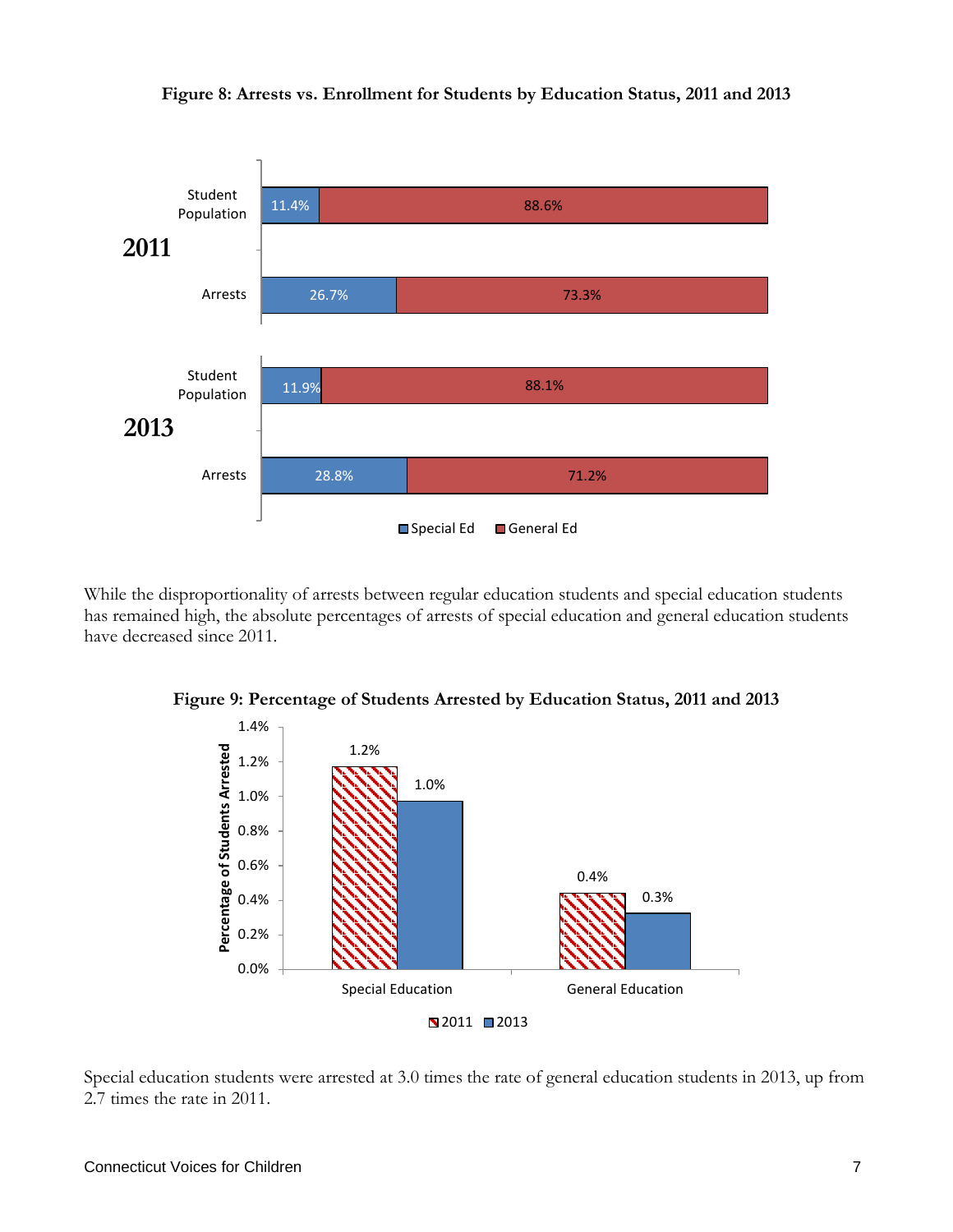

**Figure 8: Arrests vs. Enrollment for Students by Education Status, 2011 and 2013**

While the disproportionality of arrests between regular education students and special education students has remained high, the absolute percentages of arrests of special education and general education students have decreased since 2011.



**Figure 9: Percentage of Students Arrested by Education Status, 2011 and 2013**

Special education students were arrested at 3.0 times the rate of general education students in 2013, up from 2.7 times the rate in 2011.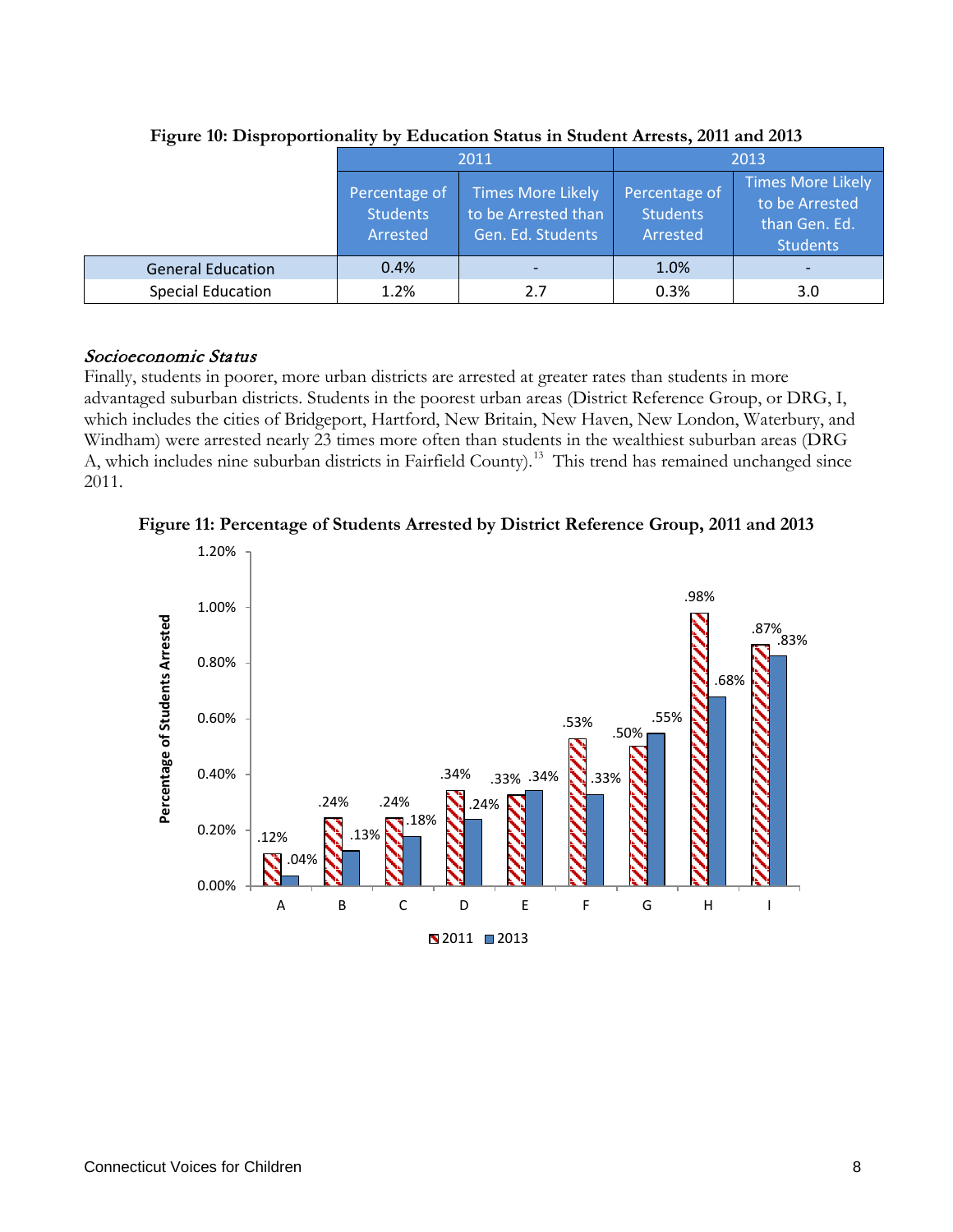|                          | 2011                                         |                                                               | 2013                                         |                                                                                |
|--------------------------|----------------------------------------------|---------------------------------------------------------------|----------------------------------------------|--------------------------------------------------------------------------------|
|                          | Percentage of<br><b>Students</b><br>Arrested | Times More Likely<br>to be Arrested than<br>Gen. Ed. Students | Percentage of<br><b>Students</b><br>Arrested | <b>Times More Likely</b><br>to be Arrested<br>than Gen. Ed.<br><b>Students</b> |
| <b>General Education</b> | 0.4%                                         |                                                               | 1.0%                                         |                                                                                |
| <b>Special Education</b> | 1.2%                                         | 2.7                                                           | 0.3%                                         | 3.0                                                                            |

**Figure 10: Disproportionality by Education Status in Student Arrests, 2011 and 2013**

#### Socioeconomic Status

Finally, students in poorer, more urban districts are arrested at greater rates than students in more advantaged suburban districts. Students in the poorest urban areas (District Reference Group, or DRG, I, which includes the cities of Bridgeport, Hartford, New Britain, New Haven, New London, Waterbury, and Windham) were arrested nearly 23 times more often than students in the wealthiest suburban areas (DRG A, which includes nine suburban districts in Fairfield County).<sup>[13](#page-51-7)</sup> This trend has remained unchanged since 2011.

**Figure 11: Percentage of Students Arrested by District Reference Group, 2011 and 2013**

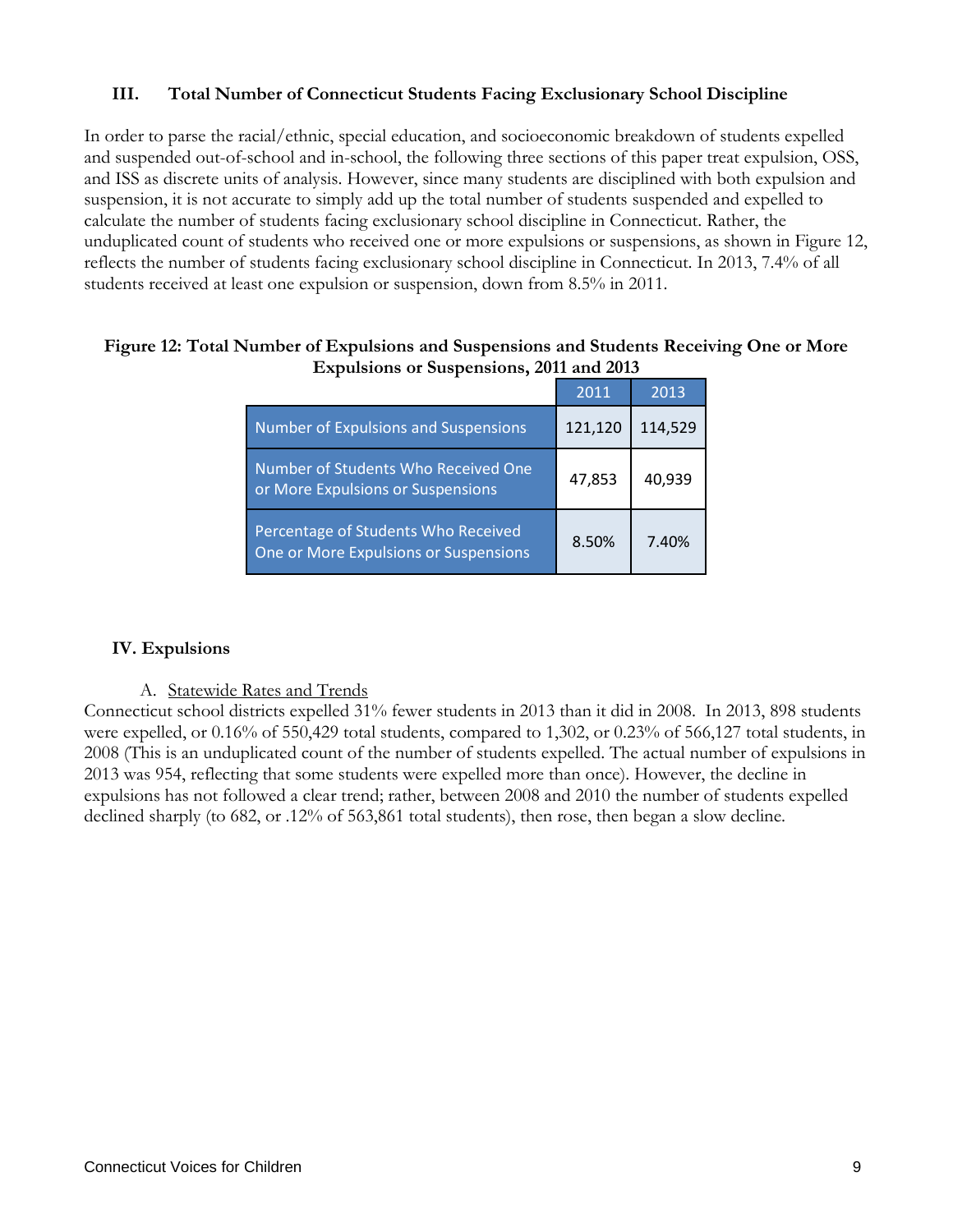#### **III. Total Number of Connecticut Students Facing Exclusionary School Discipline**

In order to parse the racial/ethnic, special education, and socioeconomic breakdown of students expelled and suspended out-of-school and in-school, the following three sections of this paper treat expulsion, OSS, and ISS as discrete units of analysis. However, since many students are disciplined with both expulsion and suspension, it is not accurate to simply add up the total number of students suspended and expelled to calculate the number of students facing exclusionary school discipline in Connecticut. Rather, the unduplicated count of students who received one or more expulsions or suspensions, as shown in Figure 12, reflects the number of students facing exclusionary school discipline in Connecticut. In 2013, 7.4% of all students received at least one expulsion or suspension, down from 8.5% in 2011.

|                                                                              | 2011    | 2013    |
|------------------------------------------------------------------------------|---------|---------|
| <b>Number of Expulsions and Suspensions</b>                                  | 121,120 | 114,529 |
| Number of Students Who Received One<br>or More Expulsions or Suspensions     | 47,853  | 40,939  |
| Percentage of Students Who Received<br>One or More Expulsions or Suspensions | 8.50%   | 7.40%   |

#### **Figure 12: Total Number of Expulsions and Suspensions and Students Receiving One or More Expulsions or Suspensions, 2011 and 2013**

#### **IV. Expulsions**

#### A. Statewide Rates and Trends

Connecticut school districts expelled 31% fewer students in 2013 than it did in 2008. In 2013, 898 students were expelled, or 0.16% of 550,429 total students, compared to 1,302, or 0.23% of 566,127 total students, in 2008 (This is an unduplicated count of the number of students expelled. The actual number of expulsions in 2013 was 954, reflecting that some students were expelled more than once). However, the decline in expulsions has not followed a clear trend; rather, between 2008 and 2010 the number of students expelled declined sharply (to 682, or .12% of 563,861 total students), then rose, then began a slow decline.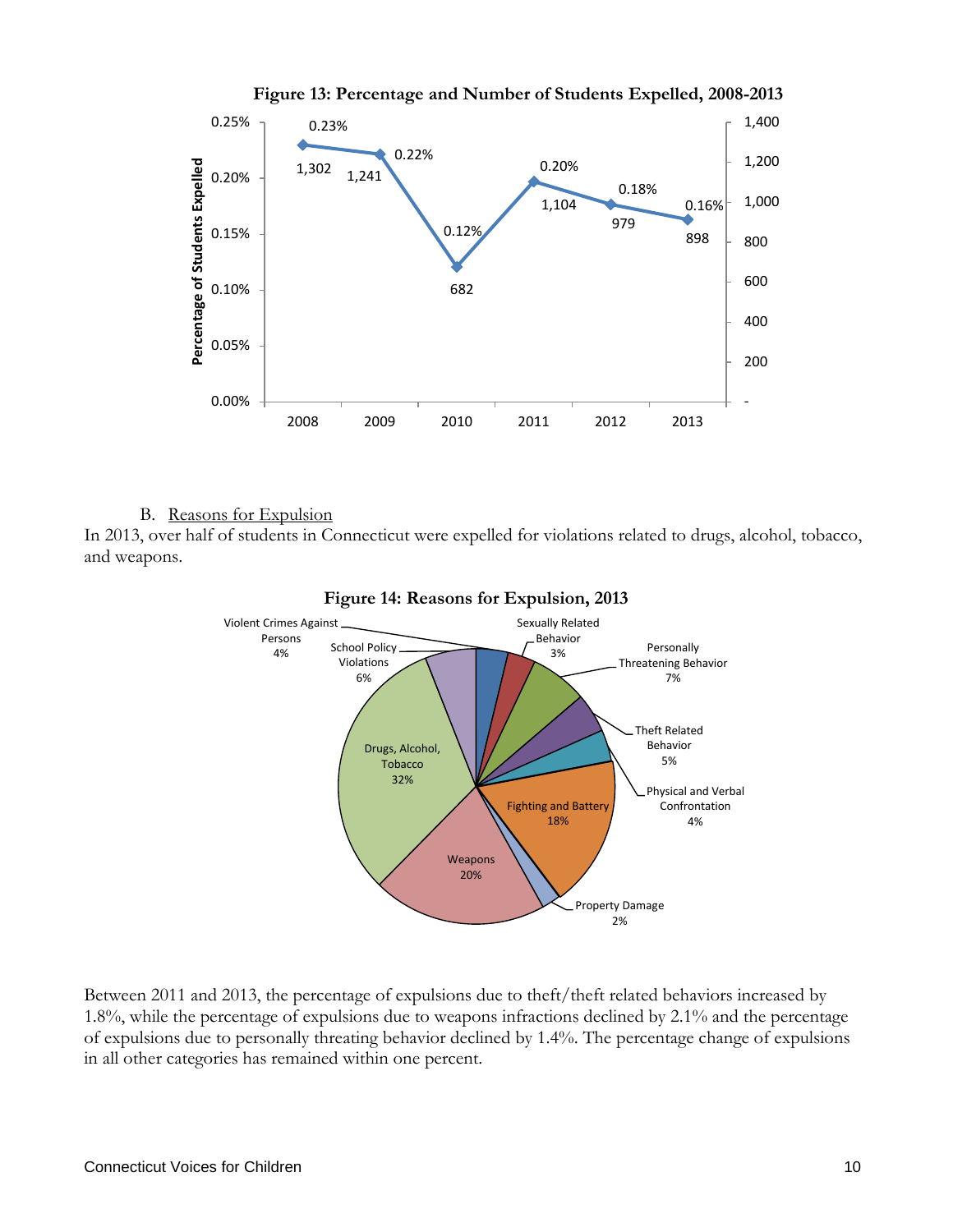

**Figure 13: Percentage and Number of Students Expelled, 2008-2013**

#### B. Reasons for Expulsion

In 2013, over half of students in Connecticut were expelled for violations related to drugs, alcohol, tobacco, and weapons.



Between 2011 and 2013, the percentage of expulsions due to theft/theft related behaviors increased by 1.8%, while the percentage of expulsions due to weapons infractions declined by 2.1% and the percentage of expulsions due to personally threating behavior declined by 1.4%. The percentage change of expulsions in all other categories has remained within one percent.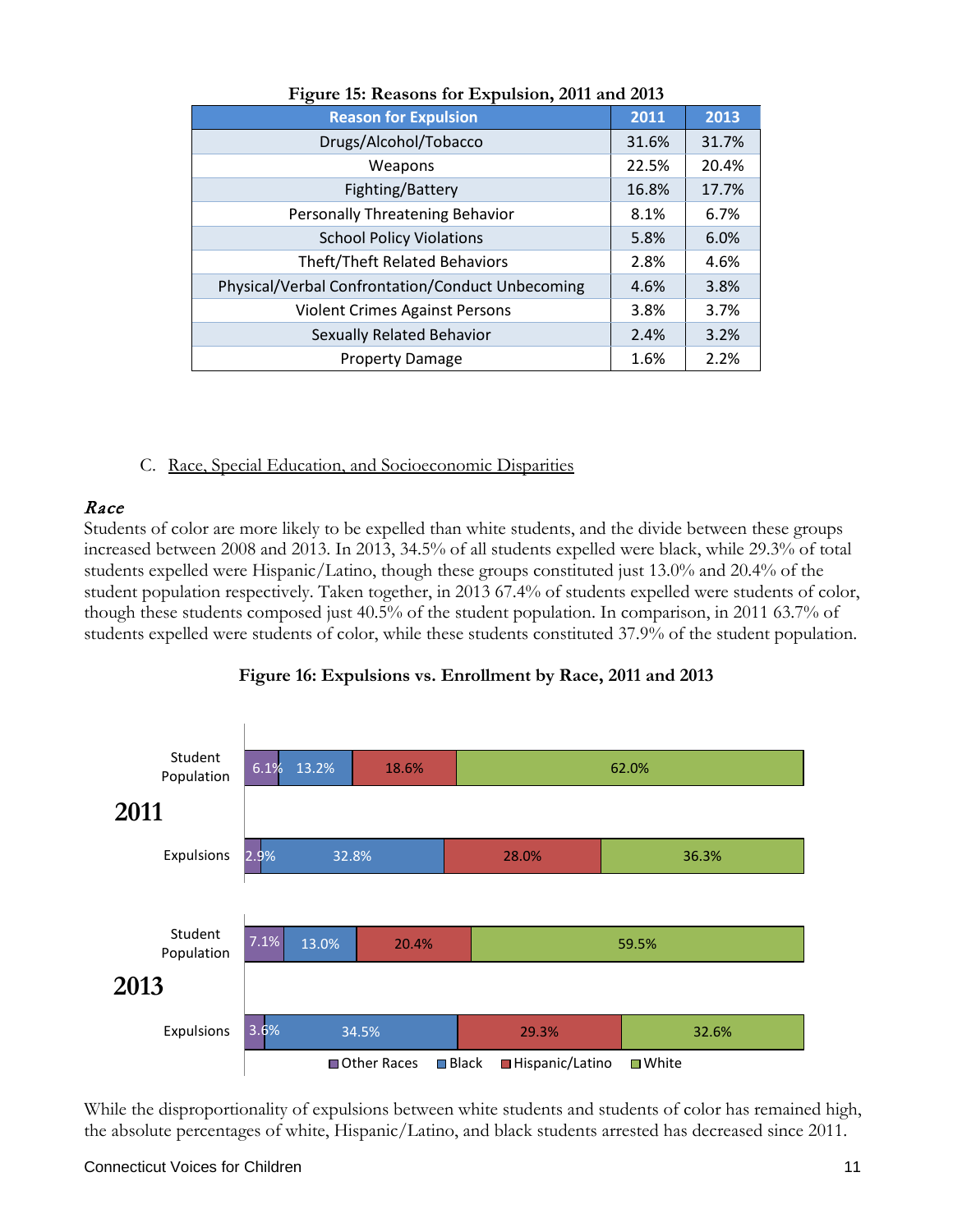| <b>Reason for Expulsion</b>                      | 2011  | 2013  |
|--------------------------------------------------|-------|-------|
| Drugs/Alcohol/Tobacco                            | 31.6% | 31.7% |
| Weapons                                          | 22.5% | 20.4% |
| Fighting/Battery                                 | 16.8% | 17.7% |
| Personally Threatening Behavior                  | 8.1%  | 6.7%  |
| <b>School Policy Violations</b>                  | 5.8%  | 6.0%  |
| <b>Theft/Theft Related Behaviors</b>             | 2.8%  | 4.6%  |
| Physical/Verbal Confrontation/Conduct Unbecoming | 4.6%  | 3.8%  |
| <b>Violent Crimes Against Persons</b>            | 3.8%  | 3.7%  |
| Sexually Related Behavior                        | 2.4%  | 3.2%  |
| <b>Property Damage</b>                           | 1.6%  | 2.2%  |

#### **Figure 15: Reasons for Expulsion, 2011 and 2013**

C. Race, Special Education, and Socioeconomic Disparities

#### Race

Students of color are more likely to be expelled than white students, and the divide between these groups increased between 2008 and 2013. In 2013, 34.5% of all students expelled were black, while 29.3% of total students expelled were Hispanic/Latino, though these groups constituted just 13.0% and 20.4% of the student population respectively. Taken together, in 2013 67.4% of students expelled were students of color, though these students composed just 40.5% of the student population. In comparison, in 2011 63.7% of students expelled were students of color, while these students constituted 37.9% of the student population.



#### **Figure 16: Expulsions vs. Enrollment by Race, 2011 and 2013**

While the disproportionality of expulsions between white students and students of color has remained high, the absolute percentages of white, Hispanic/Latino, and black students arrested has decreased since 2011.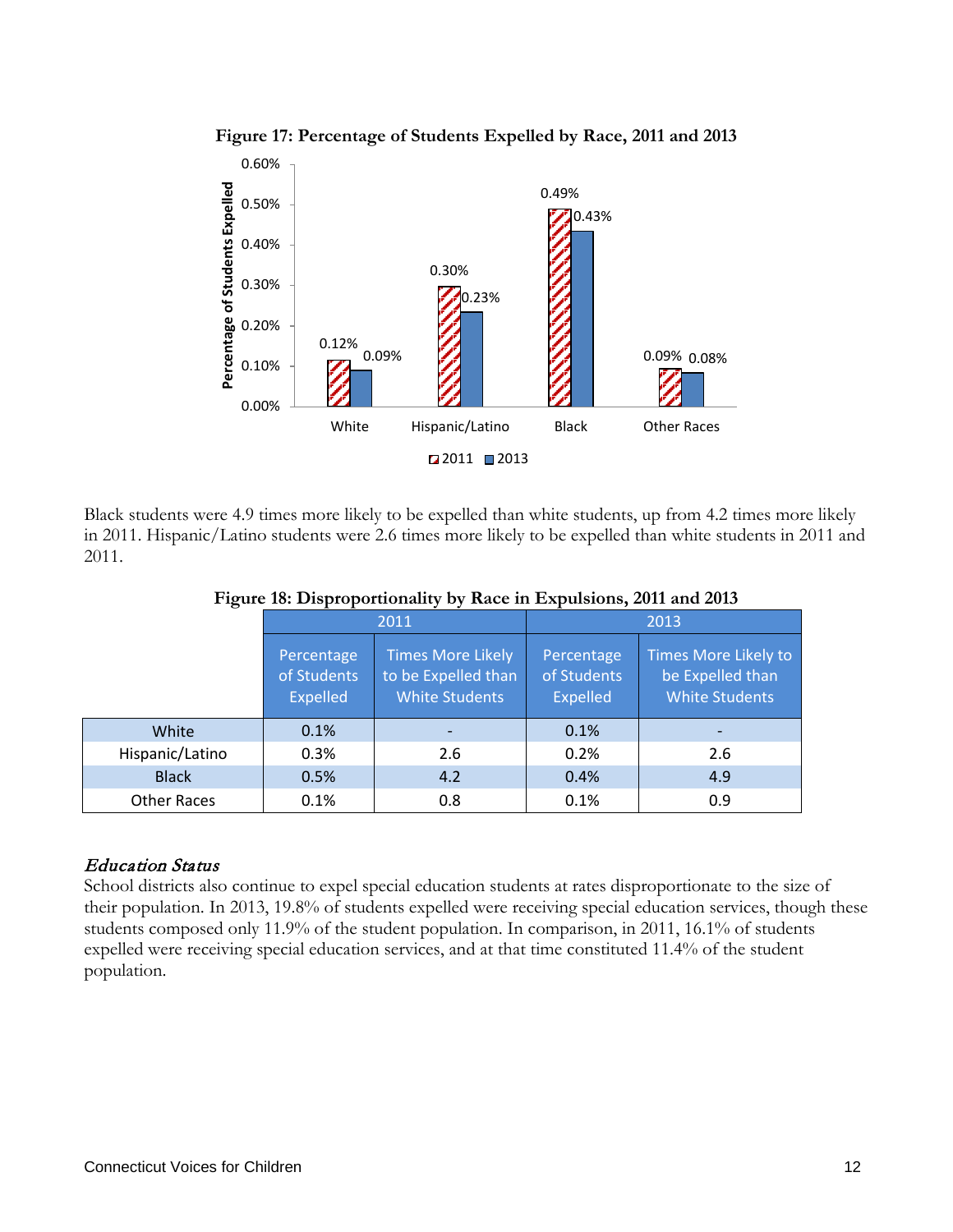

**Figure 17: Percentage of Students Expelled by Race, 2011 and 2013**

Black students were 4.9 times more likely to be expelled than white students, up from 4.2 times more likely in 2011. Hispanic/Latino students were 2.6 times more likely to be expelled than white students in 2011 and 2011.

|                    | 2011                                                                                                                     |     |                                              | 2013                                                                     |
|--------------------|--------------------------------------------------------------------------------------------------------------------------|-----|----------------------------------------------|--------------------------------------------------------------------------|
|                    | <b>Times More Likely</b><br>Percentage<br>of Students<br>to be Expelled than<br><b>White Students</b><br><b>Expelled</b> |     | Percentage<br>of Students<br><b>Expelled</b> | <b>Times More Likely to</b><br>be Expelled than<br><b>White Students</b> |
| White              | 0.1%                                                                                                                     |     | 0.1%                                         |                                                                          |
| Hispanic/Latino    | 0.3%                                                                                                                     | 2.6 | 0.2%                                         | 2.6                                                                      |
| <b>Black</b>       | 0.5%                                                                                                                     | 4.2 | 0.4%                                         | 4.9                                                                      |
| <b>Other Races</b> | 0.1%                                                                                                                     | 0.8 | 0.1%                                         | 0.9                                                                      |

**Figure 18: Disproportionality by Race in Expulsions, 2011 and 2013**

## Education Status

School districts also continue to expel special education students at rates disproportionate to the size of their population. In 2013, 19.8% of students expelled were receiving special education services, though these students composed only 11.9% of the student population. In comparison, in 2011, 16.1% of students expelled were receiving special education services, and at that time constituted 11.4% of the student population.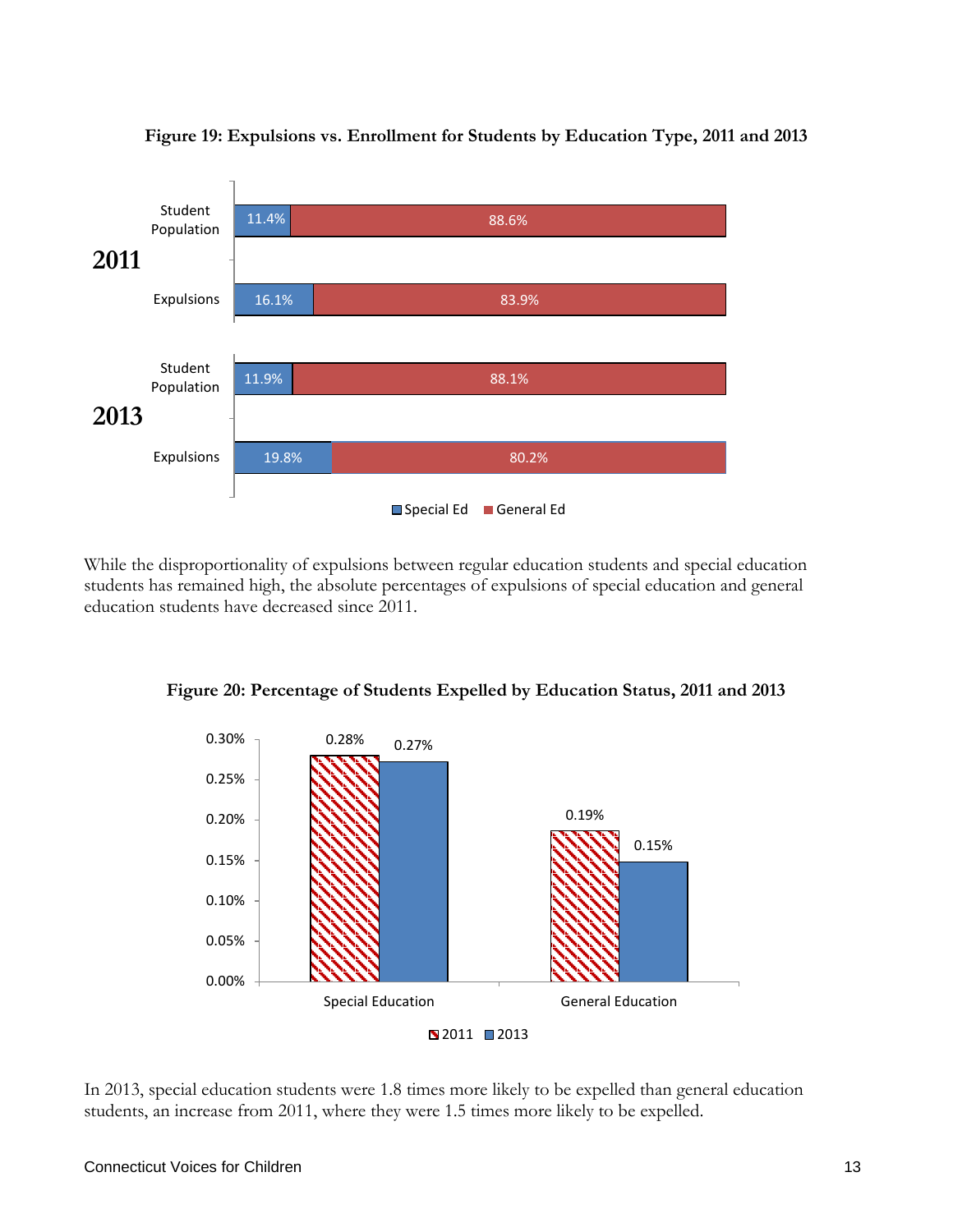

**Figure 19: Expulsions vs. Enrollment for Students by Education Type, 2011 and 2013**

While the disproportionality of expulsions between regular education students and special education students has remained high, the absolute percentages of expulsions of special education and general education students have decreased since 2011.



**Figure 20: Percentage of Students Expelled by Education Status, 2011 and 2013**

In 2013, special education students were 1.8 times more likely to be expelled than general education students, an increase from 2011, where they were 1.5 times more likely to be expelled.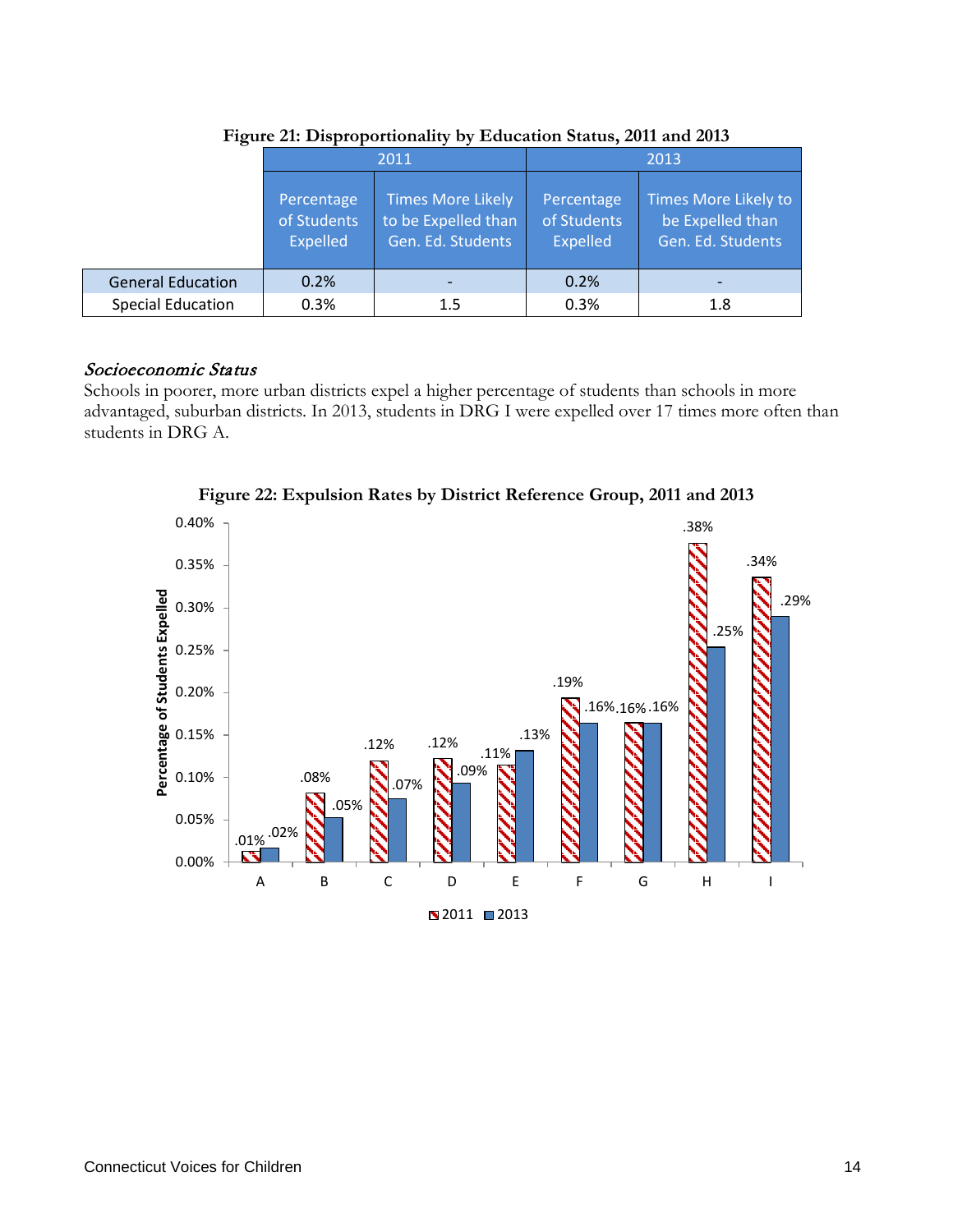|                          |                                       | 2011                                                                 | 2013                                  |                                                               |  |
|--------------------------|---------------------------------------|----------------------------------------------------------------------|---------------------------------------|---------------------------------------------------------------|--|
|                          | Percentage<br>of Students<br>Expelled | <b>Times More Likely</b><br>to be Expelled than<br>Gen. Ed. Students | Percentage<br>of Students<br>Expelled | Times More Likely to<br>be Expelled than<br>Gen. Ed. Students |  |
| <b>General Education</b> | 0.2%                                  |                                                                      | 0.2%                                  |                                                               |  |
| <b>Special Education</b> | 0.3%                                  | 1.5                                                                  | 0.3%                                  | 1.8                                                           |  |

**Figure 21: Disproportionality by Education Status, 2011 and 2013**

#### Socioeconomic Status

Schools in poorer, more urban districts expel a higher percentage of students than schools in more advantaged, suburban districts. In 2013, students in DRG I were expelled over 17 times more often than students in DRG A.



**Figure 22: Expulsion Rates by District Reference Group, 2011 and 2013**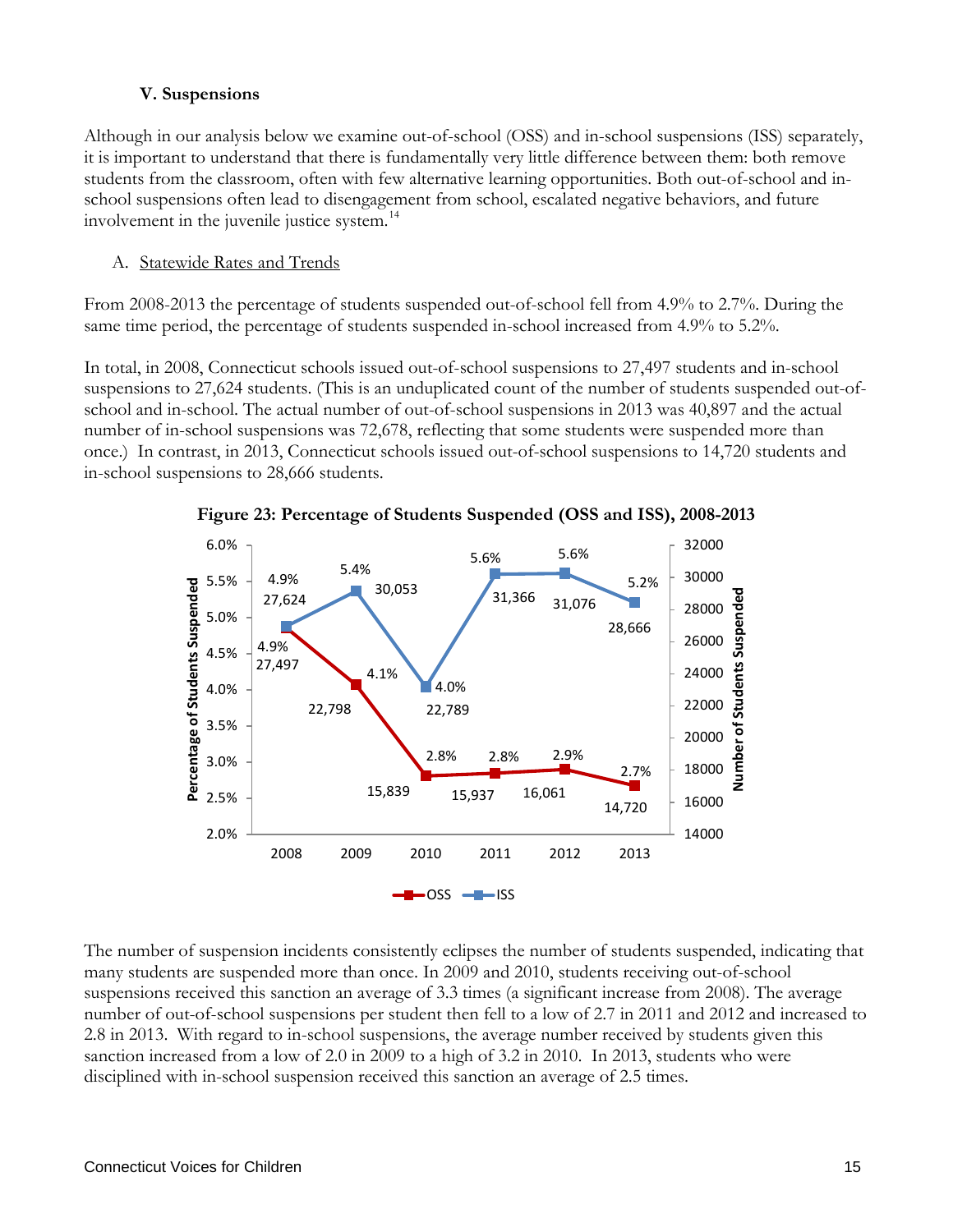#### **V. Suspensions**

Although in our analysis below we examine out-of-school (OSS) and in-school suspensions (ISS) separately, it is important to understand that there is fundamentally very little difference between them: both remove students from the classroom, often with few alternative learning opportunities. Both out-of-school and inschool suspensions often lead to disengagement from school, escalated negative behaviors, and future involvement in the juvenile justice system.<sup>[14](#page-51-8)</sup>

#### A. Statewide Rates and Trends

From 2008-2013 the percentage of students suspended out-of-school fell from 4.9% to 2.7%. During the same time period, the percentage of students suspended in-school increased from 4.9% to 5.2%.

In total, in 2008, Connecticut schools issued out-of-school suspensions to 27,497 students and in-school suspensions to 27,624 students. (This is an unduplicated count of the number of students suspended out-ofschool and in-school. The actual number of out-of-school suspensions in 2013 was 40,897 and the actual number of in-school suspensions was 72,678, reflecting that some students were suspended more than once.) In contrast, in 2013, Connecticut schools issued out-of-school suspensions to 14,720 students and in-school suspensions to 28,666 students.



**Figure 23: Percentage of Students Suspended (OSS and ISS), 2008-2013**

The number of suspension incidents consistently eclipses the number of students suspended, indicating that many students are suspended more than once. In 2009 and 2010, students receiving out-of-school suspensions received this sanction an average of 3.3 times (a significant increase from 2008). The average number of out-of-school suspensions per student then fell to a low of 2.7 in 2011 and 2012 and increased to 2.8 in 2013. With regard to in-school suspensions, the average number received by students given this sanction increased from a low of 2.0 in 2009 to a high of 3.2 in 2010. In 2013, students who were disciplined with in-school suspension received this sanction an average of 2.5 times.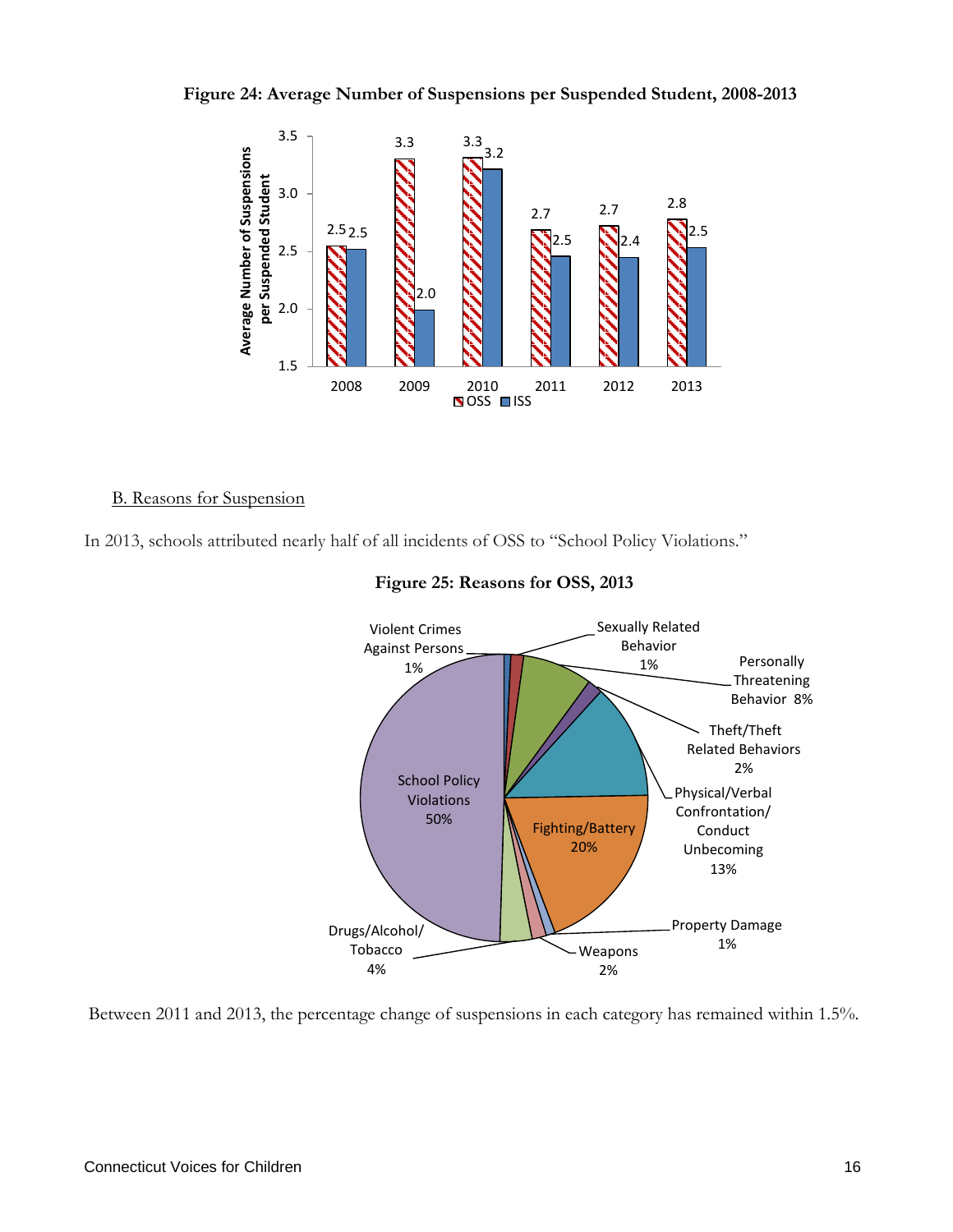



#### B. Reasons for Suspension

In 2013, schools attributed nearly half of all incidents of OSS to "School Policy Violations."



#### **Figure 25: Reasons for OSS, 2013**

Between 2011 and 2013, the percentage change of suspensions in each category has remained within 1.5%.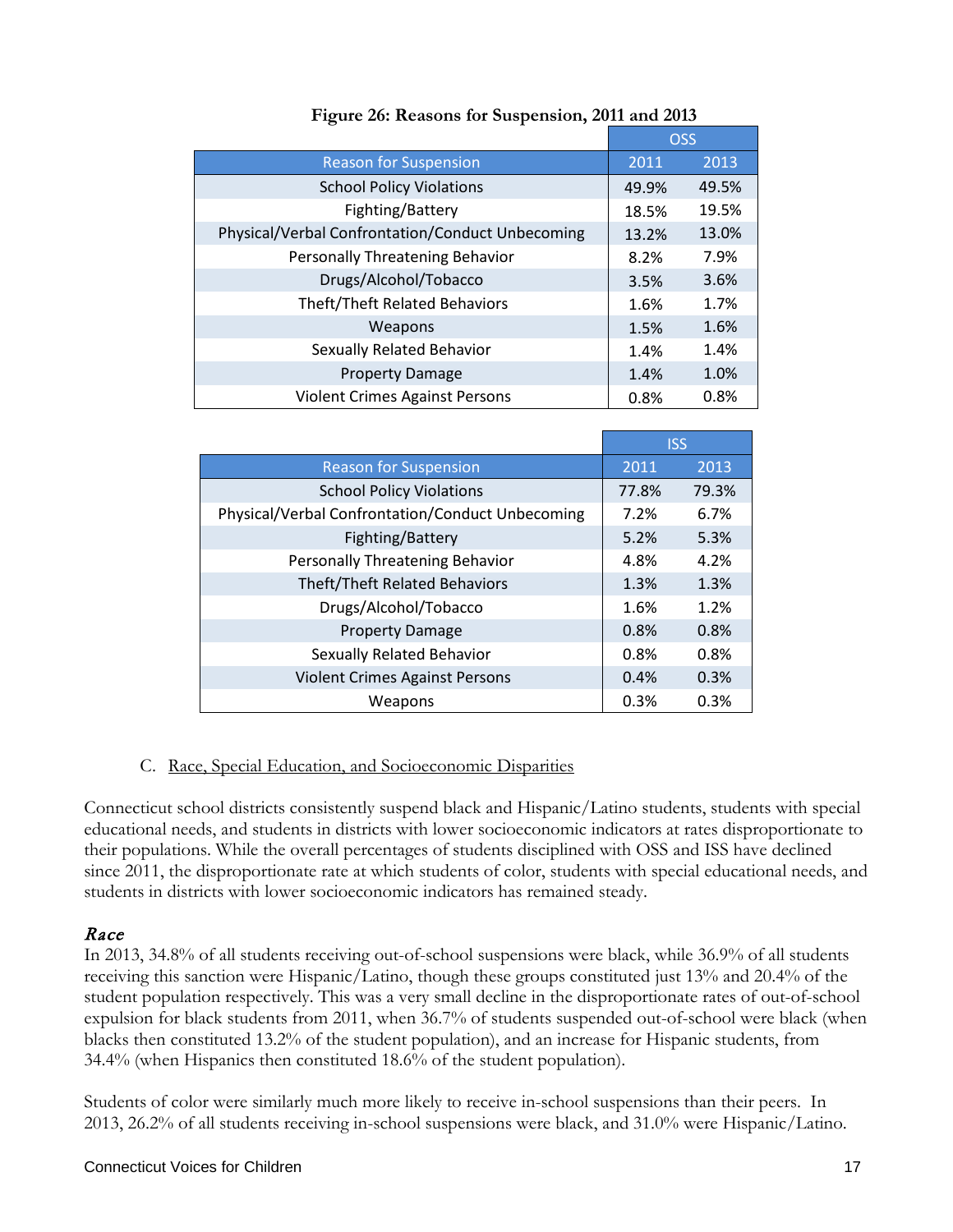|                                                  |       | <b>OSS</b> |
|--------------------------------------------------|-------|------------|
| <b>Reason for Suspension</b>                     | 2011  | 2013       |
| <b>School Policy Violations</b>                  | 49.9% | 49.5%      |
| Fighting/Battery                                 | 18.5% | 19.5%      |
| Physical/Verbal Confrontation/Conduct Unbecoming | 13.2% | 13.0%      |
| Personally Threatening Behavior                  | 8.2%  | 7.9%       |
| Drugs/Alcohol/Tobacco                            | 3.5%  | 3.6%       |
| Theft/Theft Related Behaviors                    | 1.6%  | 1.7%       |
| Weapons                                          | 1.5%  | 1.6%       |
| <b>Sexually Related Behavior</b>                 | 1.4%  | 1.4%       |
| <b>Property Damage</b>                           | 1.4%  | 1.0%       |
| <b>Violent Crimes Against Persons</b>            | 0.8%  | 0.8%       |

#### **Figure 26: Reasons for Suspension, 2011 and 2013**

|                                                  | <b>ISS</b> |       |
|--------------------------------------------------|------------|-------|
| <b>Reason for Suspension</b>                     | 2011       | 2013  |
| <b>School Policy Violations</b>                  | 77.8%      | 79.3% |
| Physical/Verbal Confrontation/Conduct Unbecoming | 7.2%       | 6.7%  |
| Fighting/Battery                                 | 5.2%       | 5.3%  |
| Personally Threatening Behavior                  | 4.8%       | 4.2%  |
| <b>Theft/Theft Related Behaviors</b>             | 1.3%       | 1.3%  |
| Drugs/Alcohol/Tobacco                            | 1.6%       | 1.2%  |
| <b>Property Damage</b>                           | 0.8%       | 0.8%  |
| Sexually Related Behavior                        | 0.8%       | 0.8%  |
| <b>Violent Crimes Against Persons</b>            | 0.4%       | 0.3%  |
| Weapons                                          | 0.3%       | 0.3%  |

## C. Race, Special Education, and Socioeconomic Disparities

Connecticut school districts consistently suspend black and Hispanic/Latino students, students with special educational needs, and students in districts with lower socioeconomic indicators at rates disproportionate to their populations. While the overall percentages of students disciplined with OSS and ISS have declined since 2011, the disproportionate rate at which students of color, students with special educational needs, and students in districts with lower socioeconomic indicators has remained steady.

## Race

In 2013, 34.8% of all students receiving out-of-school suspensions were black, while 36.9% of all students receiving this sanction were Hispanic/Latino, though these groups constituted just 13% and 20.4% of the student population respectively. This was a very small decline in the disproportionate rates of out-of-school expulsion for black students from 2011, when 36.7% of students suspended out-of-school were black (when blacks then constituted 13.2% of the student population), and an increase for Hispanic students, from 34.4% (when Hispanics then constituted 18.6% of the student population).

Students of color were similarly much more likely to receive in-school suspensions than their peers. In 2013, 26.2% of all students receiving in-school suspensions were black, and 31.0% were Hispanic/Latino.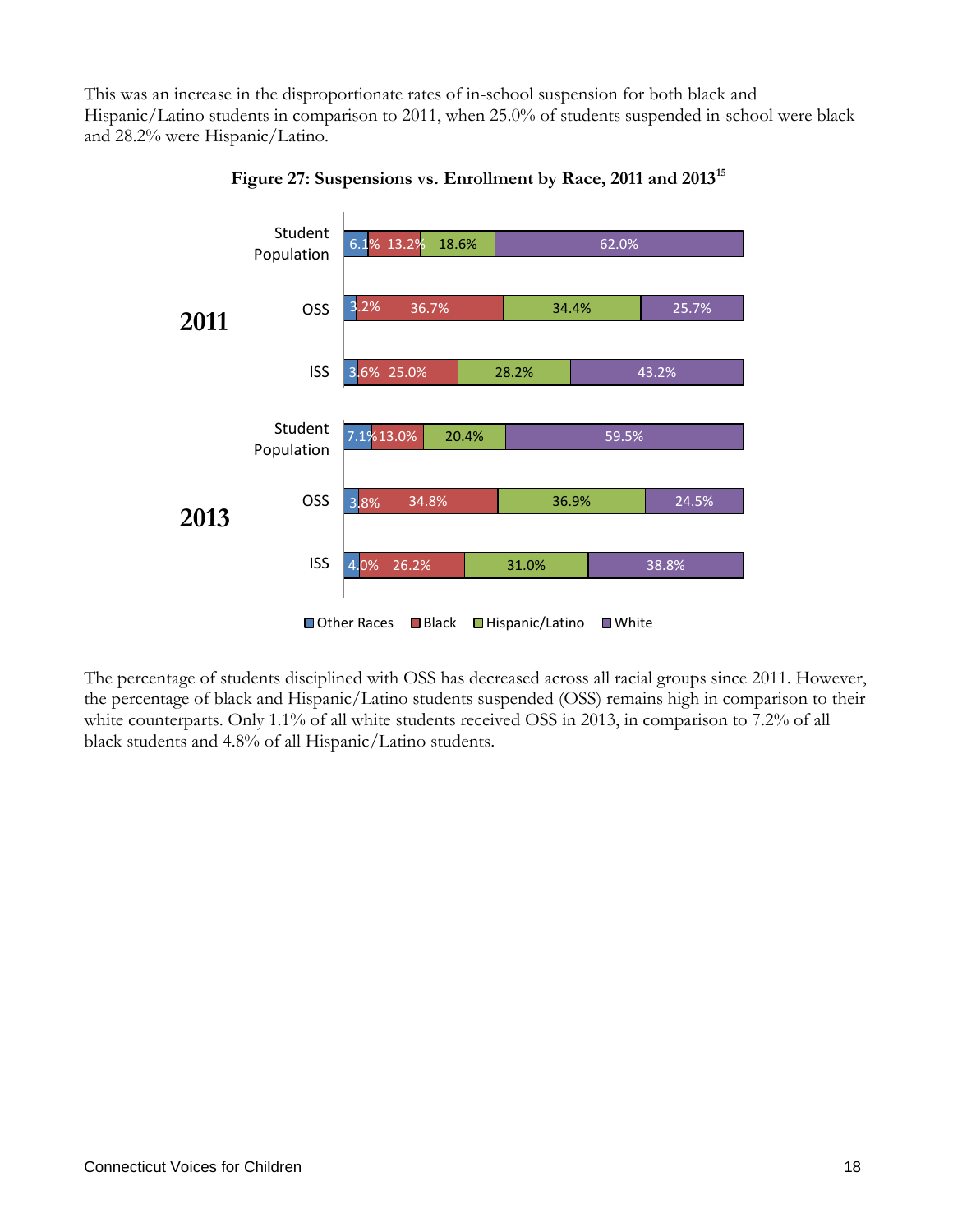This was an increase in the disproportionate rates of in-school suspension for both black and Hispanic/Latino students in comparison to 2011, when 25.0% of students suspended in-school were black and 28.2% were Hispanic/Latino.



**Figure 27: Suspensions vs. Enrollment by Race, 2011 and 2013[15](#page-51-9)**

The percentage of students disciplined with OSS has decreased across all racial groups since 2011. However, the percentage of black and Hispanic/Latino students suspended (OSS) remains high in comparison to their white counterparts. Only 1.1% of all white students received OSS in 2013, in comparison to 7.2% of all black students and 4.8% of all Hispanic/Latino students.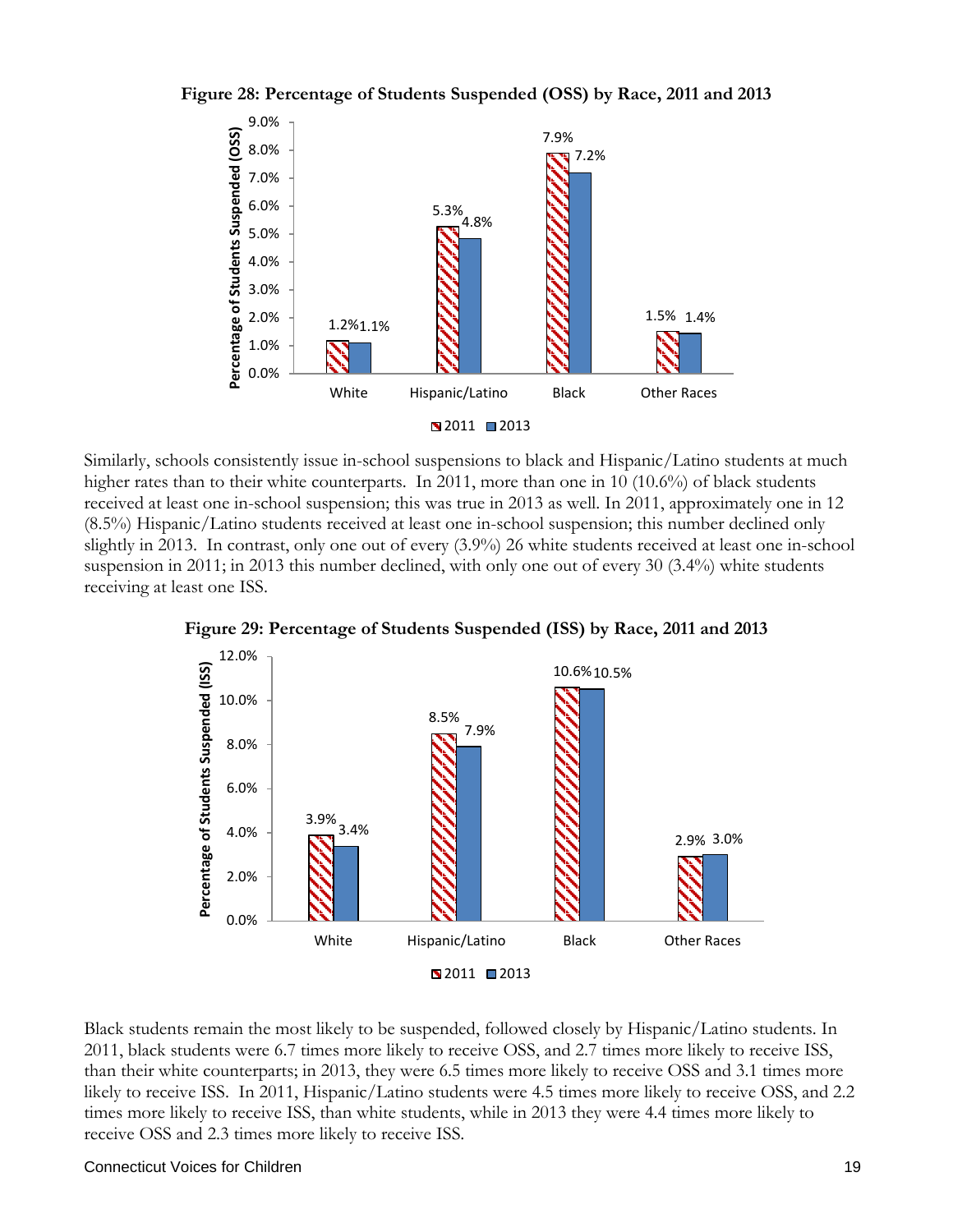



Similarly, schools consistently issue in-school suspensions to black and Hispanic/Latino students at much higher rates than to their white counterparts. In 2011, more than one in 10 (10.6%) of black students received at least one in-school suspension; this was true in 2013 as well. In 2011, approximately one in 12 (8.5%) Hispanic/Latino students received at least one in-school suspension; this number declined only slightly in 2013. In contrast, only one out of every (3.9%) 26 white students received at least one in-school suspension in 2011; in 2013 this number declined, with only one out of every 30 (3.4%) white students receiving at least one ISS.



**Figure 29: Percentage of Students Suspended (ISS) by Race, 2011 and 2013**

Black students remain the most likely to be suspended, followed closely by Hispanic/Latino students. In 2011, black students were 6.7 times more likely to receive OSS, and 2.7 times more likely to receive ISS, than their white counterparts; in 2013, they were 6.5 times more likely to receive OSS and 3.1 times more likely to receive ISS. In 2011, Hispanic/Latino students were 4.5 times more likely to receive OSS, and 2.2 times more likely to receive ISS, than white students, while in 2013 they were 4.4 times more likely to receive OSS and 2.3 times more likely to receive ISS.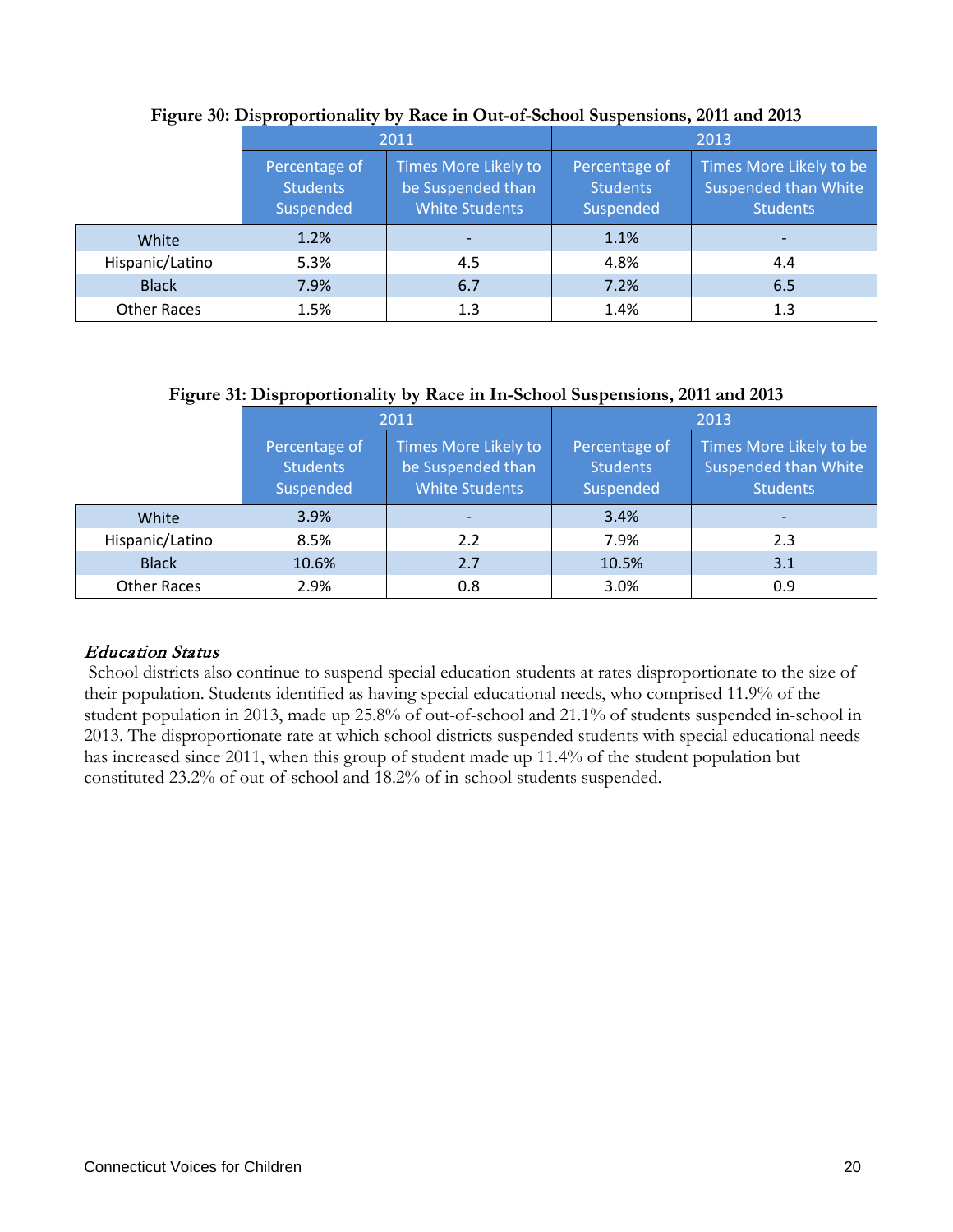|                    |                                                                                                                     | 2011 |                                               | 2013                                                                      |
|--------------------|---------------------------------------------------------------------------------------------------------------------|------|-----------------------------------------------|---------------------------------------------------------------------------|
|                    | Times More Likely to<br>Percentage of<br>be Suspended than<br><b>Students</b><br><b>White Students</b><br>Suspended |      | Percentage of<br><b>Students</b><br>Suspended | Times More Likely to be<br><b>Suspended than White</b><br><b>Students</b> |
| White              | 1.2%                                                                                                                |      | 1.1%                                          |                                                                           |
| Hispanic/Latino    | 5.3%                                                                                                                | 4.5  | 4.8%                                          | 4.4                                                                       |
| <b>Black</b>       | 7.9%                                                                                                                | 6.7  | 7.2%                                          | 6.5                                                                       |
| <b>Other Races</b> | 1.5%                                                                                                                | 1.3  | 1.4%                                          | 1.3                                                                       |

#### **Figure 30: Disproportionality by Race in Out-of-School Suspensions, 2011 and 2013**

#### **Figure 31: Disproportionality by Race in In-School Suspensions, 2011 and 2013**

|                    |                                               | 2011                                                               | 2013                                          |                                                                           |  |
|--------------------|-----------------------------------------------|--------------------------------------------------------------------|-----------------------------------------------|---------------------------------------------------------------------------|--|
|                    | Percentage of<br><b>Students</b><br>Suspended | Times More Likely to<br>be Suspended than<br><b>White Students</b> | Percentage of<br><b>Students</b><br>Suspended | Times More Likely to be<br><b>Suspended than White</b><br><b>Students</b> |  |
| White              | 3.9%                                          |                                                                    | 3.4%                                          |                                                                           |  |
| Hispanic/Latino    | 8.5%                                          | 2.2                                                                | 7.9%                                          | 2.3                                                                       |  |
| <b>Black</b>       | 10.6%                                         | 2.7                                                                | 10.5%                                         | 3.1                                                                       |  |
| <b>Other Races</b> | 2.9%                                          | 0.8                                                                | 3.0%                                          | 0.9                                                                       |  |

## Education Status

School districts also continue to suspend special education students at rates disproportionate to the size of their population. Students identified as having special educational needs, who comprised 11.9% of the student population in 2013, made up 25.8% of out-of-school and 21.1% of students suspended in-school in 2013. The disproportionate rate at which school districts suspended students with special educational needs has increased since 2011, when this group of student made up 11.4% of the student population but constituted 23.2% of out-of-school and 18.2% of in-school students suspended.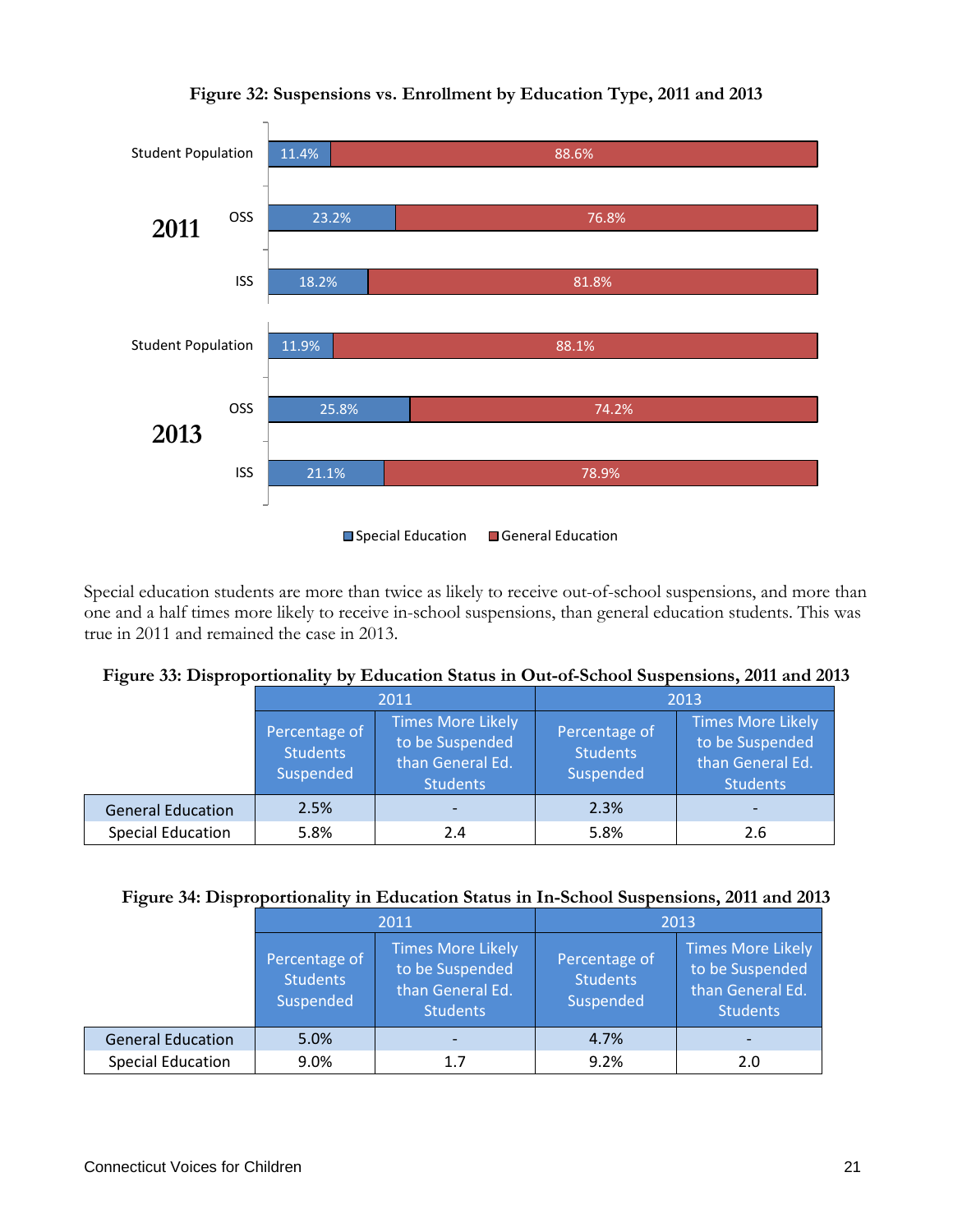

## **Figure 32: Suspensions vs. Enrollment by Education Type, 2011 and 2013**

Special education students are more than twice as likely to receive out-of-school suspensions, and more than one and a half times more likely to receive in-school suspensions, than general education students. This was true in 2011 and remained the case in 2013.

| $= 15$ were set $= 10$ properties. |                                               |                                                                                    |                                               |                                                                                    |  |  |  |  |  |  |
|------------------------------------|-----------------------------------------------|------------------------------------------------------------------------------------|-----------------------------------------------|------------------------------------------------------------------------------------|--|--|--|--|--|--|
|                                    |                                               | 2011                                                                               | 2013                                          |                                                                                    |  |  |  |  |  |  |
|                                    | Percentage of<br><b>Students</b><br>Suspended | <b>Times More Likely</b><br>to be Suspended<br>than General Ed.<br><b>Students</b> | Percentage of<br><b>Students</b><br>Suspended | <b>Times More Likely</b><br>to be Suspended<br>than General Ed.<br><b>Students</b> |  |  |  |  |  |  |
| <b>General Education</b>           | 2.5%                                          |                                                                                    | 2.3%                                          |                                                                                    |  |  |  |  |  |  |
| <b>Special Education</b>           | 5.8%                                          | 2.4                                                                                | 5.8%                                          | 2.6                                                                                |  |  |  |  |  |  |

|  |  |  |  |  | Figure 33: Disproportionality by Education Status in Out-of-School Suspensions, 2011 and 2013 |  |  |  |
|--|--|--|--|--|-----------------------------------------------------------------------------------------------|--|--|--|
|  |  |  |  |  |                                                                                               |  |  |  |

#### **Figure 34: Disproportionality in Education Status in In-School Suspensions, 2011 and 2013**

| $\cdot$                  |                                               |                                                                             |                                               |                                                                                    |  |  |
|--------------------------|-----------------------------------------------|-----------------------------------------------------------------------------|-----------------------------------------------|------------------------------------------------------------------------------------|--|--|
|                          |                                               | 2011                                                                        | 2013                                          |                                                                                    |  |  |
|                          | Percentage of<br><b>Students</b><br>Suspended | Times More Likely<br>to be Suspended<br>than General Ed.<br><b>Students</b> | Percentage of<br><b>Students</b><br>Suspended | <b>Times More Likely</b><br>to be Suspended<br>than General Ed.<br><b>Students</b> |  |  |
| <b>General Education</b> | 5.0%                                          |                                                                             | 4.7%                                          |                                                                                    |  |  |
| <b>Special Education</b> | 9.0%                                          | 1.7                                                                         | 9.2%                                          | 2.0                                                                                |  |  |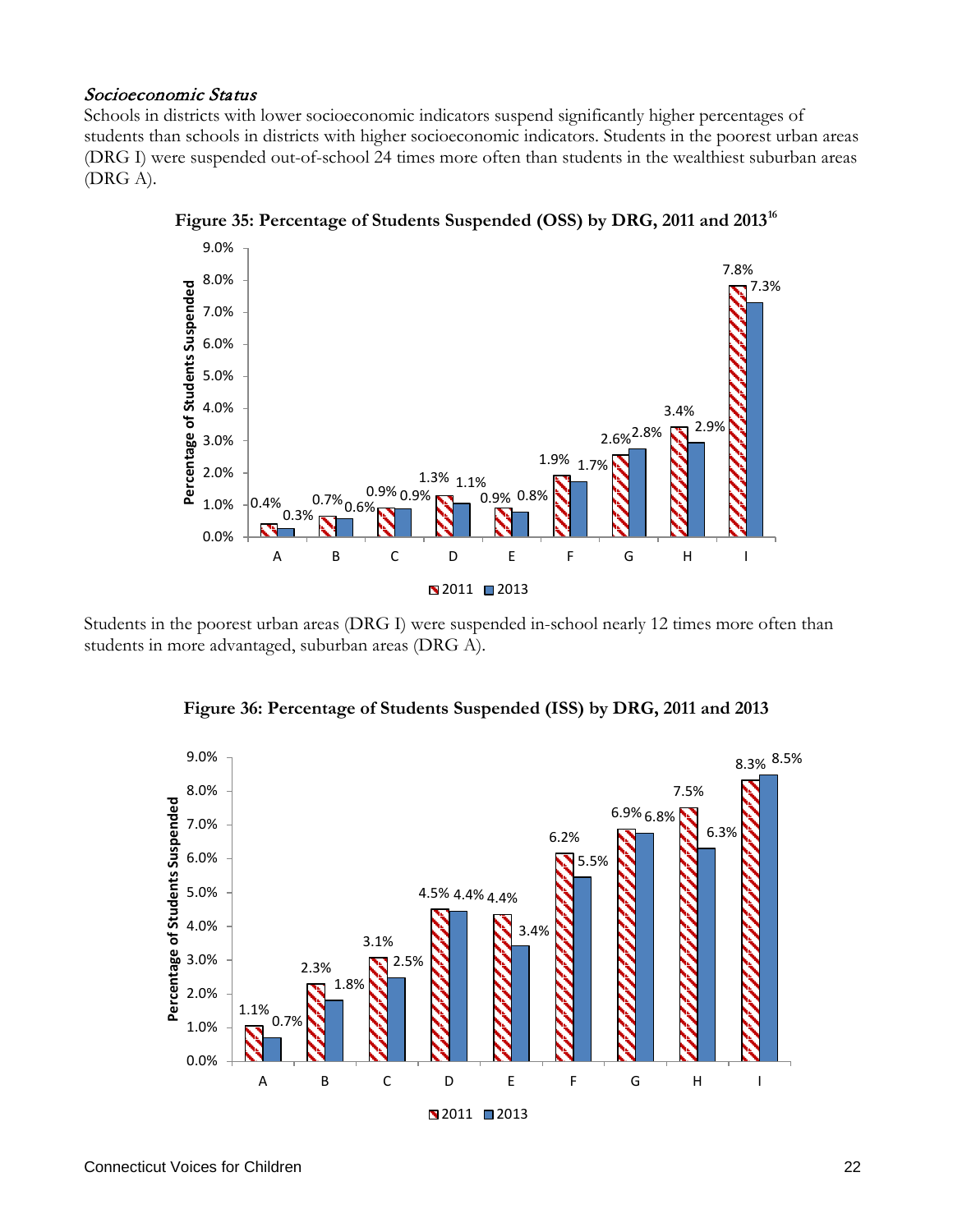#### Socioeconomic Status

Schools in districts with lower socioeconomic indicators suspend significantly higher percentages of students than schools in districts with higher socioeconomic indicators. Students in the poorest urban areas (DRG I) were suspended out-of-school 24 times more often than students in the wealthiest suburban areas (DRG A).



**Figure 35: Percentage of Students Suspended (OSS) by DRG, 2011 and 2013[16](#page-51-10)**

Students in the poorest urban areas (DRG I) were suspended in-school nearly 12 times more often than students in more advantaged, suburban areas (DRG A).



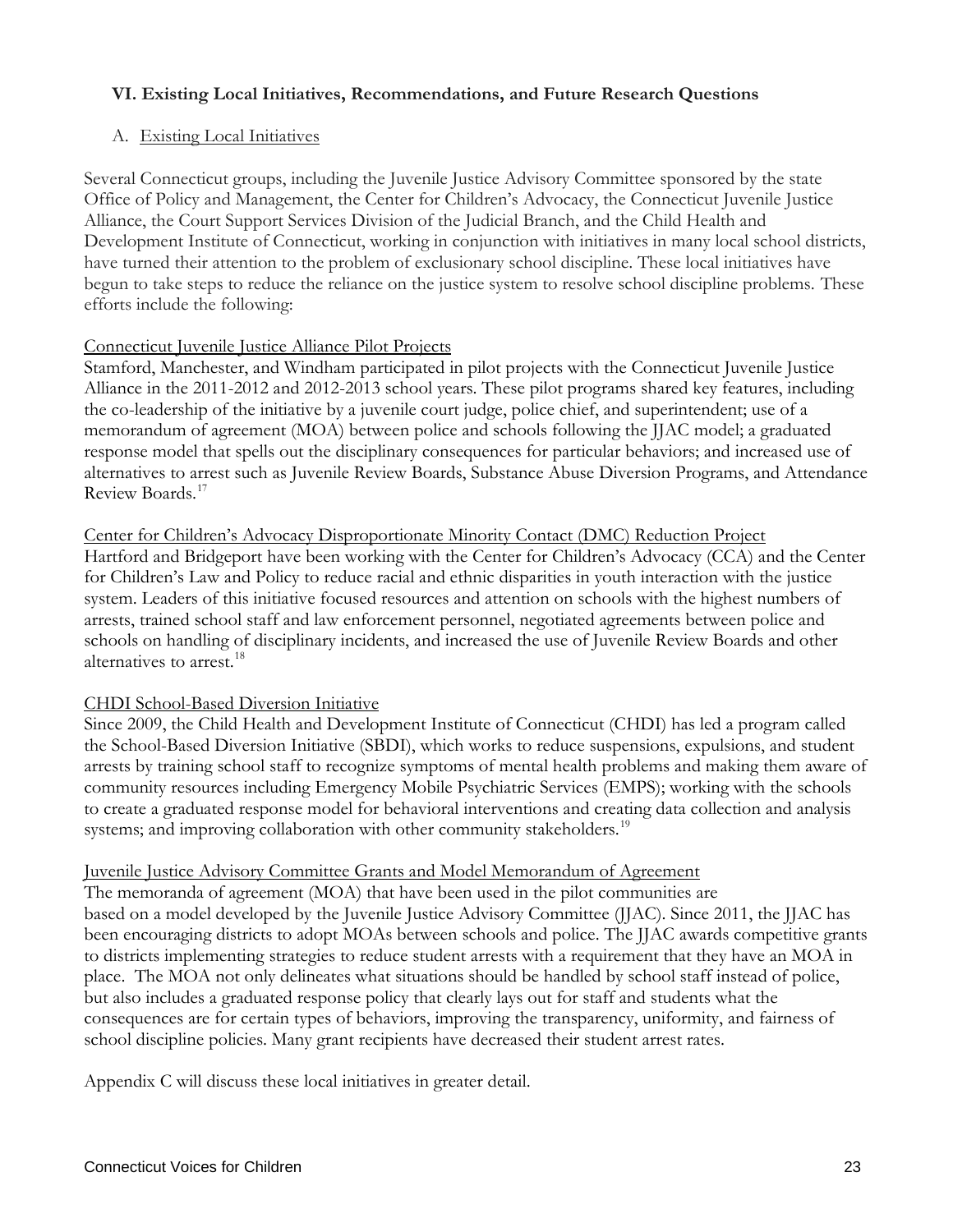## **VI. Existing Local Initiatives, Recommendations, and Future Research Questions**

#### A. Existing Local Initiatives

Several Connecticut groups, including the Juvenile Justice Advisory Committee sponsored by the state Office of Policy and Management, the Center for Children's Advocacy, the Connecticut Juvenile Justice Alliance, the Court Support Services Division of the Judicial Branch, and the Child Health and Development Institute of Connecticut, working in conjunction with initiatives in many local school districts, have turned their attention to the problem of exclusionary school discipline. These local initiatives have begun to take steps to reduce the reliance on the justice system to resolve school discipline problems. These efforts include the following:

#### Connecticut Juvenile Justice Alliance Pilot Projects

Stamford, Manchester, and Windham participated in pilot projects with the Connecticut Juvenile Justice Alliance in the 2011-2012 and 2012-2013 school years. These pilot programs shared key features, including the co-leadership of the initiative by a juvenile court judge, police chief, and superintendent; use of a memorandum of agreement (MOA) between police and schools following the JJAC model; a graduated response model that spells out the disciplinary consequences for particular behaviors; and increased use of alternatives to arrest such as Juvenile Review Boards, Substance Abuse Diversion Programs, and Attendance Review Boards. [17](#page-51-11)

#### Center for Children's Advocacy Disproportionate Minority Contact (DMC) Reduction Project

Hartford and Bridgeport have been working with the Center for Children's Advocacy (CCA) and the Center for Children's Law and Policy to reduce racial and ethnic disparities in youth interaction with the justice system. Leaders of this initiative focused resources and attention on schools with the highest numbers of arrests, trained school staff and law enforcement personnel, negotiated agreements between police and schools on handling of disciplinary incidents, and increased the use of Juvenile Review Boards and other alternatives to arrest.<sup>[18](#page-51-12)</sup>

#### CHDI School-Based Diversion Initiative

Since 2009, the Child Health and Development Institute of Connecticut (CHDI) has led a program called the School-Based Diversion Initiative (SBDI), which works to reduce suspensions, expulsions, and student arrests by training school staff to recognize symptoms of mental health problems and making them aware of community resources including Emergency Mobile Psychiatric Services (EMPS); working with the schools to create a graduated response model for behavioral interventions and creating data collection and analysis systems; and improving collaboration with other community stakeholders.<sup>[19](#page-51-13)</sup>

#### Juvenile Justice Advisory Committee Grants and Model Memorandum of Agreement

The memoranda of agreement (MOA) that have been used in the pilot communities are based on a model developed by the Juvenile Justice Advisory Committee (JJAC). Since 2011, the JJAC has been encouraging districts to adopt MOAs between schools and police. The JJAC awards competitive grants to districts implementing strategies to reduce student arrests with a requirement that they have an MOA in place. The MOA not only delineates what situations should be handled by school staff instead of police, but also includes a graduated response policy that clearly lays out for staff and students what the consequences are for certain types of behaviors, improving the transparency, uniformity, and fairness of school discipline policies. Many grant recipients have decreased their student arrest rates.

Appendix C will discuss these local initiatives in greater detail.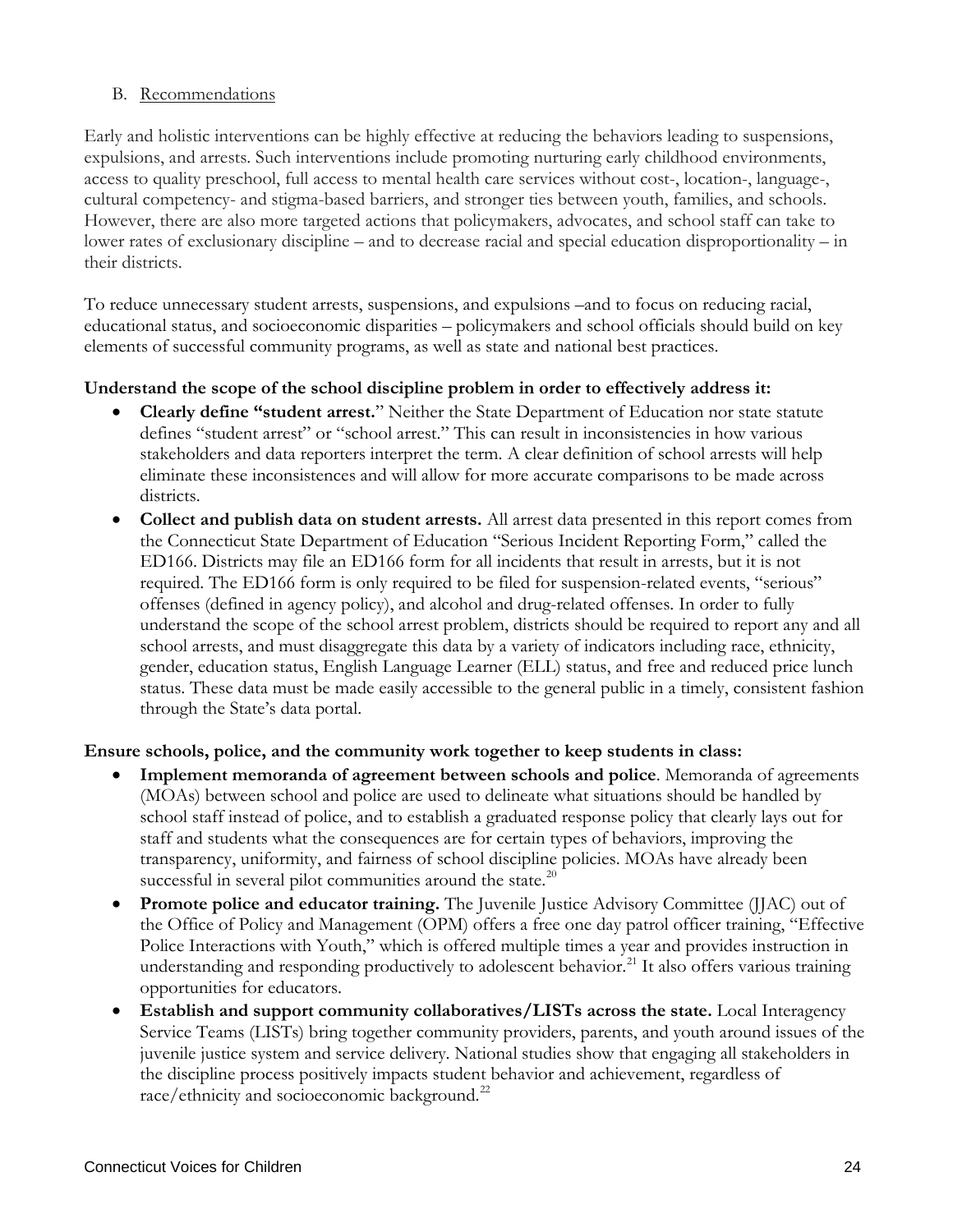#### B. Recommendations

Early and holistic interventions can be highly effective at reducing the behaviors leading to suspensions, expulsions, and arrests. Such interventions include promoting nurturing early childhood environments, access to quality preschool, full access to mental health care services without cost-, location-, language-, cultural competency- and stigma-based barriers, and stronger ties between youth, families, and schools. However, there are also more targeted actions that policymakers, advocates, and school staff can take to lower rates of exclusionary discipline – and to decrease racial and special education disproportionality – in their districts.

To reduce unnecessary student arrests, suspensions, and expulsions –and to focus on reducing racial, educational status, and socioeconomic disparities – policymakers and school officials should build on key elements of successful community programs, as well as state and national best practices.

## **Understand the scope of the school discipline problem in order to effectively address it:**

- **Clearly define "student arrest.**" Neither the State Department of Education nor state statute defines "student arrest" or "school arrest." This can result in inconsistencies in how various stakeholders and data reporters interpret the term. A clear definition of school arrests will help eliminate these inconsistences and will allow for more accurate comparisons to be made across districts.
- **Collect and publish data on student arrests.** All arrest data presented in this report comes from the Connecticut State Department of Education "Serious Incident Reporting Form," called the ED166. Districts may file an ED166 form for all incidents that result in arrests, but it is not required. The ED166 form is only required to be filed for suspension-related events, "serious" offenses (defined in agency policy), and alcohol and drug-related offenses. In order to fully understand the scope of the school arrest problem, districts should be required to report any and all school arrests, and must disaggregate this data by a variety of indicators including race, ethnicity, gender, education status, English Language Learner (ELL) status, and free and reduced price lunch status. These data must be made easily accessible to the general public in a timely, consistent fashion through the State's data portal.

#### **Ensure schools, police, and the community work together to keep students in class:**

- **Implement memoranda of agreement between schools and police**. Memoranda of agreements (MOAs) between school and police are used to delineate what situations should be handled by school staff instead of police, and to establish a graduated response policy that clearly lays out for staff and students what the consequences are for certain types of behaviors, improving the transparency, uniformity, and fairness of school discipline policies. MOAs have already been successful in several pilot communities around the state.<sup>[20](#page-51-14)</sup>
- **Promote police and educator training.** The Juvenile Justice Advisory Committee (JJAC) out of the Office of Policy and Management (OPM) offers a free one day patrol officer training, "Effective Police Interactions with Youth," which is offered multiple times a year and provides instruction in understanding and responding productively to adolescent behavior.<sup>[21](#page-51-15)</sup> It also offers various training opportunities for educators.
- **Establish and support community collaboratives/LISTs across the state.** Local Interagency Service Teams (LISTs) bring together community providers, parents, and youth around issues of the juvenile justice system and service delivery. National studies show that engaging all stakeholders in the discipline process positively impacts student behavior and achievement, regardless of race/ethnicity and socioeconomic background.<sup>[22](#page-51-16)</sup>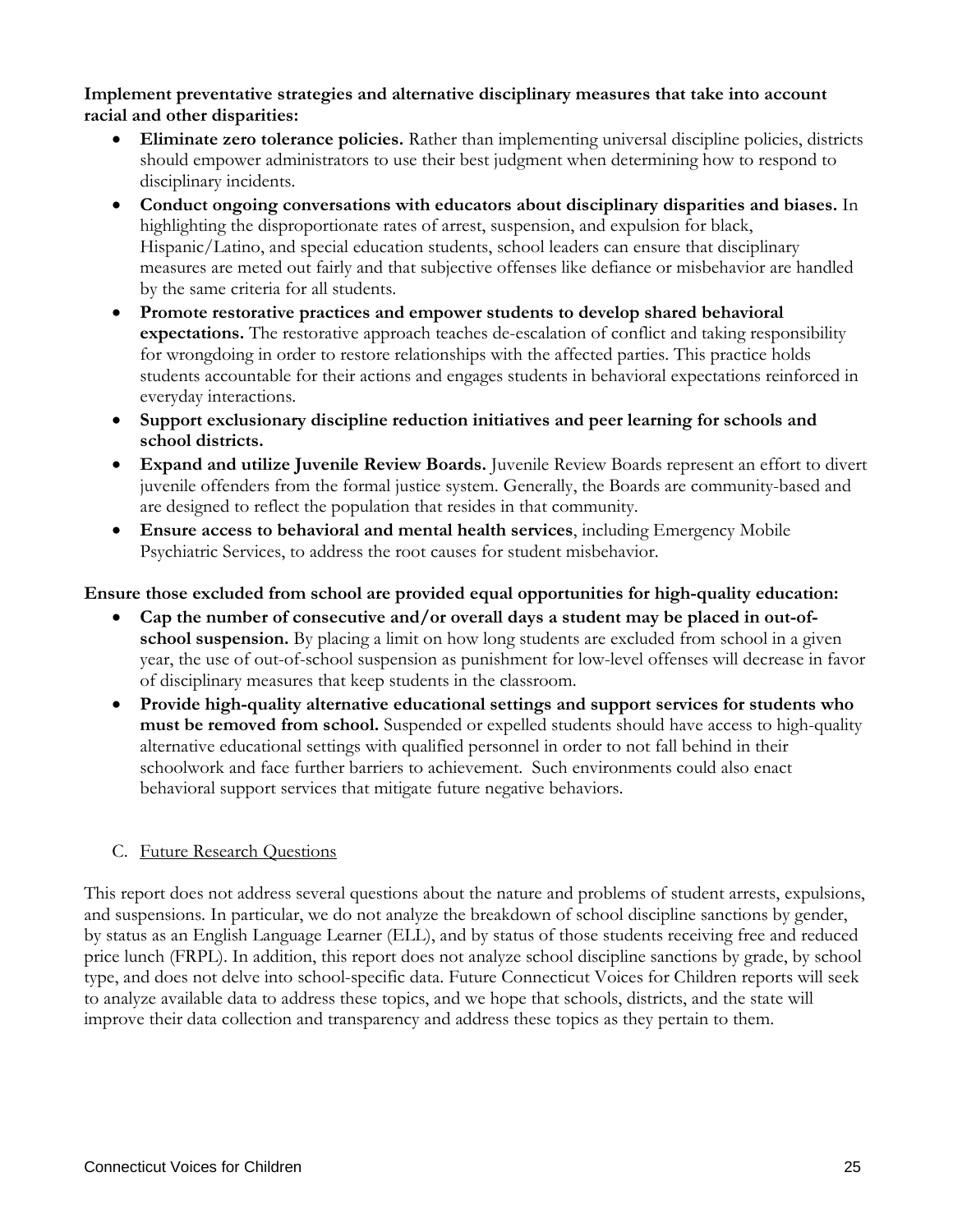#### **Implement preventative strategies and alternative disciplinary measures that take into account racial and other disparities:**

- **Eliminate zero tolerance policies.** Rather than implementing universal discipline policies, districts should empower administrators to use their best judgment when determining how to respond to disciplinary incidents.
- **Conduct ongoing conversations with educators about disciplinary disparities and biases.** In highlighting the disproportionate rates of arrest, suspension, and expulsion for black, Hispanic/Latino, and special education students, school leaders can ensure that disciplinary measures are meted out fairly and that subjective offenses like defiance or misbehavior are handled by the same criteria for all students.
- **Promote restorative practices and empower students to develop shared behavioral expectations.** The restorative approach teaches de-escalation of conflict and taking responsibility for wrongdoing in order to restore relationships with the affected parties. This practice holds students accountable for their actions and engages students in behavioral expectations reinforced in everyday interactions.
- **Support exclusionary discipline reduction initiatives and peer learning for schools and school districts.**
- **Expand and utilize Juvenile Review Boards.** Juvenile Review Boards represent an effort to divert juvenile offenders from the formal justice system. Generally, the Boards are community-based and are designed to reflect the population that resides in that community.
- **Ensure access to behavioral and mental health services**, including Emergency Mobile Psychiatric Services, to address the root causes for student misbehavior.

## **Ensure those excluded from school are provided equal opportunities for high-quality education:**

- **Cap the number of consecutive and/or overall days a student may be placed in out-ofschool suspension.** By placing a limit on how long students are excluded from school in a given year, the use of out-of-school suspension as punishment for low-level offenses will decrease in favor of disciplinary measures that keep students in the classroom.
- **Provide high-quality alternative educational settings and support services for students who must be removed from school.** Suspended or expelled students should have access to high-quality alternative educational settings with qualified personnel in order to not fall behind in their schoolwork and face further barriers to achievement. Such environments could also enact behavioral support services that mitigate future negative behaviors.

## C. Future Research Questions

This report does not address several questions about the nature and problems of student arrests, expulsions, and suspensions. In particular, we do not analyze the breakdown of school discipline sanctions by gender, by status as an English Language Learner (ELL), and by status of those students receiving free and reduced price lunch (FRPL). In addition, this report does not analyze school discipline sanctions by grade, by school type, and does not delve into school-specific data. Future Connecticut Voices for Children reports will seek to analyze available data to address these topics, and we hope that schools, districts, and the state will improve their data collection and transparency and address these topics as they pertain to them.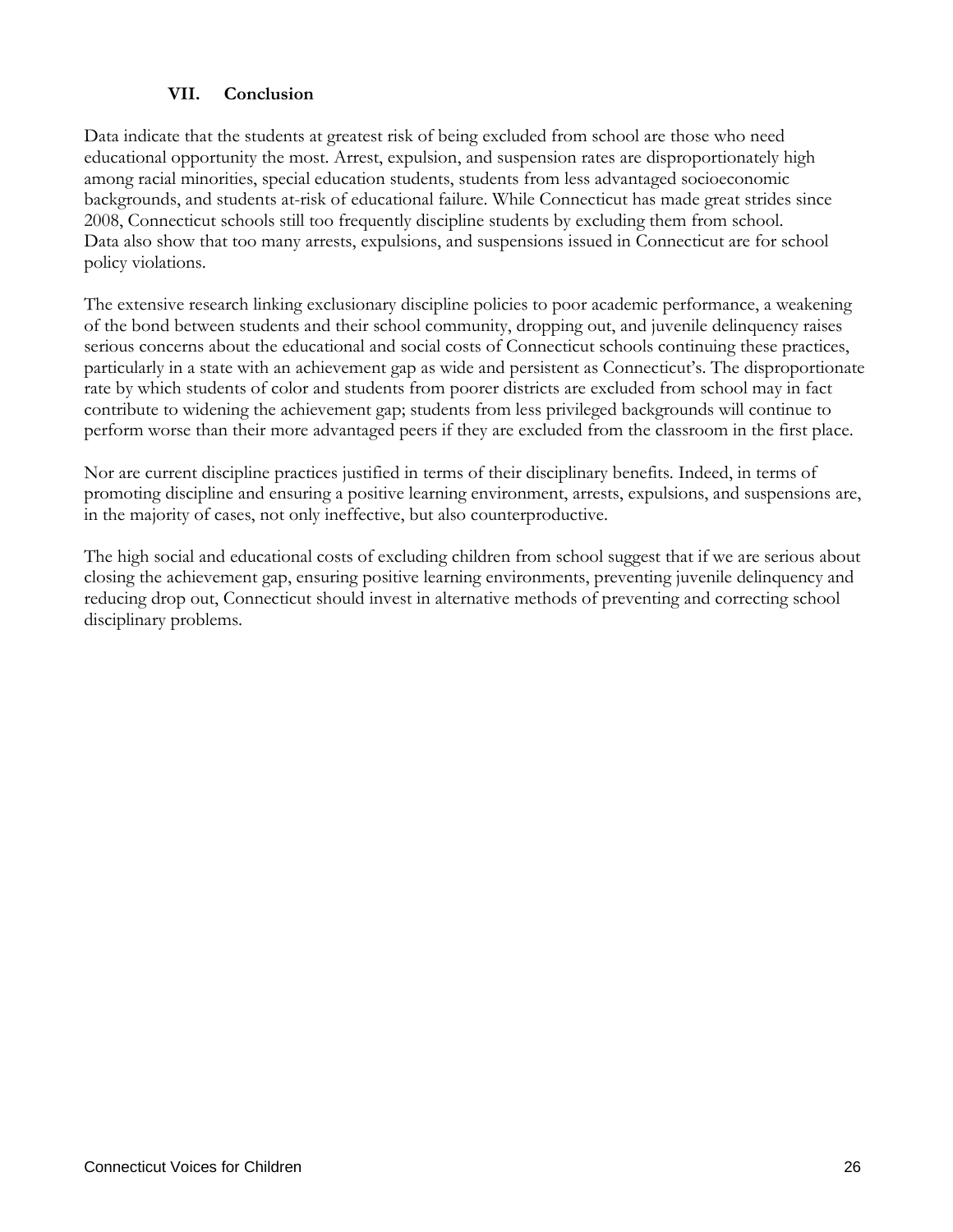#### **VII. Conclusion**

Data indicate that the students at greatest risk of being excluded from school are those who need educational opportunity the most. Arrest, expulsion, and suspension rates are disproportionately high among racial minorities, special education students, students from less advantaged socioeconomic backgrounds, and students at-risk of educational failure. While Connecticut has made great strides since 2008, Connecticut schools still too frequently discipline students by excluding them from school. Data also show that too many arrests, expulsions, and suspensions issued in Connecticut are for school policy violations.

The extensive research linking exclusionary discipline policies to poor academic performance, a weakening of the bond between students and their school community, dropping out, and juvenile delinquency raises serious concerns about the educational and social costs of Connecticut schools continuing these practices, particularly in a state with an achievement gap as wide and persistent as Connecticut's. The disproportionate rate by which students of color and students from poorer districts are excluded from school may in fact contribute to widening the achievement gap; students from less privileged backgrounds will continue to perform worse than their more advantaged peers if they are excluded from the classroom in the first place.

Nor are current discipline practices justified in terms of their disciplinary benefits. Indeed, in terms of promoting discipline and ensuring a positive learning environment, arrests, expulsions, and suspensions are, in the majority of cases, not only ineffective, but also counterproductive.

The high social and educational costs of excluding children from school suggest that if we are serious about closing the achievement gap, ensuring positive learning environments, preventing juvenile delinquency and reducing drop out, Connecticut should invest in alternative methods of preventing and correcting school disciplinary problems.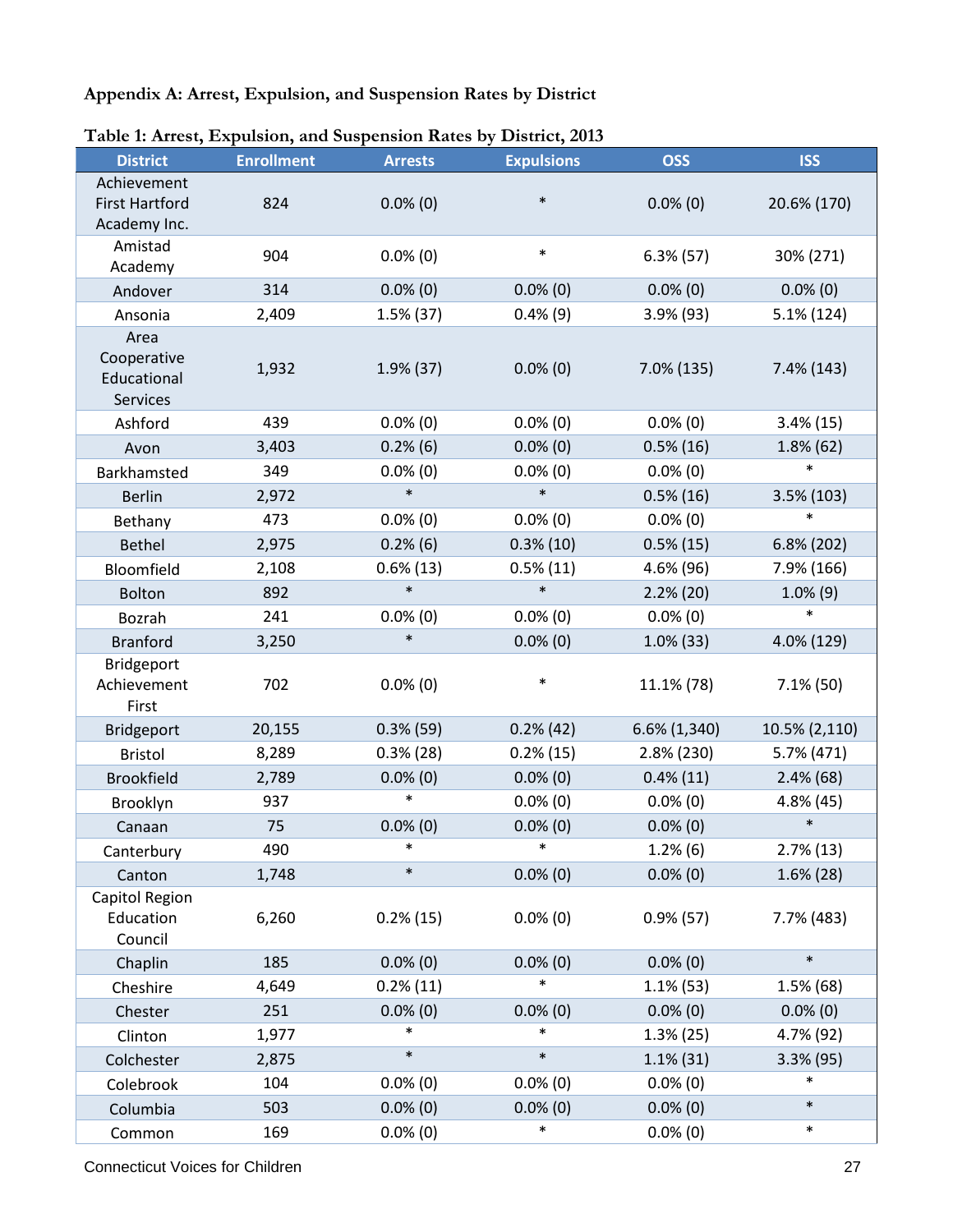## **Appendix A: Arrest, Expulsion, and Suspension Rates by District**

| <b>District</b>                                      | <b>Enrollment</b> | <b>Arrests</b> | <b>Expulsions</b> | <b>OSS</b>    | <b>ISS</b>    |
|------------------------------------------------------|-------------------|----------------|-------------------|---------------|---------------|
| Achievement<br><b>First Hartford</b><br>Academy Inc. | 824               | $0.0\%$ (0)    | $\ast$            | $0.0\%$ (0)   | 20.6% (170)   |
| Amistad<br>Academy                                   | 904               | $0.0\%$ (0)    | $\ast$            | $6.3\%$ (57)  | 30% (271)     |
| Andover                                              | 314               | $0.0\%$ (0)    | $0.0\%$ (0)       | $0.0\%$ (0)   | $0.0\%$ (0)   |
| Ansonia                                              | 2,409             | $1.5\%$ (37)   | $0.4\%$ (9)       | $3.9\%$ (93)  | 5.1% (124)    |
| Area<br>Cooperative<br>Educational<br>Services       | 1,932             | $1.9\%$ (37)   | $0.0\%$ (0)       | $7.0\%$ (135) | 7.4% (143)    |
| Ashford                                              | 439               | $0.0\%$ (0)    | $0.0\%$ (0)       | $0.0\%$ (0)   | $3.4\%$ (15)  |
| Avon                                                 | 3,403             | 0.2%(6)        | $0.0\%$ (0)       | $0.5\%$ (16)  | 1.8% (62)     |
| Barkhamsted                                          | 349               | $0.0\%$ (0)    | $0.0\%$ (0)       | $0.0\%$ (0)   | $\ast$        |
| <b>Berlin</b>                                        | 2,972             | $\ast$         | $\ast$            | $0.5\%$ (16)  | 3.5% (103)    |
| Bethany                                              | 473               | $0.0\%$ (0)    | $0.0\%$ (0)       | $0.0\%$ (0)   | $\ast$        |
| <b>Bethel</b>                                        | 2,975             | 0.2%(6)        | $0.3\%$ (10)      | $0.5\%$ (15)  | $6.8\%$ (202) |
| Bloomfield                                           | 2,108             | $0.6\%$ (13)   | $0.5\%$ (11)      | 4.6% (96)     | 7.9% (166)    |
| <b>Bolton</b>                                        | 892               | $\ast$         | $\ast$            | $2.2\%$ (20)  | $1.0\%$ (9)   |
| Bozrah                                               | 241               | $0.0\%$ (0)    | $0.0\%$ (0)       | $0.0\%$ (0)   | $\ast$        |
| <b>Branford</b>                                      | 3,250             | $\ast$         | $0.0\%$ (0)       | $1.0\%$ (33)  | 4.0% (129)    |
| Bridgeport<br>Achievement<br>First                   | 702               | $0.0\%$ (0)    | $\ast$            | 11.1% (78)    | $7.1\%$ (50)  |
| Bridgeport                                           | 20,155            | $0.3\%$ (59)   | $0.2\%$ (42)      | 6.6% (1,340)  | 10.5% (2,110) |
| <b>Bristol</b>                                       | 8,289             | $0.3%$ (28)    | $0.2\%$ (15)      | 2.8% (230)    | 5.7% (471)    |
| <b>Brookfield</b>                                    | 2,789             | $0.0\%$ (0)    | $0.0\%$ (0)       | $0.4\%$ (11)  | $2.4\%$ (68)  |
| Brooklyn                                             | 937               | $\ast$         | $0.0\%$ (0)       | $0.0\%$ (0)   | 4.8% (45)     |
| Canaan                                               | 75                | $0.0\%$ (0)    | $0.0\%$ (0)       | $0.0\%$ (0)   | $\ast$        |
| Canterbury                                           | 490               | $\ast$         | $\ast$            | 1.2%(6)       | $2.7\%$ (13)  |
| Canton                                               | 1,748             | $\ast$         | $0.0\%$ (0)       | $0.0\%$ (0)   | $1.6\%$ (28)  |
| Capitol Region<br>Education<br>Council               | 6,260             | $0.2\%$ (15)   | $0.0\%$ (0)       | $0.9%$ (57)   | 7.7% (483)    |
| Chaplin                                              | 185               | $0.0\%$ (0)    | $0.0\%$ (0)       | $0.0\%$ (0)   | $\ast$        |
| Cheshire                                             | 4,649             | $0.2\%$ (11)   | $\ast$            | $1.1\%$ (53)  | $1.5\%$ (68)  |
| Chester                                              | 251               | $0.0\%$ (0)    | $0.0\%$ (0)       | $0.0\%$ (0)   | $0.0\%$ (0)   |
| Clinton                                              | 1,977             | $\ast$         | $\ast$            | 1.3% (25)     | 4.7% (92)     |
| Colchester                                           | 2,875             | $\ast$         | $\ast$            | $1.1\%$ (31)  | $3.3\%$ (95)  |
| Colebrook                                            | 104               | $0.0\%$ (0)    | $0.0\%$ (0)       | $0.0\%$ (0)   | $\ast$        |
| Columbia                                             | 503               | $0.0\%$ (0)    | $0.0\%$ (0)       | $0.0\%$ (0)   | $\ast$        |
| Common                                               | 169               | $0.0\%$ (0)    | $\ast$            | $0.0\%$ (0)   | $\ast$        |

#### **Table 1: Arrest, Expulsion, and Suspension Rates by District, 2013**

**Connecticut Voices for Children** 27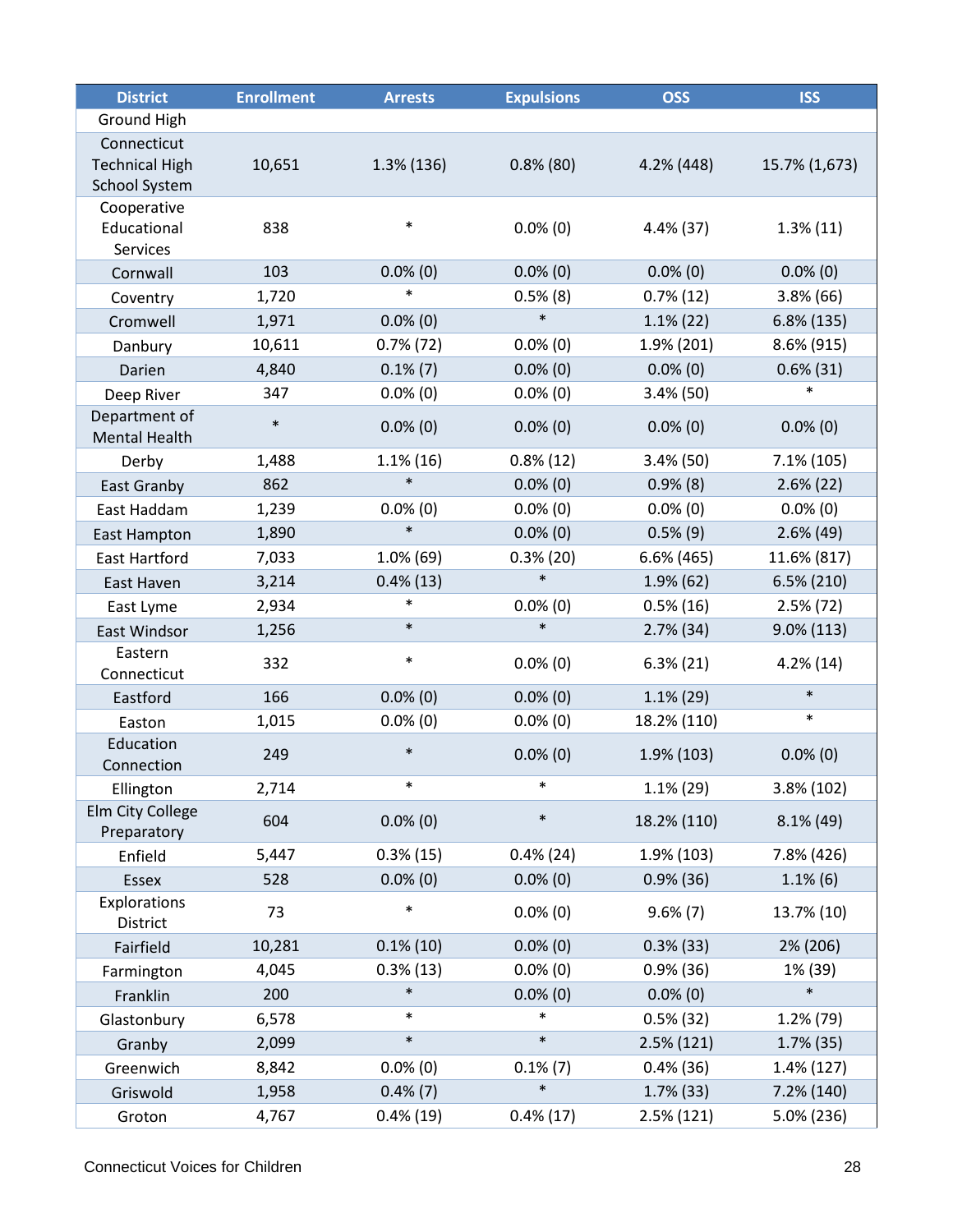| <b>District</b>                                              | <b>Enrollment</b> | <b>Arrests</b> | <b>Expulsions</b> | <b>OSS</b>    | <b>ISS</b>    |
|--------------------------------------------------------------|-------------------|----------------|-------------------|---------------|---------------|
| Ground High                                                  |                   |                |                   |               |               |
| Connecticut<br><b>Technical High</b><br><b>School System</b> | 10,651            | $1.3\%$ (136)  | $0.8\%$ (80)      | $4.2\%$ (448) | 15.7% (1,673) |
| Cooperative<br>Educational<br>Services                       | 838               | $\ast$         | $0.0\%$ (0)       | $4.4\%$ (37)  | $1.3\%$ (11)  |
| Cornwall                                                     | 103               | $0.0\%$ (0)    | $0.0\%$ (0)       | $0.0\%$ (0)   | $0.0\%$ (0)   |
| Coventry                                                     | 1,720             | $\ast$         | $0.5\%$ (8)       | $0.7\%$ (12)  | $3.8\%$ (66)  |
| Cromwell                                                     | 1,971             | $0.0\%$ (0)    | $\ast$            | $1.1\%$ (22)  | $6.8\%$ (135) |
| Danbury                                                      | 10,611            | $0.7\%$ (72)   | $0.0\%$ (0)       | $1.9\%$ (201) | 8.6% (915)    |
| Darien                                                       | 4,840             | $0.1\%$ (7)    | $0.0\%$ (0)       | $0.0\%$ (0)   | $0.6\%$ (31)  |
| Deep River                                                   | 347               | $0.0\%$ (0)    | $0.0\%$ (0)       | $3.4\%$ (50)  | $\ast$        |
| Department of<br><b>Mental Health</b>                        | $\ast$            | $0.0\%$ (0)    | $0.0\%$ (0)       | $0.0\%$ (0)   | $0.0\%$ (0)   |
| Derby                                                        | 1,488             | $1.1\%$ (16)   | $0.8\%$ (12)      | $3.4\%$ (50)  | $7.1\%$ (105) |
| East Granby                                                  | 862               | $\ast$         | $0.0\%$ (0)       | 0.9%(8)       | $2.6\%$ (22)  |
| East Haddam                                                  | 1,239             | $0.0\%$ (0)    | $0.0\%$ (0)       | $0.0\%$ (0)   | $0.0\%$ (0)   |
| <b>East Hampton</b>                                          | 1,890             | $\ast$         | $0.0\%$ (0)       | $0.5\%$ (9)   | $2.6\%$ (49)  |
| <b>East Hartford</b>                                         | 7,033             | $1.0\%$ (69)   | $0.3\%$ (20)      | 6.6% (465)    | 11.6% (817)   |
| East Haven                                                   | 3,214             | $0.4\%$ (13)   | $\ast$            | $1.9\%$ (62)  | $6.5\%$ (210) |
| East Lyme                                                    | 2,934             | $\ast$         | $0.0\%$ (0)       | $0.5\%$ (16)  | $2.5\%$ (72)  |
| East Windsor                                                 | 1,256             | $\ast$         | $\ast$            | $2.7\%$ (34)  | $9.0\% (113)$ |
| Eastern<br>Connecticut                                       | 332               | $\ast$         | $0.0\%$ (0)       | $6.3\% (21)$  | 4.2%(14)      |
| Eastford                                                     | 166               | $0.0\%$ (0)    | $0.0\%$ (0)       | $1.1\%$ (29)  | $\ast$        |
| Easton                                                       | 1,015             | $0.0\%$ (0)    | $0.0\%$ (0)       | 18.2% (110)   | $\ast$        |
| Education<br>Connection                                      | 249               | $\ast$         | $0.0\%$ (0)       | $1.9\%$ (103) | $0.0\%$ (0)   |
| Ellington                                                    | 2,714             | $\ast$         | $\ast$            | $1.1\%$ (29)  | 3.8% (102)    |
| Elm City College<br>Preparatory                              | 604               | $0.0\%$ (0)    | $\ast$            | 18.2% (110)   | $8.1\%$ (49)  |
| Enfield                                                      | 5,447             | $0.3\%$ (15)   | $0.4\%$ (24)      | 1.9% (103)    | 7.8% (426)    |
| Essex                                                        | 528               | $0.0\%$ (0)    | $0.0\%$ (0)       | $0.9\%$ (36)  | $1.1\%$ (6)   |
| Explorations<br>District                                     | 73                | $\ast$         | $0.0\%$ (0)       | $9.6\% (7)$   | 13.7% (10)    |
| Fairfield                                                    | 10,281            | $0.1\%$ (10)   | $0.0\%$ (0)       | $0.3\%$ (33)  | 2% (206)      |
| Farmington                                                   | 4,045             | $0.3\%$ (13)   | $0.0\%$ (0)       | 0.9%(36)      | 1% (39)       |
| Franklin                                                     | 200               | $\ast$         | $0.0\%$ (0)       | $0.0\%$ (0)   | $\ast$        |
| Glastonbury                                                  | 6,578             | $\ast$         |                   | $0.5\%$ (32)  | $1.2%$ (79)   |
| Granby                                                       | 2,099             | $\ast$         | $\ast$            | 2.5% (121)    | $1.7\%$ (35)  |
| Greenwich                                                    | 8,842             | $0.0\%$ (0)    | $0.1\%$ (7)       | $0.4\%$ (36)  | 1.4% (127)    |
| Griswold                                                     | 1,958             | $0.4\%$ $(7)$  | $\ast$            | $1.7\%$ (33)  | 7.2% (140)    |
| Groton                                                       | 4,767             | $0.4\%$ (19)   | $0.4\%$ (17)      | 2.5% (121)    | 5.0% (236)    |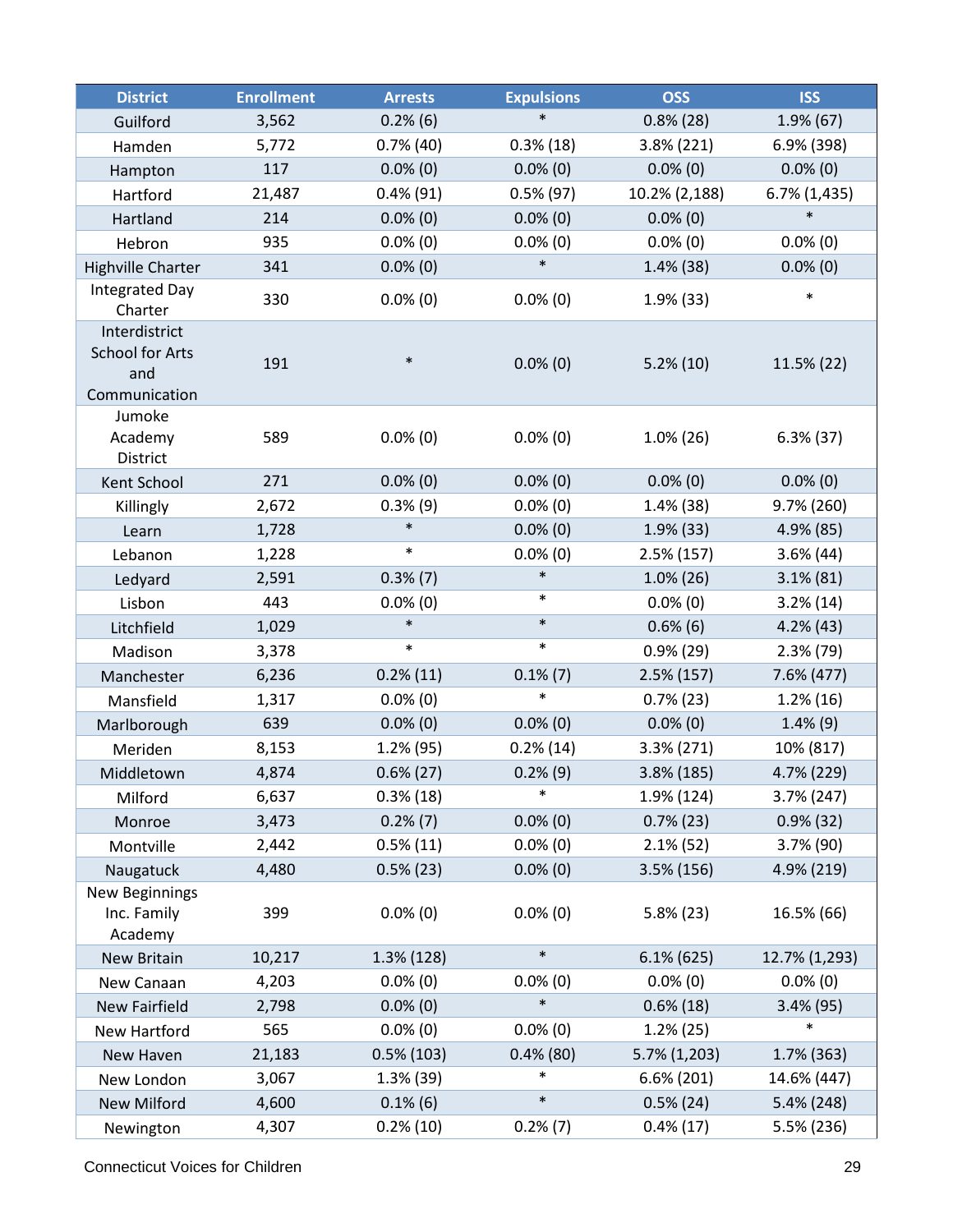| <b>District</b>                                                 | <b>Enrollment</b> | <b>Arrests</b> | <b>Expulsions</b> | <b>OSS</b>    | <b>ISS</b>      |
|-----------------------------------------------------------------|-------------------|----------------|-------------------|---------------|-----------------|
| Guilford                                                        | 3,562             | 0.2%(6)        | $\ast$            | $0.8\%$ (28)  | $1.9\%$ (67)    |
| Hamden                                                          | 5,772             | $0.7\%$ (40)   | $0.3\%$ (18)      | $3.8\%$ (221) | 6.9% (398)      |
| Hampton                                                         | 117               | $0.0\%$ (0)    | $0.0\%$ (0)       | $0.0\%$ (0)   | $0.0\%$ (0)     |
| Hartford                                                        | 21,487            | $0.4\%$ (91)   | $0.5\%$ (97)      | 10.2% (2,188) | $6.7\%$ (1,435) |
| Hartland                                                        | 214               | $0.0\%$ (0)    | $0.0\%$ (0)       | $0.0\%$ (0)   | $\ast$          |
| Hebron                                                          | 935               | $0.0\%$ (0)    | $0.0\%$ (0)       | $0.0\%$ (0)   | $0.0\%$ (0)     |
| <b>Highville Charter</b>                                        | 341               | $0.0\%$ (0)    | $\ast$            | $1.4\%$ (38)  | $0.0\%$ (0)     |
| <b>Integrated Day</b><br>Charter                                | 330               | $0.0\%$ (0)    | $0.0\%$ (0)       | $1.9\%$ (33)  | $\ast$          |
| Interdistrict<br><b>School for Arts</b><br>and<br>Communication | 191               | $\ast$         | $0.0\%$ (0)       | $5.2\%(10)$   | 11.5% (22)      |
| Jumoke<br>Academy<br>District                                   | 589               | $0.0\%$ (0)    | $0.0\%$ (0)       | $1.0\%$ (26)  | $6.3\%$ (37)    |
| Kent School                                                     | 271               | $0.0\%$ (0)    | $0.0\%$ (0)       | $0.0\%$ (0)   | $0.0\%$ (0)     |
| Killingly                                                       | 2,672             | 0.3%(9)        | $0.0\%$ (0)       | $1.4\%$ (38)  | 9.7% (260)      |
| Learn                                                           | 1,728             | $\ast$         | $0.0\%$ (0)       | $1.9%$ (33)   | 4.9% (85)       |
| Lebanon                                                         | 1,228             | $\ast$         | $0.0\%$ (0)       | $2.5\%$ (157) | $3.6\%$ (44)    |
| Ledyard                                                         | 2,591             | $0.3\%$ $(7)$  | $\ast$            | $1.0\%$ (26)  | $3.1\% (81)$    |
| Lisbon                                                          | 443               | $0.0\%$ (0)    | $\ast$            | $0.0\%$ (0)   | $3.2\%$ (14)    |
| Litchfield                                                      | 1,029             | $\ast$         | $\ast$            | $0.6\%$ (6)   | $4.2%$ (43)     |
| Madison                                                         | 3,378             | $\ast$         | $\ast$            | $0.9\%$ (29)  | $2.3\%$ (79)    |
| Manchester                                                      | 6,236             | $0.2\%$ (11)   | $0.1\%$ $(7)$     | $2.5\%$ (157) | 7.6% (477)      |
| Mansfield                                                       | 1,317             | $0.0\%$ (0)    | $\ast$            | $0.7\%$ (23)  | $1.2\%$ (16)    |
| Marlborough                                                     | 639               | $0.0\%$ (0)    | $0.0\%$ (0)       | $0.0\%$ (0)   | $1.4\%$ (9)     |
| Meriden                                                         | 8,153             | $1.2%$ (95)    | $0.2\%$ (14)      | $3.3\% (271)$ | 10% (817)       |
| Middletown                                                      | 4,874             | $0.6\%$ (27)   | 0.2%(9)           | 3.8% (185)    | 4.7% (229)      |
| Milford                                                         | 6,637             | $0.3\%$ (18)   | $\ast$            | 1.9% (124)    | 3.7% (247)      |
| Monroe                                                          | 3,473             | $0.2\%$ (7)    | $0.0\%$ (0)       | $0.7\%$ (23)  | $0.9%$ (32)     |
| Montville                                                       | 2,442             | $0.5\%$ (11)   | $0.0\%$ (0)       | $2.1\%$ (52)  | 3.7% (90)       |
| Naugatuck                                                       | 4,480             | $0.5\%$ (23)   | $0.0\%$ (0)       | $3.5\%$ (156) | 4.9% (219)      |
| <b>New Beginnings</b><br>Inc. Family<br>Academy                 | 399               | $0.0\%$ (0)    | $0.0\%$ (0)       | $5.8\%$ (23)  | 16.5% (66)      |
| New Britain                                                     | 10,217            | 1.3% (128)     | $\ast$            | $6.1\%$ (625) | 12.7% (1,293)   |
| New Canaan                                                      | 4,203             | $0.0\%$ (0)    | $0.0\%$ (0)       | $0.0\%$ (0)   | $0.0\%$ (0)     |
| <b>New Fairfield</b>                                            | 2,798             | $0.0\%$ (0)    | $\ast$            | $0.6\%$ (18)  | 3.4% (95)       |
| New Hartford                                                    | 565               | $0.0\%$ (0)    | $0.0\%$ (0)       | 1.2%(25)      | $\ast$          |
| New Haven                                                       | 21,183            | $0.5\%$ (103)  | $0.4\%$ (80)      | 5.7% (1,203)  | 1.7% (363)      |
| New London                                                      | 3,067             | $1.3\%$ (39)   | *                 | $6.6\%$ (201) | 14.6% (447)     |
| New Milford                                                     | 4,600             | $0.1\%$ (6)    | $\ast$            | $0.5\%$ (24)  | 5.4% (248)      |
| Newington                                                       | 4,307             | $0.2\%$ (10)   | 0.2%(7)           | $0.4\%$ (17)  | 5.5% (236)      |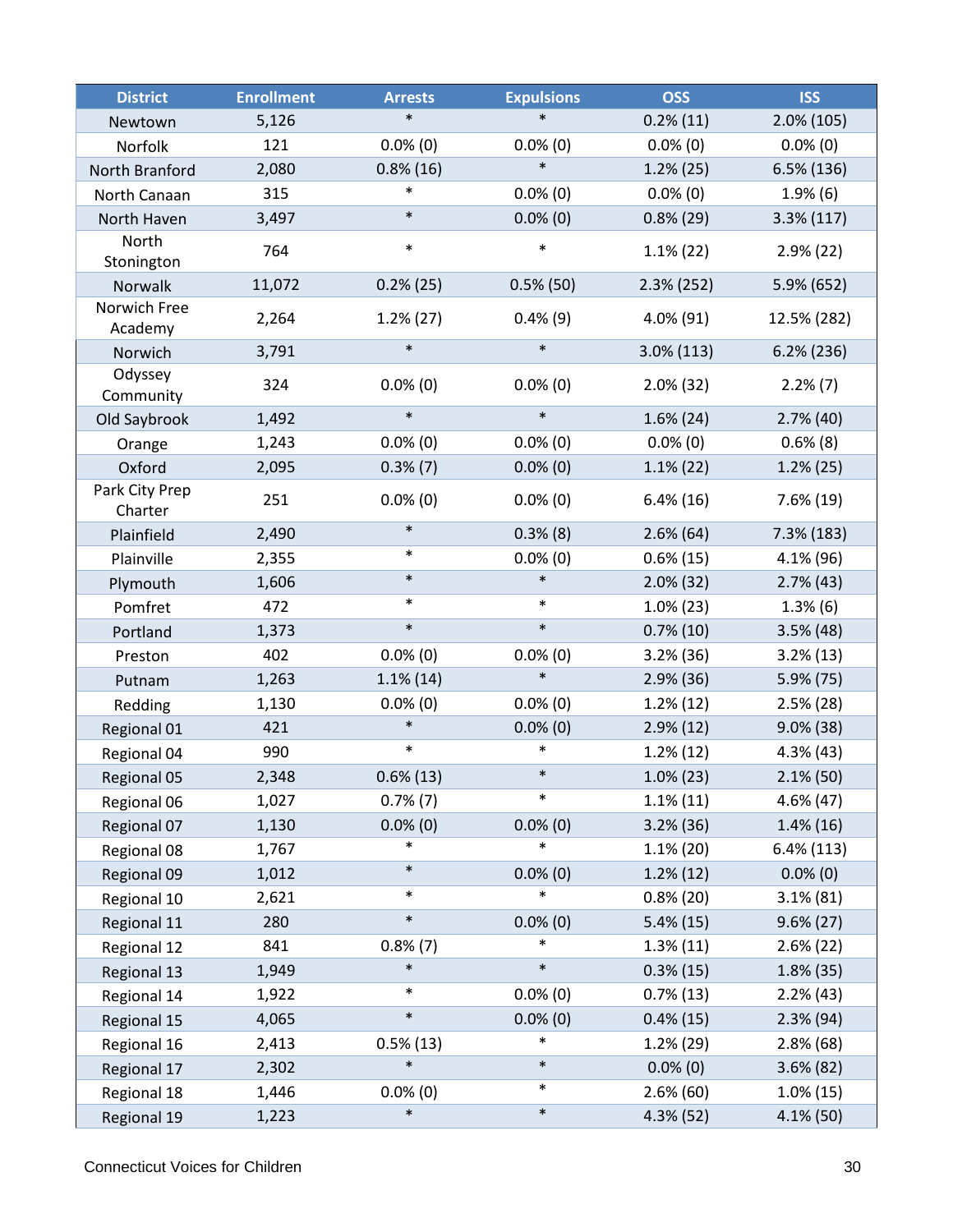| <b>District</b>           | <b>Enrollment</b> | <b>Arrests</b> | <b>Expulsions</b> | <b>OSS</b>    | <b>ISS</b>    |
|---------------------------|-------------------|----------------|-------------------|---------------|---------------|
| Newtown                   | 5,126             | $\ast$         | $\ast$            | $0.2\%$ (11)  | $2.0\%$ (105) |
| Norfolk                   | 121               | $0.0\%$ (0)    | $0.0\%$ (0)       | $0.0\%$ (0)   | $0.0\%$ (0)   |
| North Branford            | 2,080             | $0.8\%$ (16)   | $\ast$            | 1.2%(25)      | 6.5% (136)    |
| North Canaan              | 315               | $\ast$         | $0.0\%$ (0)       | $0.0\%$ (0)   | 1.9%(6)       |
| North Haven               | 3,497             | $\ast$         | $0.0\%$ (0)       | $0.8\%$ (29)  | $3.3\%$ (117) |
| North<br>Stonington       | 764               | $\ast$         | $\ast$            | $1.1\%$ (22)  | 2.9%(22)      |
| Norwalk                   | 11,072            | $0.2\%$ (25)   | $0.5\%$ (50)      | 2.3% (252)    | 5.9% (652)    |
| Norwich Free<br>Academy   | 2,264             | $1.2\%$ (27)   | $0.4\%$ (9)       | $4.0\%$ (91)  | 12.5% (282)   |
| Norwich                   | 3,791             | $\ast$         | $\ast$            | $3.0\%$ (113) | $6.2\%$ (236) |
| Odyssey<br>Community      | 324               | $0.0\%$ (0)    | $0.0\%$ (0)       | $2.0\%$ (32)  | $2.2\%$ (7)   |
| Old Saybrook              | 1,492             | $\ast$         | $\ast$            | $1.6\%$ (24)  | $2.7\%$ (40)  |
| Orange                    | 1,243             | $0.0\%$ (0)    | $0.0\%$ (0)       | $0.0\%$ (0)   | $0.6\%$ (8)   |
| Oxford                    | 2,095             | $0.3\%$ $(7)$  | $0.0\%$ (0)       | $1.1\%$ (22)  | 1.2%(25)      |
| Park City Prep<br>Charter | 251               | $0.0\%$ (0)    | $0.0\%$ (0)       | $6.4\%(16)$   | $7.6\%$ (19)  |
| Plainfield                | 2,490             | $\ast$         | $0.3\%$ (8)       | $2.6\%$ (64)  | $7.3\%$ (183) |
| Plainville                | 2,355             | $\ast$         | $0.0\%$ (0)       | $0.6\%$ (15)  | 4.1% (96)     |
| Plymouth                  | 1,606             | $\ast$         | $\ast$            | $2.0\%$ (32)  | $2.7\%$ (43)  |
| Pomfret                   | 472               | $\ast$         | $\ast$            | $1.0\%$ (23)  | $1.3\%$ (6)   |
| Portland                  | 1,373             | $\ast$         | $\ast$            | $0.7\%$ (10)  | $3.5\%$ (48)  |
| Preston                   | 402               | $0.0\%$ (0)    | $0.0\%$ (0)       | $3.2\%$ (36)  | $3.2\%$ (13)  |
| Putnam                    | 1,263             | $1.1\%$ (14)   | $\ast$            | 2.9%(36)      | $5.9\%$ (75)  |
| Redding                   | 1,130             | $0.0\%$ (0)    | $0.0\%$ (0)       | $1.2\%$ (12)  | $2.5\%$ (28)  |
| Regional 01               | 421               | $\ast$         | $0.0\%$ (0)       | $2.9\%$ (12)  | $9.0\%$ (38)  |
| Regional 04               | 990               | $\ast$         | $\ast$            | $1.2\%$ (12)  | $4.3\%$ (43)  |
| Regional 05               | 2,348             | $0.6\%$ (13)   | $\ast$            | $1.0\%$ (23)  | 2.1% (50)     |
| Regional 06               | 1,027             | $0.7\%$ (7)    | $\ast$            | $1.1\%$ (11)  | $4.6\%$ (47)  |
| Regional 07               | 1,130             | $0.0\%$ (0)    | $0.0\%$ (0)       | $3.2\%$ (36)  | $1.4\%$ (16)  |
| Regional 08               | 1,767             | $\ast$         | $\ast$            | $1.1\%$ (20)  | $6.4\%$ (113) |
| Regional 09               | 1,012             | $\ast$         | $0.0\%$ (0)       | $1.2\%$ (12)  | $0.0\%$ (0)   |
| Regional 10               | 2,621             | $\ast$         | $\ast$            | $0.8\%$ (20)  | $3.1\% (81)$  |
| Regional 11               | 280               | $\ast$         | $0.0\%$ (0)       | $5.4\%(15)$   | $9.6\% (27)$  |
| Regional 12               | 841               | $0.8\%$ $(7)$  | $\ast$            | $1.3\%$ (11)  | $2.6\% (22)$  |
| Regional 13               | 1,949             | $\ast$         | $\ast$            | $0.3\%$ (15)  | 1.8% (35)     |
| Regional 14               | 1,922             | $\ast$         | $0.0\%$ (0)       | $0.7\%$ (13)  | 2.2%(43)      |
| Regional 15               | 4,065             | $\ast$         | $0.0\%$ (0)       | $0.4\%$ (15)  | $2.3\%$ (94)  |
| Regional 16               | 2,413             | $0.5\%$ (13)   | $\ast$            | 1.2%(29)      | $2.8\%$ (68)  |
| Regional 17               | 2,302             | $\ast$         | $\ast$            | $0.0\%$ (0)   | $3.6\% (82)$  |
| Regional 18               | 1,446             | $0.0\%$ (0)    | $\ast$            | $2.6\%$ (60)  | $1.0\%$ (15)  |
| Regional 19               | 1,223             | $\ast$         | $\ast$            | $4.3\%$ (52)  | $4.1\%$ (50)  |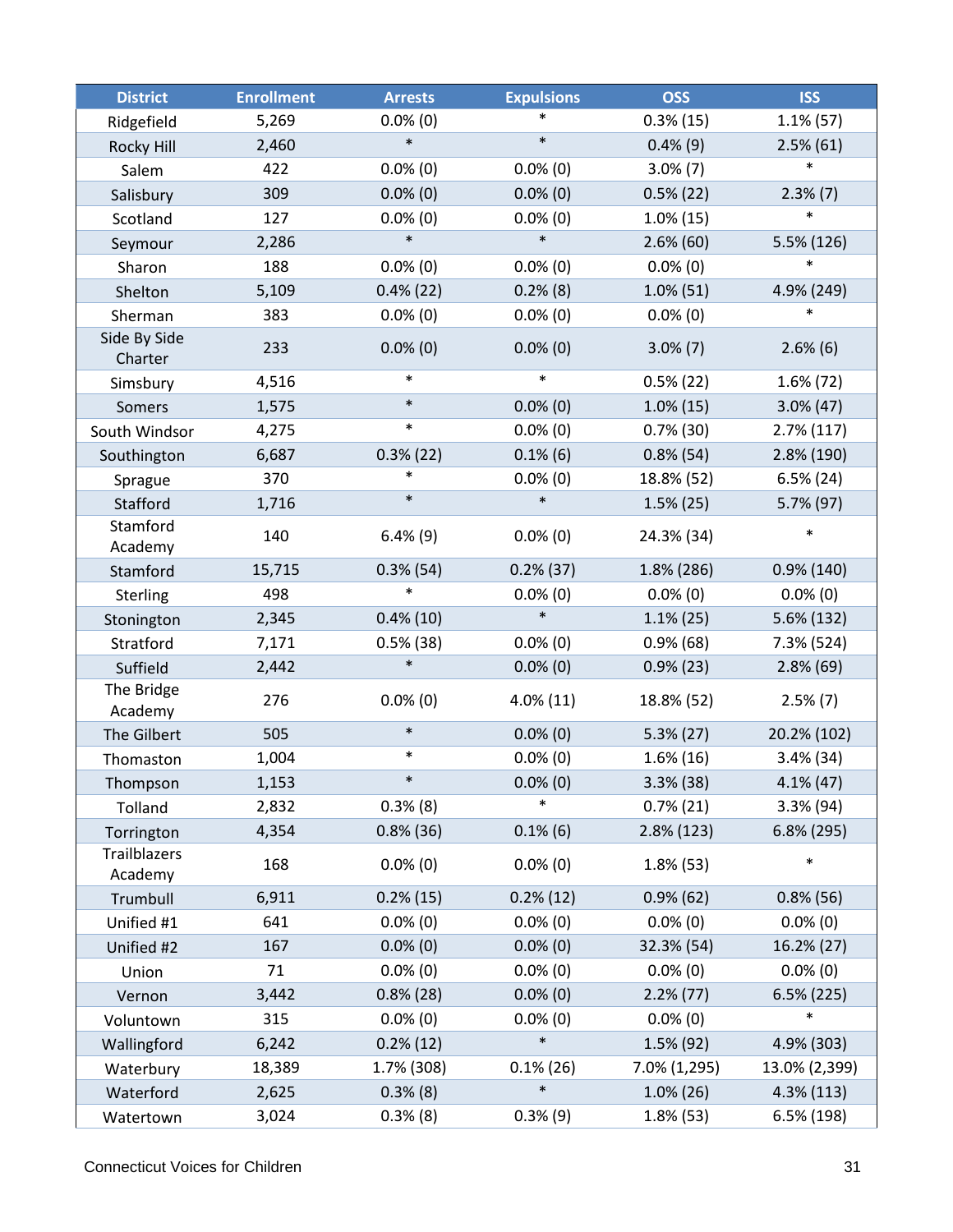| <b>District</b>                | <b>Enrollment</b> | <b>Arrests</b> | <b>Expulsions</b> | <b>OSS</b>    | <b>ISS</b>    |
|--------------------------------|-------------------|----------------|-------------------|---------------|---------------|
| Ridgefield                     | 5,269             | $0.0\%$ (0)    |                   | $0.3\%$ (15)  | $1.1\%$ (57)  |
| Rocky Hill                     | 2,460             | $\ast$         | $\ast$            | $0.4\%$ (9)   | $2.5\%$ (61)  |
| Salem                          | 422               | $0.0\%$ (0)    | $0.0\%$ (0)       | $3.0\%$ (7)   | $\ast$        |
| Salisbury                      | 309               | $0.0\%$ (0)    | $0.0\%$ (0)       | $0.5\%$ (22)  | $2.3\%$ $(7)$ |
| Scotland                       | 127               | $0.0\%$ (0)    | $0.0\%$ (0)       | $1.0\%$ (15)  | $\ast$        |
| Seymour                        | 2,286             | $\ast$         | $\ast$            | $2.6\%$ (60)  | 5.5% (126)    |
| Sharon                         | 188               | $0.0\%$ (0)    | $0.0\%$ (0)       | $0.0\%$ (0)   | $\ast$        |
| Shelton                        | 5,109             | $0.4\%$ (22)   | $0.2\%$ (8)       | $1.0\%$ (51)  | 4.9% (249)    |
| Sherman                        | 383               | $0.0\%$ (0)    | $0.0\%$ (0)       | $0.0\%$ (0)   | $\ast$        |
| Side By Side<br>Charter        | 233               | $0.0\%$ (0)    | $0.0\%$ (0)       | $3.0\%$ (7)   | $2.6\%$ (6)   |
| Simsbury                       | 4,516             | $\ast$         | $\ast$            | $0.5\%$ (22)  | $1.6\%$ (72)  |
| Somers                         | 1,575             | $\ast$         | $0.0\%$ (0)       | $1.0\%$ (15)  | $3.0\%$ (47)  |
| South Windsor                  | 4,275             | $\ast$         | $0.0\%$ (0)       | $0.7\%$ (30)  | $2.7\%$ (117) |
| Southington                    | 6,687             | $0.3\%$ (22)   | $0.1\%$ (6)       | $0.8\%$ (54)  | 2.8% (190)    |
| Sprague                        | 370               | $\ast$         | $0.0\%$ (0)       | 18.8% (52)    | $6.5\% (24)$  |
| Stafford                       | 1,716             | $\ast$         | $\ast$            | $1.5\%$ (25)  | 5.7% (97)     |
| Stamford<br>Academy            | 140               | $6.4\%$ (9)    | $0.0\%$ (0)       | 24.3% (34)    | $\ast$        |
| Stamford                       | 15,715            | $0.3\%$ (54)   | $0.2\%$ (37)      | 1.8% (286)    | $0.9\%$ (140) |
| Sterling                       | 498               | $\ast$         | $0.0\%$ (0)       | $0.0\%$ (0)   | $0.0\%$ (0)   |
| Stonington                     | 2,345             | $0.4\%$ (10)   | $\ast$            | $1.1\%$ (25)  | 5.6% (132)    |
| Stratford                      | 7,171             | $0.5\%$ (38)   | $0.0\%$ (0)       | $0.9\%$ (68)  | 7.3% (524)    |
| Suffield                       | 2,442             | $\ast$         | $0.0\%$ (0)       | $0.9\%$ (23)  | $2.8\%$ (69)  |
| The Bridge<br>Academy          | 276               | $0.0\%$ (0)    | $4.0\%$ (11)      | 18.8% (52)    | $2.5\%$ (7)   |
| The Gilbert                    | 505               | $\ast$         | $0.0\%$ (0)       | $5.3\% (27)$  | 20.2% (102)   |
| Thomaston                      | 1,004             | $\ast$         | $0.0\%$ (0)       | $1.6\%$ (16)  | $3.4\%$ (34)  |
| Thompson                       | 1,153             | $\ast$         | $0.0\%$ (0)       | $3.3\%$ (38)  | $4.1\%$ (47)  |
| Tolland                        | 2,832             | 0.3%(8)        | $\ast$            | $0.7\%$ (21)  | 3.3% (94)     |
| Torrington                     | 4,354             | $0.8\%$ (36)   | $0.1\%$ (6)       | $2.8\%$ (123) | 6.8% (295)    |
| <b>Trailblazers</b><br>Academy | 168               | $0.0\%$ (0)    | $0.0\%$ (0)       | $1.8\%$ (53)  | $\ast$        |
| Trumbull                       | 6,911             | $0.2\%$ (15)   | $0.2\%$ (12)      | $0.9\%$ (62)  | $0.8\%$ (56)  |
| Unified #1                     | 641               | $0.0\%$ (0)    | $0.0\%$ (0)       | $0.0\%$ (0)   | $0.0\%$ (0)   |
| Unified #2                     | 167               | $0.0\%$ (0)    | $0.0\%$ (0)       | 32.3% (54)    | 16.2% (27)    |
| Union                          | 71                | $0.0\%$ (0)    | $0.0\%$ (0)       | $0.0\%$ (0)   | $0.0\%$ (0)   |
| Vernon                         | 3,442             | $0.8\%$ (28)   | $0.0\%$ (0)       | $2.2\%$ (77)  | 6.5% (225)    |
| Voluntown                      | 315               | $0.0\%$ (0)    | $0.0\%$ (0)       | $0.0\%$ (0)   | $\ast$        |
| Wallingford                    | 6,242             | $0.2\%$ (12)   | $\ast$            | 1.5% (92)     | 4.9% (303)    |
| Waterbury                      | 18,389            | 1.7% (308)     | $0.1\%$ (26)      | 7.0% (1,295)  | 13.0% (2,399) |
| Waterford                      | 2,625             | $0.3\%$ (8)    | $\ast$            | $1.0\%$ (26)  | 4.3% (113)    |
| Watertown                      | 3,024             | 0.3% (8)       | 0.3%(9)           | $1.8\%$ (53)  | 6.5% (198)    |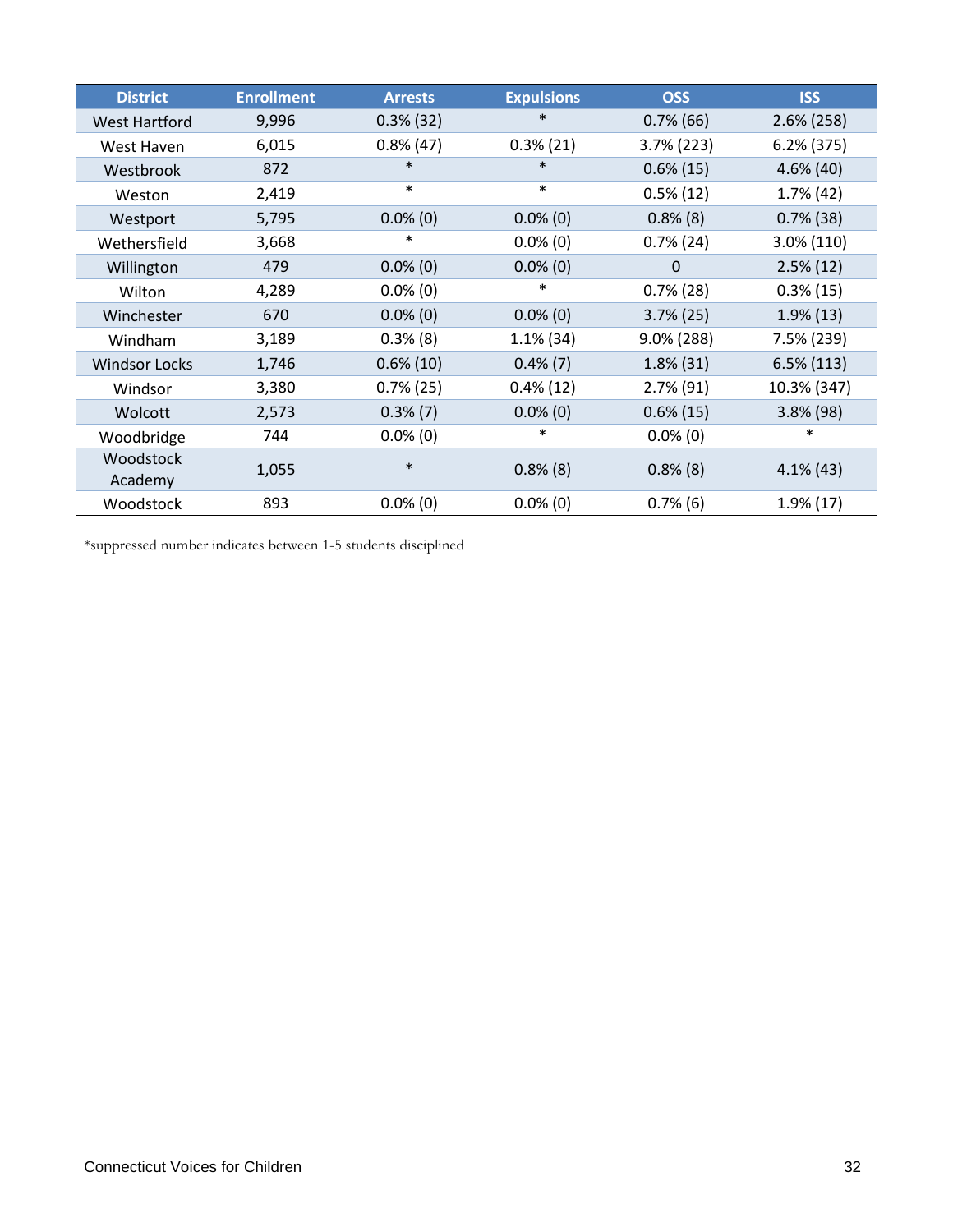| <b>District</b>      | <b>Enrollment</b> | <b>Arrests</b> | <b>Expulsions</b> | <b>OSS</b>    | <b>ISS</b>    |
|----------------------|-------------------|----------------|-------------------|---------------|---------------|
| <b>West Hartford</b> | 9,996             | $0.3\%$ (32)   | $\ast$            | $0.7\%$ (66)  | $2.6\%$ (258) |
| West Haven           | 6,015             | $0.8\%$ (47)   | $0.3\%$ (21)      | $3.7\%$ (223) | $6.2\%$ (375) |
| Westbrook            | 872               | $\ast$         | $\ast$            | $0.6\%$ (15)  | $4.6\%$ (40)  |
| Weston               | 2,419             | $\ast$         | $\ast$            | $0.5\%$ (12)  | $1.7\%$ (42)  |
| Westport             | 5,795             | $0.0\%$ (0)    | $0.0\%$ (0)       | $0.8\%$ (8)   | $0.7\%$ (38)  |
| Wethersfield         | 3,668             | ∗              | $0.0\%$ (0)       | $0.7\%$ (24)  | 3.0% (110)    |
| Willington           | 479               | $0.0\%$ (0)    | $0.0\%$ (0)       | $\Omega$      | $2.5\%$ (12)  |
| Wilton               | 4,289             | $0.0\%$ (0)    | $\ast$            | $0.7\%$ (28)  | $0.3\%$ (15)  |
| Winchester           | 670               | $0.0\%$ (0)    | $0.0\%$ (0)       | $3.7\%$ (25)  | $1.9\%$ (13)  |
| Windham              | 3,189             | $0.3\%$ (8)    | $1.1\%$ (34)      | 9.0% (288)    | 7.5% (239)    |
| <b>Windsor Locks</b> | 1,746             | $0.6\%$ (10)   | $0.4\%$ (7)       | $1.8\%$ (31)  | $6.5\%$ (113) |
| Windsor              | 3,380             | $0.7\%$ (25)   | $0.4\%$ (12)      | $2.7\%$ (91)  | 10.3% (347)   |
| Wolcott              | 2,573             | $0.3\%$ (7)    | $0.0\%$ (0)       | $0.6\%$ (15)  | $3.8\%$ (98)  |
| Woodbridge           | 744               | $0.0\%$ (0)    | $\ast$            | $0.0\%$ (0)   | $\ast$        |
| Woodstock<br>Academy | 1,055             | $\ast$         | $0.8\%$ (8)       | $0.8\%$ (8)   | $4.1\%$ (43)  |
| Woodstock            | 893               | $0.0\%$ (0)    | $0.0\%$ (0)       | $0.7\%$ (6)   | $1.9\%$ (17)  |

\*suppressed number indicates between 1-5 students disciplined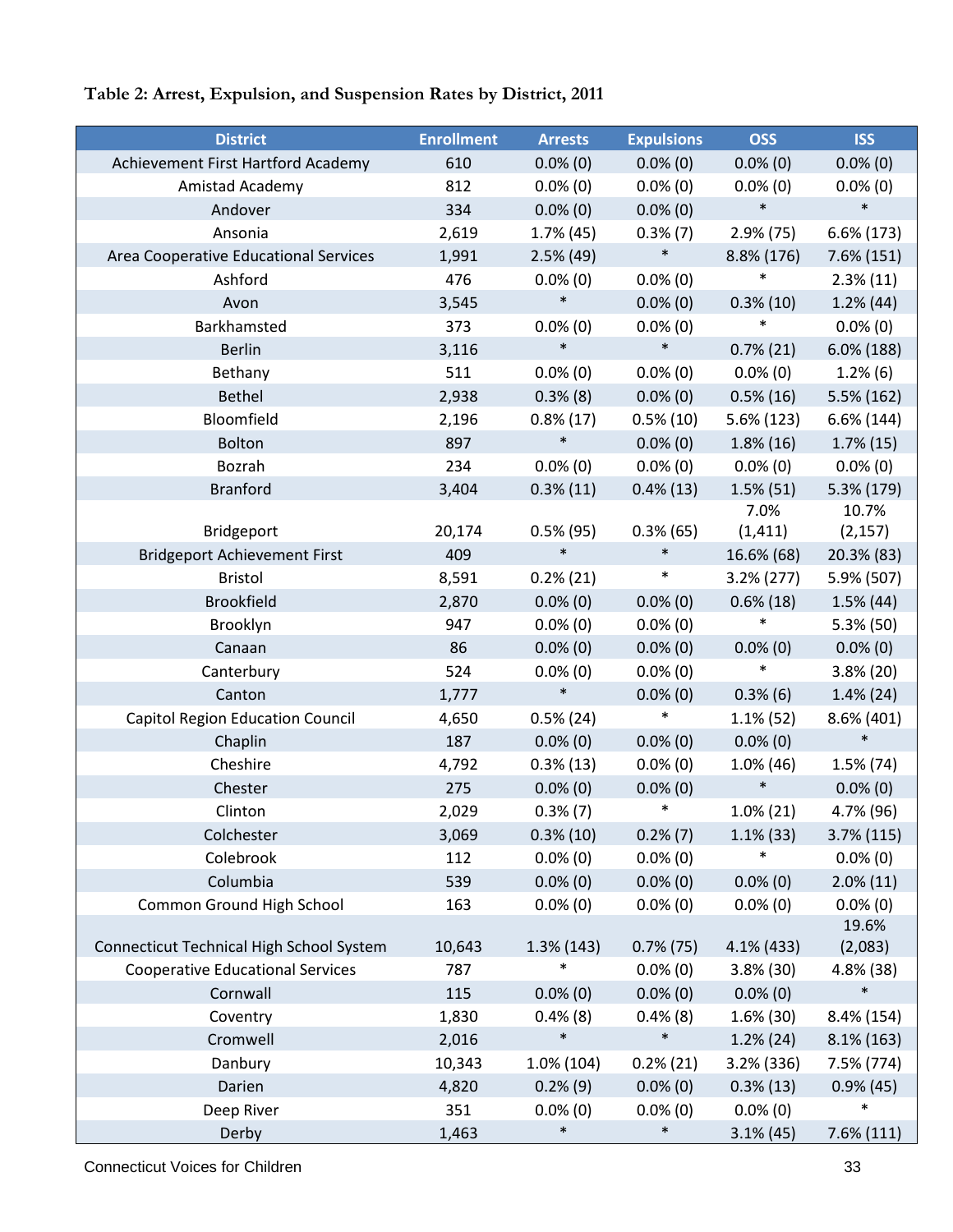## **Table 2: Arrest, Expulsion, and Suspension Rates by District, 2011**

| <b>District</b>                          | <b>Enrollment</b> | <b>Arrests</b>        | <b>Expulsions</b>     | <b>OSS</b>    | <b>ISS</b>          |
|------------------------------------------|-------------------|-----------------------|-----------------------|---------------|---------------------|
| Achievement First Hartford Academy       | 610               | $0.0\%$ (0)           | $0.0\%$ (0)           | $0.0\%$ (0)   | $0.0\%$ (0)         |
| Amistad Academy                          | 812               | $0.0\%$ (0)           | $0.0\%$ (0)           | $0.0\%$ (0)   | $0.0\%$ (0)         |
| Andover                                  | 334               | $0.0\%$ (0)           | $0.0\%$ (0)           | $\ast$        | $\ast$              |
| Ansonia                                  | 2,619             | 1.7% (45)             | $0.3\%$ (7)           | $2.9\%$ (75)  | $6.6\%$ (173)       |
| Area Cooperative Educational Services    | 1,991             | $2.5\%$ (49)          | $\ast$                | 8.8% (176)    | $7.6\%$ (151)       |
| Ashford                                  | 476               | $0.0\%$ (0)           | $0.0\%$ (0)           | $\ast$        | $2.3\%$ (11)        |
| Avon                                     | 3,545             | $\ast$                | $0.0\%$ (0)           | $0.3\%$ (10)  | 1.2%(44)            |
| Barkhamsted                              | 373               | $0.0\%$ (0)           | $0.0\%$ (0)           | $\ast$        | $0.0\%$ (0)         |
| <b>Berlin</b>                            | 3,116             | $\ast$                | $\ast$                | $0.7\%$ (21)  | $6.0\%$ (188)       |
| Bethany                                  | 511               | $0.0\%$ (0)           | $0.0\%$ (0)           | $0.0\%$ (0)   | 1.2%(6)             |
| <b>Bethel</b>                            | 2,938             | $0.3\%$ (8)           | $0.0\%$ (0)           | $0.5\%$ (16)  | 5.5% (162)          |
| Bloomfield                               | 2,196             | $0.8\%$ (17)          | $0.5\%$ (10)          | 5.6% (123)    | 6.6% (144)          |
| <b>Bolton</b>                            | 897               | $\ast$                | $0.0\%$ (0)           | $1.8\%$ (16)  | $1.7\%$ (15)        |
| Bozrah                                   | 234               | $0.0\%$ (0)           | $0.0\%$ (0)           | $0.0\%$ (0)   | $0.0\%$ (0)         |
| <b>Branford</b>                          | 3,404             | $0.3\%$ (11)          | $0.4\%$ (13)          | $1.5\%$ (51)  | 5.3% (179)          |
|                                          |                   |                       |                       | 7.0%          | 10.7%               |
| Bridgeport                               | 20,174            | $0.5\%$ (95)          | $0.3\%$ (65)          | (1, 411)      | (2, 157)            |
| <b>Bridgeport Achievement First</b>      | 409               | $\ast$                | $\ast$                | 16.6% (68)    | 20.3% (83)          |
| <b>Bristol</b>                           | 8,591             | $0.2\% (21)$          | $\ast$                | $3.2\% (277)$ | 5.9% (507)          |
| <b>Brookfield</b>                        | 2,870             | $0.0\%$ (0)           | $0.0\%$ (0)           | $0.6\%$ (18)  | $1.5\%$ (44)        |
| Brooklyn                                 | 947               | $0.0\%$ (0)           | $0.0\%$ (0)           | $\ast$        | $5.3\%$ (50)        |
| Canaan                                   | 86                | $0.0\%$ (0)           | $0.0\%$ (0)           | $0.0\%$ (0)   | $0.0\%$ (0)         |
| Canterbury                               | 524               | $0.0\%$ (0)           | $0.0\%$ (0)           | $\ast$        | 3.8% (20)           |
| Canton                                   | 1,777             | $\ast$                | $0.0\%$ (0)           | $0.3\%$ (6)   | $1.4\%$ (24)        |
| <b>Capitol Region Education Council</b>  | 4,650             | $0.5\%$ (24)          | $\ast$                | $1.1\%$ (52)  | 8.6% (401)          |
| Chaplin                                  | 187               | $0.0\%$ (0)           | $0.0\%$ (0)           | $0.0\%$ (0)   | $\ast$              |
| Cheshire                                 | 4,792             | $0.3\%$ (13)          | $0.0\%$ (0)           | $1.0\%$ (46)  | 1.5% (74)           |
| Chester                                  | 275               | $0.0\%$ (0)           | $0.0\%$ (0)           | $\ast$        | $0.0\%$ (0)         |
| Clinton                                  | 2,029             | $0.3\%$ (7)           | $\ast$                | $1.0\%$ (21)  | 4.7% (96)           |
| Colchester                               | 3,069             | $0.3\%$ (10)          | $0.2\%$ (7)           | $1.1\%$ (33)  | $3.7\%$ (115)       |
| Colebrook                                | 112               | $0.0\%$ (0)           | $0.0\%$ (0)           |               | $0.0\%$ (0)         |
| Columbia                                 | 539               | $0.0\%$ (0)           | $0.0\%$ (0)           | $0.0\%$ (0)   | $2.0\%$ (11)        |
| Common Ground High School                | 163               | $0.0\%$ (0)           | $0.0\%$ (0)           | $0.0\%$ (0)   | $0.0\%$ (0)         |
|                                          |                   |                       |                       |               | 19.6%               |
| Connecticut Technical High School System | 10,643            | 1.3% (143)            | $0.7\%$ (75)          | 4.1% (433)    | (2,083)             |
| <b>Cooperative Educational Services</b>  | 787               |                       | $0.0\%$ (0)           | $3.8\%$ (30)  | 4.8% (38)<br>$\ast$ |
| Cornwall                                 | 115               | $0.0\%$ (0)           | $0.0\%$ (0)           | $0.0\%$ (0)   |                     |
| Coventry                                 | 1,830             | $0.4\%$ (8)<br>$\ast$ | $0.4\%$ (8)<br>$\ast$ | $1.6\%$ (30)  | 8.4% (154)          |
| Cromwell                                 | 2,016             |                       |                       | 1.2%(24)      | $8.1\%$ (163)       |
| Danbury                                  | 10,343            | 1.0% (104)            | $0.2\%$ (21)          | 3.2% (336)    | 7.5% (774)          |
| Darien                                   | 4,820             | $0.2\%$ (9)           | $0.0\%$ (0)           | $0.3\%$ (13)  | $0.9\%$ (45)        |
| Deep River                               | 351               | $0.0\%$ (0)           | $0.0\%$ (0)           | $0.0\%$ (0)   | $\ast$              |
| Derby                                    | 1,463             | $\ast$                | $\ast$                | $3.1\%$ (45)  | $7.6\%$ (111)       |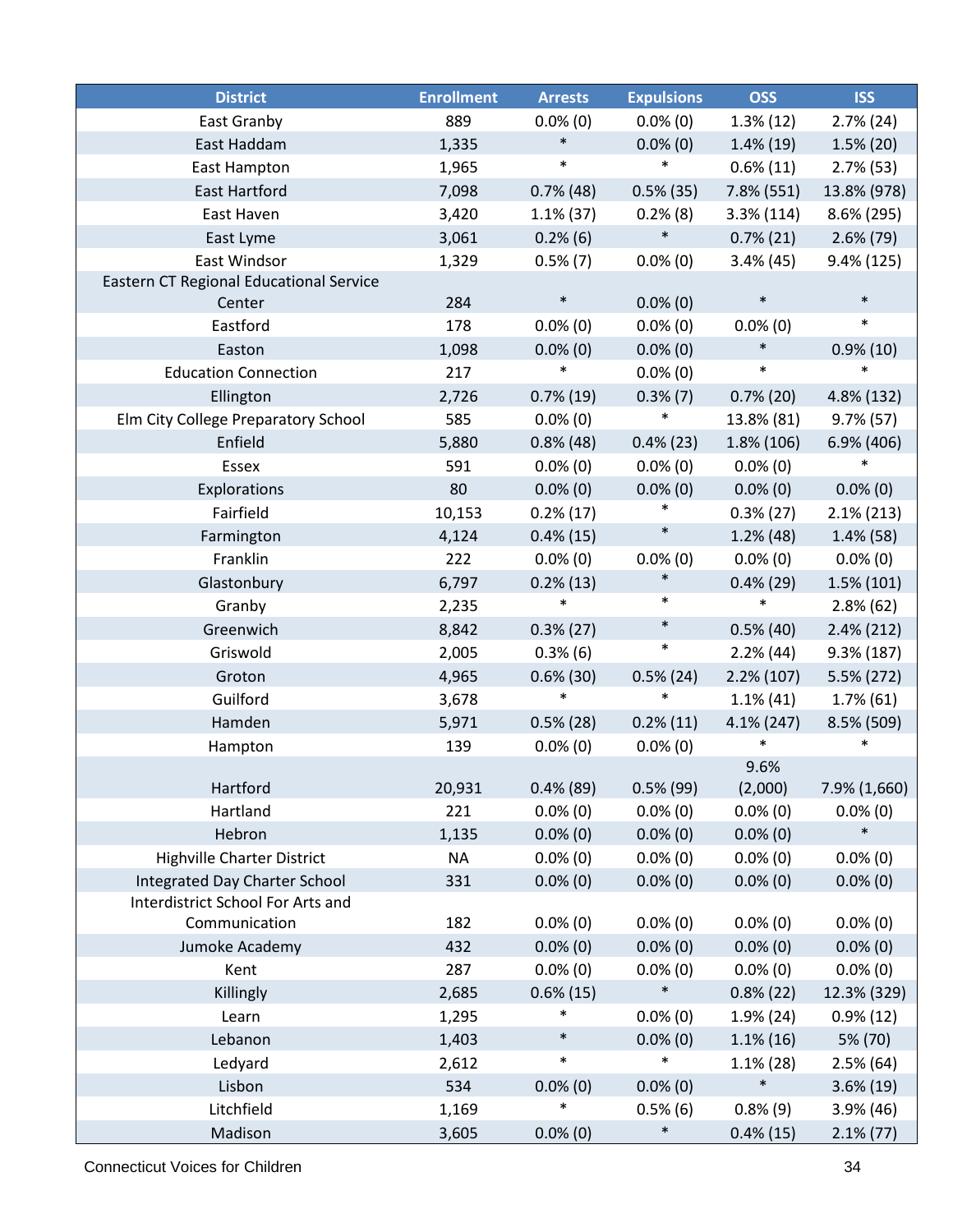| <b>District</b>                         | <b>Enrollment</b> | <b>Arrests</b> | <b>Expulsions</b> | <b>OSS</b>    | <b>ISS</b>    |
|-----------------------------------------|-------------------|----------------|-------------------|---------------|---------------|
| East Granby                             | 889               | $0.0\%$ (0)    | $0.0\%$ (0)       | $1.3\%$ (12)  | $2.7\%$ (24)  |
| East Haddam                             | 1,335             | $\ast$         | $0.0\%$ (0)       | $1.4\%$ (19)  | $1.5\%$ (20)  |
| <b>East Hampton</b>                     | 1,965             | $\ast$         | $\ast$            | $0.6\%$ (11)  | $2.7\%$ (53)  |
| <b>East Hartford</b>                    | 7,098             | $0.7\%$ (48)   | $0.5\%$ (35)      | 7.8% (551)    | 13.8% (978)   |
| East Haven                              | 3,420             | $1.1\%$ (37)   | $0.2\%$ (8)       | $3.3\%$ (114) | 8.6% (295)    |
| East Lyme                               | 3,061             | $0.2\%$ (6)    | $\ast$            | $0.7\%$ (21)  | $2.6\%$ (79)  |
| <b>East Windsor</b>                     | 1,329             | $0.5\%$ (7)    | $0.0\%$ (0)       | $3.4\%$ (45)  | 9.4% (125)    |
| Eastern CT Regional Educational Service |                   |                |                   |               |               |
| Center                                  | 284               | $\ast$         | $0.0\%$ (0)       | $\ast$        | $\ast$        |
| Eastford                                | 178               | $0.0\%$ (0)    | $0.0\%$ (0)       | $0.0\%$ (0)   | $\ast$        |
| Easton                                  | 1,098             | $0.0\%$ (0)    | $0.0\%$ (0)       | $\ast$        | $0.9\%$ (10)  |
| <b>Education Connection</b>             | 217               | $\ast$         | $0.0\%$ (0)       | $\ast$        | $\ast$        |
| Ellington                               | 2,726             | $0.7\%$ (19)   | $0.3\%$ (7)       | $0.7\%$ (20)  | 4.8% (132)    |
| Elm City College Preparatory School     | 585               | $0.0\%$ (0)    | $\ast$            | 13.8% (81)    | $9.7\%$ (57)  |
| Enfield                                 | 5,880             | $0.8\%$ (48)   | $0.4\%$ (23)      | 1.8% (106)    | 6.9% (406)    |
| Essex                                   | 591               | $0.0\%$ (0)    | $0.0\%$ (0)       | $0.0\%$ (0)   | $\ast$        |
| Explorations                            | 80                | $0.0\%$ (0)    | $0.0\%$ (0)       | $0.0\%$ (0)   | $0.0\%$ (0)   |
| Fairfield                               | 10,153            | $0.2\%$ (17)   | $\ast$            | $0.3\%$ (27)  | $2.1\%$ (213) |
| Farmington                              | 4,124             | $0.4\%$ (15)   | $\ast$            | $1.2\%$ (48)  | $1.4\%$ (58)  |
| Franklin                                | 222               | $0.0\%$ (0)    | $0.0\%$ (0)       | $0.0\%$ (0)   | $0.0\%$ (0)   |
| Glastonbury                             | 6,797             | $0.2\%$ (13)   | $\ast$            | $0.4\%$ (29)  | $1.5\%$ (101) |
| Granby                                  | 2,235             | $\ast$         | $\ast$            | $\ast$        | $2.8\%$ (62)  |
| Greenwich                               | 8,842             | $0.3\%$ (27)   | $\ast$            | $0.5\%$ (40)  | $2.4\%$ (212) |
| Griswold                                | 2,005             | $0.3\%$ (6)    | $\ast$            | 2.2%(44)      | $9.3\%$ (187) |
| Groton                                  | 4,965             | $0.6\%$ (30)   | $0.5\%$ (24)      | $2.2\%$ (107) | 5.5% (272)    |
| Guilford                                | 3,678             | $\ast$         | $\ast$            | $1.1\%$ (41)  | $1.7\%$ (61)  |
| Hamden                                  | 5,971             | $0.5\%$ (28)   | $0.2\%$ (11)      | $4.1\%$ (247) | 8.5% (509)    |
| Hampton                                 | 139               | $0.0\%$ (0)    | $0.0\%$ (0)       | *             | $\ast$        |
|                                         |                   |                |                   | 9.6%          |               |
| Hartford                                | 20,931            | $0.4\%$ (89)   | $0.5\%$ (99)      | (2,000)       | 7.9% (1,660)  |
| Hartland                                | 221               | $0.0\%$ (0)    | $0.0\%$ (0)       | $0.0\%$ (0)   | $0.0\%$ (0)   |
| Hebron                                  | 1,135             | $0.0\%$ (0)    | $0.0\%$ (0)       | $0.0\%$ (0)   | $\ast$        |
| <b>Highville Charter District</b>       | <b>NA</b>         | $0.0\%$ (0)    | $0.0\%$ (0)       | $0.0\%$ (0)   | $0.0\%$ (0)   |
| Integrated Day Charter School           | 331               | $0.0\%$ (0)    | $0.0\%$ (0)       | $0.0\%$ (0)   | $0.0\%$ (0)   |
| Interdistrict School For Arts and       |                   |                |                   |               |               |
| Communication                           | 182               | $0.0\%$ (0)    | $0.0\%$ (0)       | $0.0\%$ (0)   | $0.0\%$ (0)   |
| Jumoke Academy                          | 432               | $0.0\%$ (0)    | $0.0\%$ (0)       | $0.0\%$ (0)   | $0.0\%$ (0)   |
| Kent                                    | 287               | $0.0\%$ (0)    | $0.0\%$ (0)       | $0.0\%$ (0)   | $0.0\%$ (0)   |
| Killingly                               | 2,685             | $0.6\%$ (15)   | $\ast$            | $0.8\%$ (22)  | 12.3% (329)   |
| Learn                                   | 1,295             | $\ast$         | $0.0\%$ (0)       | $1.9\%$ (24)  | $0.9\%$ (12)  |
| Lebanon                                 | 1,403             | $\ast$         | $0.0\%$ (0)       | $1.1\%$ (16)  | 5% (70)       |
| Ledyard                                 | 2,612             | $\ast$         | $\ast$            | $1.1\%$ (28)  | $2.5\%$ (64)  |
| Lisbon                                  | 534               | $0.0\%$ (0)    | $0.0\%$ (0)       | $\ast$        | $3.6\%$ (19)  |
| Litchfield                              | 1,169             | *              | $0.5\%$ (6)       | $0.8\%$ (9)   | $3.9\%$ (46)  |
| Madison                                 | 3,605             | $0.0\%$ (0)    | $\ast$            | $0.4\%$ (15)  | $2.1\%$ (77)  |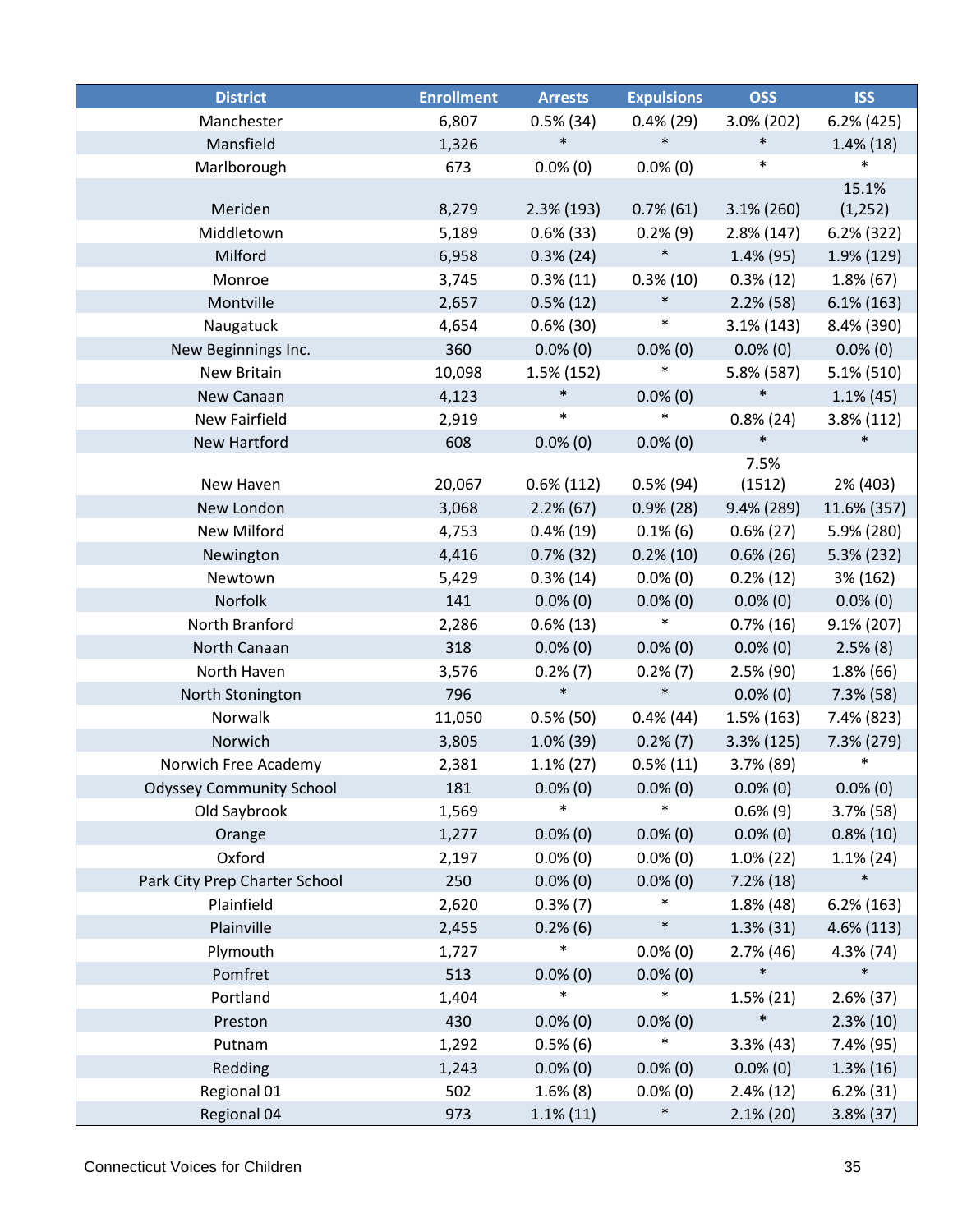| <b>District</b>                 | <b>Enrollment</b> | <b>Arrests</b> | <b>Expulsions</b> | <b>OSS</b>    | <b>ISS</b>    |
|---------------------------------|-------------------|----------------|-------------------|---------------|---------------|
| Manchester                      | 6,807             | $0.5\%$ (34)   | $0.4\%$ (29)      | 3.0% (202)    | $6.2\%$ (425) |
| Mansfield                       | 1,326             | $\ast$         | $\ast$            | $\ast$        | $1.4\%$ (18)  |
| Marlborough                     | 673               | $0.0\%$ (0)    | $0.0\%$ (0)       | $\ast$        | $\ast$        |
|                                 |                   |                |                   |               | 15.1%         |
| Meriden                         | 8,279             | $2.3\%$ (193)  | $0.7\%$ (61)      | $3.1\% (260)$ | (1, 252)      |
| Middletown                      | 5,189             | $0.6\%$ (33)   | 0.2%(9)           | $2.8\%$ (147) | $6.2%$ (322)  |
| Milford                         | 6,958             | $0.3\%$ (24)   | $\ast$            | $1.4\%$ (95)  | 1.9% (129)    |
| Monroe                          | 3,745             | $0.3\%$ (11)   | $0.3\%$ (10)      | $0.3\%$ (12)  | $1.8\%$ (67)  |
| Montville                       | 2,657             | $0.5\%$ (12)   | $\ast$            | $2.2\%$ (58)  | $6.1\%$ (163) |
| Naugatuck                       | 4,654             | $0.6\%$ (30)   | $\ast$            | $3.1\%$ (143) | 8.4% (390)    |
| New Beginnings Inc.             | 360               | $0.0\%$ (0)    | $0.0\%$ (0)       | $0.0\%$ (0)   | $0.0\%$ (0)   |
| New Britain                     | 10,098            | 1.5% (152)     | $\ast$            | 5.8% (587)    | 5.1% (510)    |
| New Canaan                      | 4,123             | $\ast$         | $0.0\%$ (0)       | $\ast$        | $1.1\%$ (45)  |
| New Fairfield                   | 2,919             | $\ast$         | $\ast$            | $0.8\%$ (24)  | 3.8% (112)    |
| <b>New Hartford</b>             | 608               | $0.0\%$ (0)    | $0.0\%$ (0)       | $\ast$        | $\ast$        |
|                                 |                   |                |                   | 7.5%          |               |
| New Haven                       | 20,067            | $0.6\%$ (112)  | $0.5\%$ (94)      | (1512)        | 2% (403)      |
| New London                      | 3,068             | $2.2\%$ (67)   | $0.9\%$ (28)      | $9.4\%$ (289) | 11.6% (357)   |
| <b>New Milford</b>              | 4,753             | $0.4\%$ (19)   | $0.1\%$ (6)       | $0.6\% (27)$  | 5.9% (280)    |
| Newington                       | 4,416             | $0.7\%$ (32)   | $0.2\%$ (10)      | $0.6\%$ (26)  | 5.3% (232)    |
| Newtown                         | 5,429             | $0.3\%$ (14)   | $0.0\%$ (0)       | $0.2\%$ (12)  | 3% (162)      |
| Norfolk                         | 141               | $0.0\%$ (0)    | $0.0\%$ (0)       | $0.0\%$ (0)   | $0.0\%$ (0)   |
| North Branford                  | 2,286             | $0.6\%$ (13)   | $\ast$            | $0.7\%$ (16)  | $9.1\% (207)$ |
| North Canaan                    | 318               | $0.0\%$ (0)    | $0.0\%$ (0)       | $0.0\%$ (0)   | $2.5\%$ (8)   |
| North Haven                     | 3,576             | $0.2\%$ (7)    | $0.2\%$ (7)       | $2.5\%$ (90)  | $1.8\%$ (66)  |
| North Stonington                | 796               | $\ast$         | $\ast$            | $0.0\%$ (0)   | $7.3\%$ (58)  |
| Norwalk                         | 11,050            | $0.5\%$ (50)   | $0.4\%$ (44)      | $1.5\%$ (163) | 7.4% (823)    |
| Norwich                         | 3,805             | $1.0\%$ (39)   | $0.2\%$ (7)       | 3.3% (125)    | 7.3% (279)    |
| Norwich Free Academy            | 2,381             | $1.1\%$ (27)   | $0.5\%$ (11)      | $3.7\%$ (89)  | $\ast$        |
| <b>Odyssey Community School</b> | 181               | $0.0\%$ (0)    | $0.0\%$ (0)       | $0.0\%$ (0)   | $0.0\%$ (0)   |
| Old Saybrook                    | 1,569             |                | $\ast$            | $0.6\%$ (9)   | $3.7\%$ (58)  |
| Orange                          | 1,277             | $0.0\%$ (0)    | $0.0\%$ (0)       | $0.0\%$ (0)   | $0.8\%$ (10)  |
| Oxford                          | 2,197             | $0.0\%$ (0)    | $0.0\%$ (0)       | $1.0\%$ (22)  | $1.1\%$ (24)  |
| Park City Prep Charter School   | 250               | $0.0\%$ (0)    | $0.0\%$ (0)       | $7.2\%$ (18)  | $\ast$        |
| Plainfield                      | 2,620             | $0.3\%$ (7)    | $\ast$            | 1.8%(48)      | $6.2\%$ (163) |
| Plainville                      | 2,455             | 0.2%(6)        | $\ast$            | $1.3\%$ (31)  | 4.6% (113)    |
| Plymouth                        | 1,727             | $\ast$         | $0.0\%$ (0)       | $2.7\%$ (46)  | $4.3\%$ (74)  |
| Pomfret                         | 513               | $0.0\%$ (0)    | $0.0\%$ (0)       | $\ast$        | $\ast$        |
| Portland                        | 1,404             | $\ast$         | $\ast$            | $1.5\%$ (21)  | $2.6\%$ (37)  |
| Preston                         | 430               | $0.0\%$ (0)    | $0.0\%$ (0)       | $\ast$        | $2.3\%$ (10)  |
| Putnam                          | 1,292             | $0.5\%$ (6)    | $\ast$            | $3.3\%$ (43)  | 7.4% (95)     |
| Redding                         | 1,243             | $0.0\%$ (0)    | $0.0\%$ (0)       | $0.0\%$ (0)   | $1.3\%$ (16)  |
| Regional 01                     | 502               | $1.6\%$ (8)    | $0.0\%$ (0)       | $2.4\%$ (12)  | $6.2\%$ (31)  |
| Regional 04                     | 973               | $1.1\%$ (11)   | $\ast$            | $2.1\%$ (20)  | $3.8\%$ (37)  |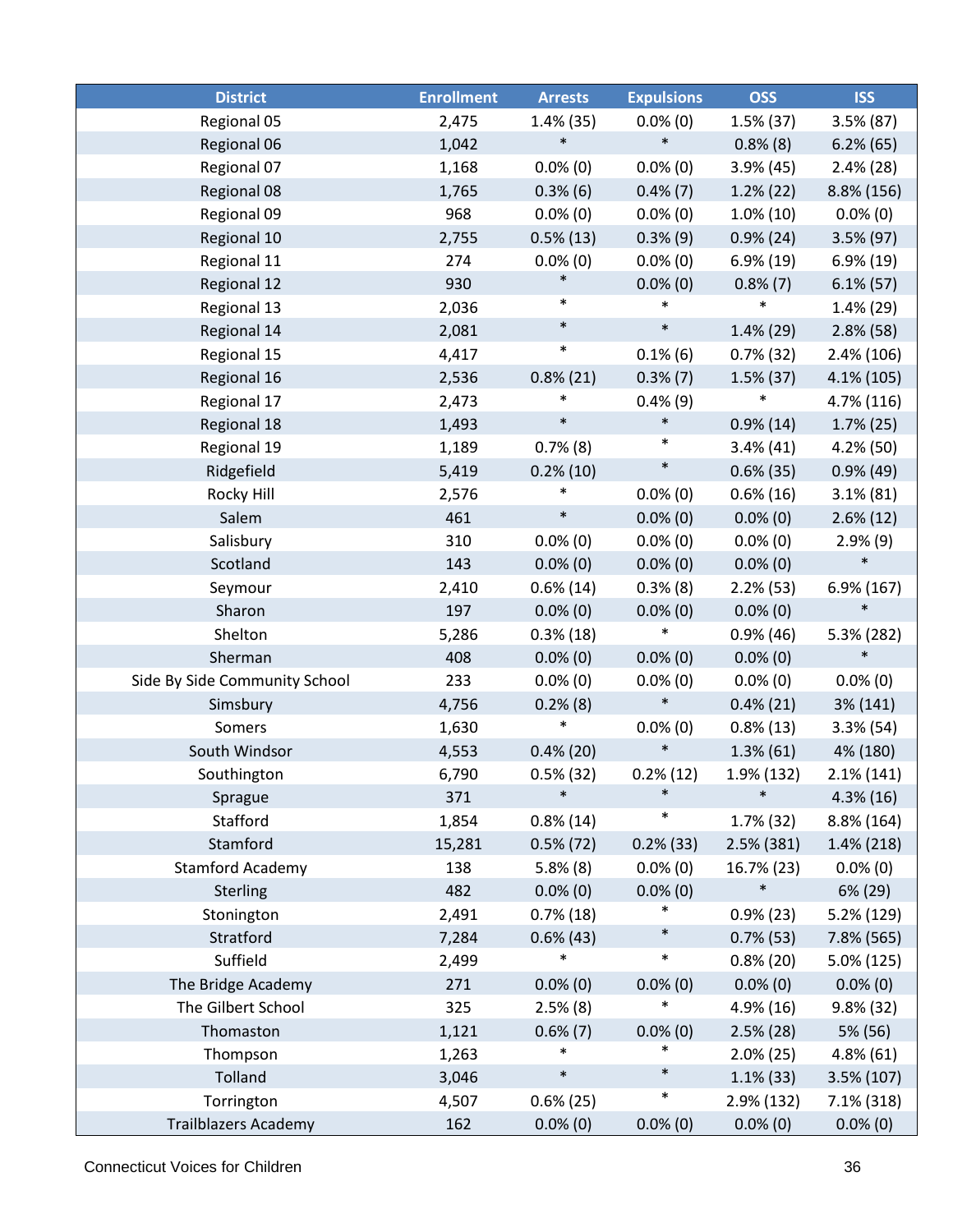| <b>District</b>               | <b>Enrollment</b> | <b>Arrests</b> | <b>Expulsions</b> | <b>OSS</b>    | <b>ISS</b>    |
|-------------------------------|-------------------|----------------|-------------------|---------------|---------------|
| Regional 05                   | 2,475             | 1.4% (35)      | $0.0\%$ (0)       | $1.5\%$ (37)  | $3.5\% (87)$  |
| Regional 06                   | 1,042             | $\ast$         | $\ast$            | $0.8\%$ (8)   | $6.2\%$ (65)  |
| Regional 07                   | 1,168             | $0.0\%$ (0)    | $0.0\%$ (0)       | $3.9\%$ (45)  | $2.4\%$ (28)  |
| Regional 08                   | 1,765             | $0.3\%$ (6)    | $0.4\%$ (7)       | $1.2\%$ (22)  | 8.8% (156)    |
| Regional 09                   | 968               | $0.0\%$ (0)    | $0.0\%$ (0)       | $1.0\%$ (10)  | $0.0\%$ (0)   |
| Regional 10                   | 2,755             | $0.5\%$ (13)   | $0.3\%$ (9)       | $0.9\%$ (24)  | 3.5% (97)     |
| Regional 11                   | 274               | $0.0\%$ (0)    | $0.0\%$ (0)       | $6.9\%$ (19)  | $6.9\%$ (19)  |
| Regional 12                   | 930               | $\ast$         | $0.0\%$ (0)       | $0.8\%$ (7)   | $6.1\%$ (57)  |
| Regional 13                   | 2,036             | $\ast$         | $\ast$            | $\ast$        | 1.4% (29)     |
| Regional 14                   | 2,081             | $\ast$         | $\ast$            | $1.4\%$ (29)  | $2.8\%$ (58)  |
| Regional 15                   | 4,417             | $\ast$         | $0.1\%$ (6)       | $0.7\%$ (32)  | $2.4\%$ (106) |
| Regional 16                   | 2,536             | $0.8\%$ (21)   | $0.3\%$ $(7)$     | $1.5\%$ (37)  | 4.1% (105)    |
| Regional 17                   | 2,473             | $\ast$         | $0.4\%$ (9)       | $\ast$        | 4.7% (116)    |
| Regional 18                   | 1,493             | $\ast$         | $\ast$            | $0.9\%$ (14)  | $1.7\%$ (25)  |
| Regional 19                   | 1,189             | $0.7\%$ (8)    | $\ast$            | $3.4\%$ (41)  | $4.2\%$ (50)  |
| Ridgefield                    | 5,419             | $0.2\%$ (10)   | $\ast$            | $0.6\%$ (35)  | $0.9\%$ (49)  |
| Rocky Hill                    | 2,576             | $\ast$         | $0.0\%$ (0)       | $0.6\%$ (16)  | $3.1\% (81)$  |
| Salem                         | 461               | $\ast$         | $0.0\%$ (0)       | $0.0\%$ (0)   | $2.6\%$ (12)  |
| Salisbury                     | 310               | $0.0\%$ (0)    | $0.0\%$ (0)       | $0.0\%$ (0)   | $2.9\%$ (9)   |
| Scotland                      | 143               | $0.0\%$ (0)    | $0.0\%$ (0)       | $0.0\%$ (0)   | $\ast$        |
| Seymour                       | 2,410             | $0.6\%$ (14)   | $0.3\%$ (8)       | 2.2%(53)      | 6.9% (167)    |
| Sharon                        | 197               | $0.0\%$ (0)    | $0.0\%$ (0)       | $0.0\%$ (0)   | $\ast$        |
| Shelton                       | 5,286             | $0.3\%$ (18)   | $\ast$            | 0.9%(46)      | 5.3% (282)    |
| Sherman                       | 408               | $0.0\%$ (0)    | $0.0\%$ (0)       | $0.0\%$ (0)   | $\ast$        |
| Side By Side Community School | 233               | $0.0\%$ (0)    | $0.0\%$ (0)       | $0.0\%$ (0)   | $0.0\%$ (0)   |
| Simsbury                      | 4,756             | $0.2\%$ (8)    | $\ast$            | $0.4\%$ (21)  | 3% (141)      |
| Somers                        | 1,630             | $\ast$         | $0.0\%$ (0)       | $0.8\%$ (13)  | $3.3\%$ (54)  |
| South Windsor                 | 4,553             | $0.4\%$ (20)   | $\ast$            | $1.3\%$ (61)  | 4% (180)      |
| Southington                   | 6,790             | $0.5\%$ (32)   | $0.2\%$ (12)      | 1.9% (132)    | $2.1\%$ (141) |
| Sprague                       | 371               | $\ast$         | $\ast$            | $\ast$        | $4.3\%$ (16)  |
| Stafford                      | 1,854             | $0.8\%$ (14)   | $\ast$            | $1.7\%$ (32)  | 8.8% (164)    |
| Stamford                      | 15,281            | $0.5\%$ (72)   | $0.2\%$ (33)      | $2.5\%$ (381) | 1.4% (218)    |
| <b>Stamford Academy</b>       | 138               | $5.8\%$ (8)    | $0.0\%$ (0)       | 16.7% (23)    | $0.0\%$ (0)   |
| Sterling                      | 482               | $0.0\%$ (0)    | $0.0\%$ (0)       | $\ast$        | 6% (29)       |
| Stonington                    | 2,491             | $0.7\%$ (18)   | $\ast$            | $0.9\%$ (23)  | 5.2% (129)    |
| Stratford                     | 7,284             | $0.6\%$ (43)   | $\ast$            | $0.7\%$ (53)  | 7.8% (565)    |
| Suffield                      | 2,499             | $\ast$         | $\ast$            | $0.8\%$ (20)  | 5.0% (125)    |
| The Bridge Academy            | 271               | $0.0\%$ (0)    | $0.0\%$ (0)       | $0.0\%$ (0)   | $0.0\%$ (0)   |
| The Gilbert School            | 325               | $2.5\%$ (8)    | $\ast$            | 4.9% (16)     | 9.8% (32)     |
| Thomaston                     | 1,121             | $0.6\%$ (7)    | $0.0\%$ (0)       | $2.5\%$ (28)  | 5% (56)       |
| Thompson                      | 1,263             | $\ast$         | $\ast$            | $2.0\%$ (25)  | $4.8\%$ (61)  |
| Tolland                       | 3,046             | $\ast$         | $\ast$            | $1.1\%$ (33)  | 3.5% (107)    |
| Torrington                    | 4,507             | $0.6\%$ (25)   | $\ast$            | 2.9% (132)    | 7.1% (318)    |
| <b>Trailblazers Academy</b>   | 162               | $0.0\%$ (0)    | $0.0\%$ (0)       | $0.0\%$ (0)   | $0.0\%$ (0)   |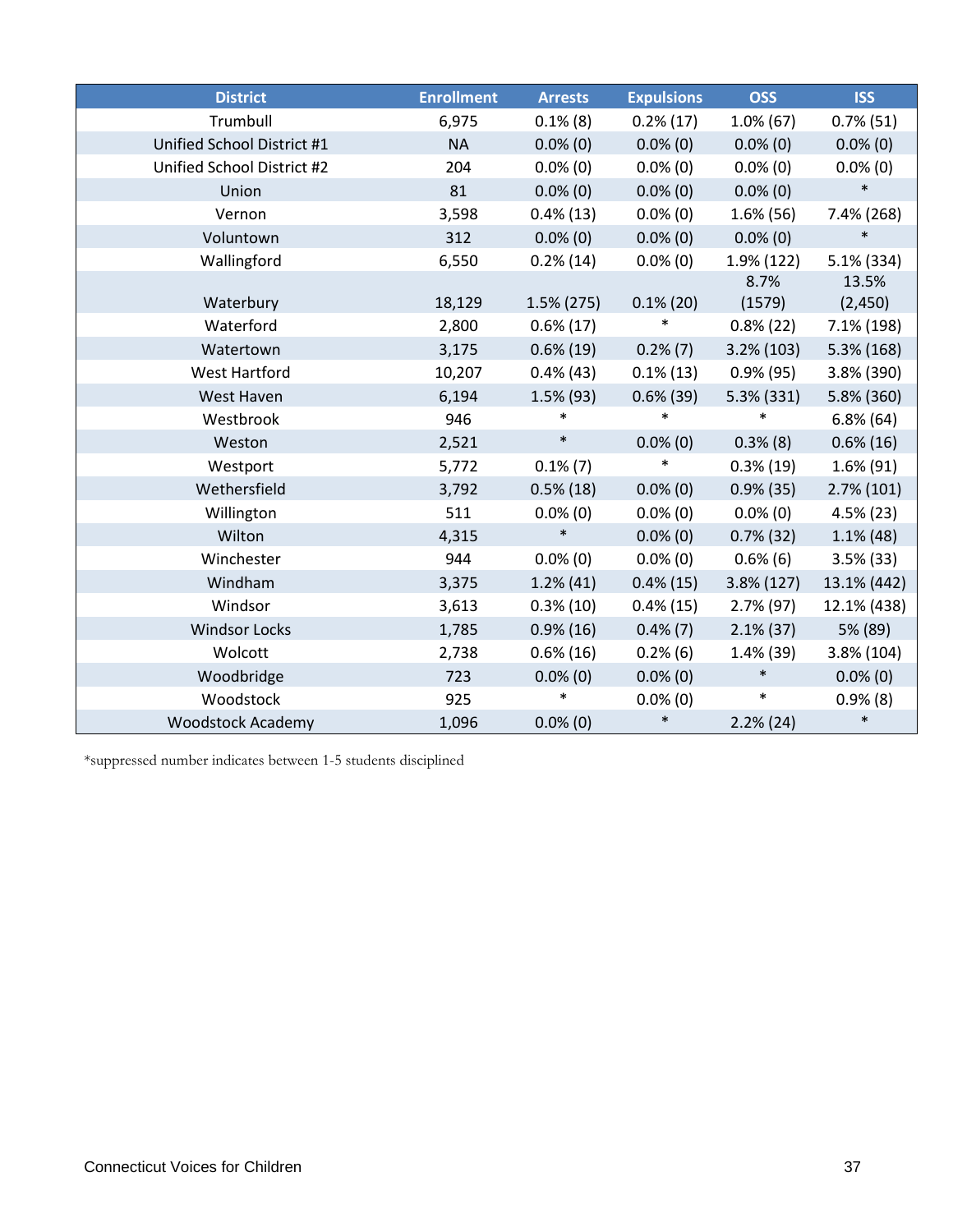| <b>District</b>            | <b>Enrollment</b> | <b>Arrests</b> | <b>Expulsions</b> | <b>OSS</b>    | <b>ISS</b>    |
|----------------------------|-------------------|----------------|-------------------|---------------|---------------|
| Trumbull                   | 6,975             | $0.1\%$ (8)    | $0.2\%$ (17)      | $1.0\%$ (67)  | $0.7\%$ (51)  |
| Unified School District #1 | <b>NA</b>         | $0.0\%$ (0)    | $0.0\%$ (0)       | $0.0\%$ (0)   | $0.0\%$ (0)   |
| Unified School District #2 | 204               | $0.0\%$ (0)    | $0.0\%$ (0)       | $0.0\%$ (0)   | $0.0\%$ (0)   |
| Union                      | 81                | $0.0\%$ (0)    | $0.0\%$ (0)       | $0.0\%$ (0)   | $\ast$        |
| Vernon                     | 3,598             | $0.4\%$ (13)   | $0.0\%$ (0)       | $1.6\%$ (56)  | 7.4% (268)    |
| Voluntown                  | 312               | $0.0\%$ (0)    | $0.0\%$ (0)       | $0.0\%$ (0)   | $\ast$        |
| Wallingford                | 6,550             | $0.2\%$ (14)   | $0.0\%$ (0)       | $1.9\%$ (122) | $5.1\%$ (334) |
|                            |                   |                |                   | 8.7%          | 13.5%         |
| Waterbury                  | 18,129            | $1.5\%$ (275)  | $0.1\%$ (20)      | (1579)        | (2,450)       |
| Waterford                  | 2,800             | $0.6\%$ (17)   | ∗                 | $0.8\%$ (22)  | 7.1% (198)    |
| Watertown                  | 3,175             | $0.6\%$ (19)   | $0.2\%$ (7)       | $3.2\%$ (103) | $5.3\%$ (168) |
| <b>West Hartford</b>       | 10,207            | $0.4\%$ (43)   | $0.1\%$ (13)      | $0.9\%$ (95)  | 3.8% (390)    |
| West Haven                 | 6,194             | $1.5\%$ (93)   | $0.6\%$ (39)      | 5.3% (331)    | 5.8% (360)    |
| Westbrook                  | 946               | $\ast$         | $\ast$            | *             | $6.8\%$ (64)  |
| Weston                     | 2,521             | $\ast$         | $0.0\%$ (0)       | $0.3\%$ (8)   | $0.6\%$ (16)  |
| Westport                   | 5,772             | $0.1\%$ (7)    | $\ast$            | $0.3\%$ (19)  | $1.6\%$ (91)  |
| Wethersfield               | 3,792             | $0.5\%$ (18)   | $0.0\%$ (0)       | $0.9\%$ (35)  | $2.7\%$ (101) |
| Willington                 | 511               | $0.0\%$ (0)    | $0.0\%$ (0)       | $0.0\%$ (0)   | $4.5\%$ (23)  |
| Wilton                     | 4,315             | $\ast$         | $0.0\%$ (0)       | $0.7\%$ (32)  | $1.1\%$ (48)  |
| Winchester                 | 944               | $0.0\%$ (0)    | $0.0\%$ (0)       | $0.6\%$ (6)   | $3.5\%$ (33)  |
| Windham                    | 3,375             | $1.2\%$ (41)   | $0.4\%$ (15)      | $3.8\%$ (127) | 13.1% (442)   |
| Windsor                    | 3,613             | $0.3\%$ (10)   | $0.4\%$ (15)      | $2.7\%$ (97)  | 12.1% (438)   |
| <b>Windsor Locks</b>       | 1,785             | $0.9\%$ (16)   | $0.4\%$ (7)       | $2.1\%$ (37)  | 5% (89)       |
| Wolcott                    | 2,738             | $0.6\%$ (16)   | $0.2\%$ (6)       | $1.4\%$ (39)  | $3.8\%$ (104) |
| Woodbridge                 | 723               | $0.0\%$ (0)    | $0.0\%$ (0)       | $\ast$        | $0.0\%$ (0)   |
| Woodstock                  | 925               | $\ast$         | $0.0\%$ (0)       | $\ast$        | 0.9%(8)       |
| <b>Woodstock Academy</b>   | 1,096             | $0.0\%$ (0)    | $\ast$            | $2.2\%$ (24)  | $\ast$        |

\*suppressed number indicates between 1-5 students disciplined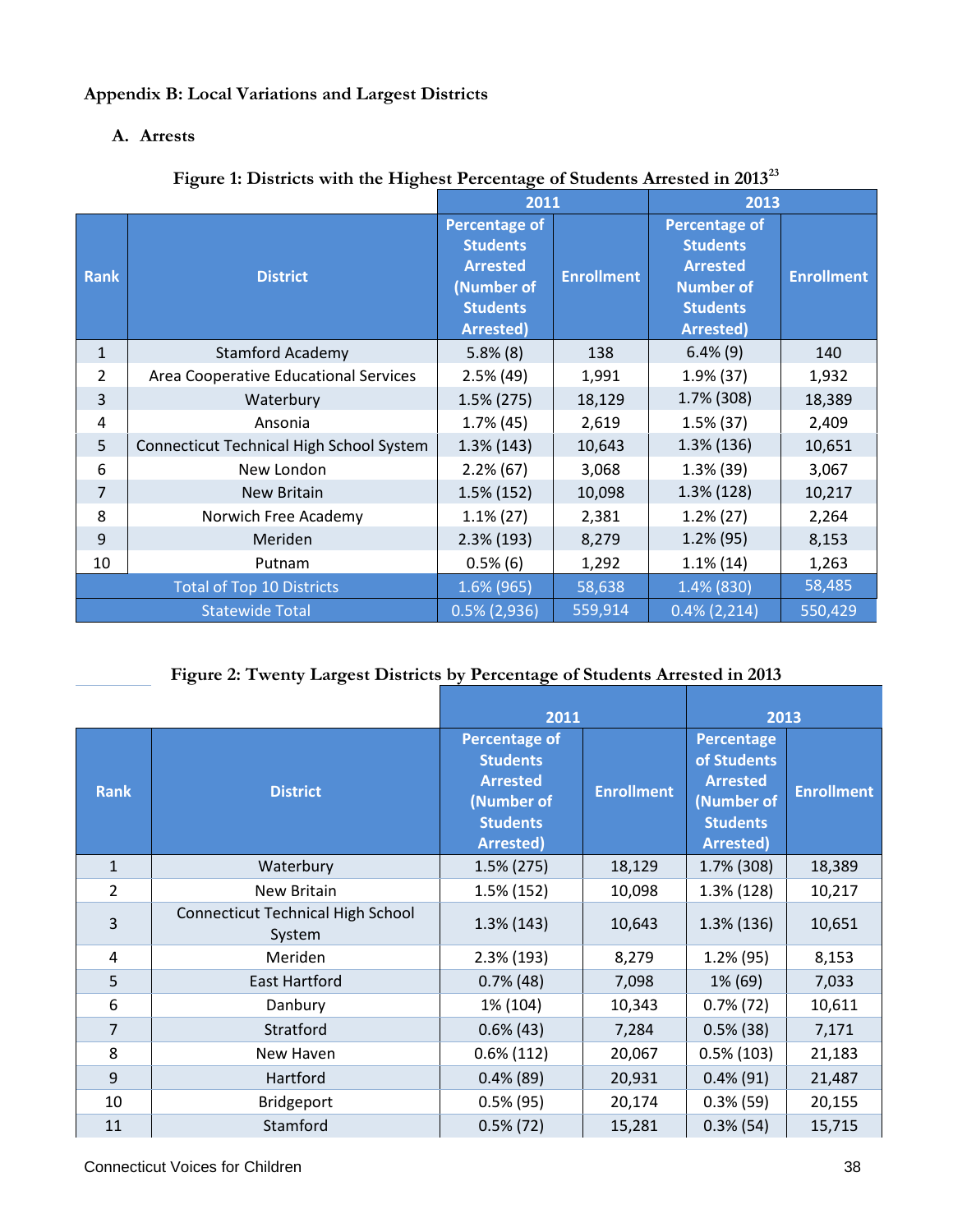## **Appendix B: Local Variations and Largest Districts**

## **A. Arrests**

|                |                                          | 2011                                                                                                            |                   | 2013                                                                                                                  |                   |
|----------------|------------------------------------------|-----------------------------------------------------------------------------------------------------------------|-------------------|-----------------------------------------------------------------------------------------------------------------------|-------------------|
| <b>Rank</b>    | <b>District</b>                          | <b>Percentage of</b><br><b>Students</b><br><b>Arrested</b><br>(Number of<br><b>Students</b><br><b>Arrested)</b> | <b>Enrollment</b> | <b>Percentage of</b><br><b>Students</b><br><b>Arrested</b><br><b>Number of</b><br><b>Students</b><br><b>Arrested)</b> | <b>Enrollment</b> |
| $\mathbf{1}$   | <b>Stamford Academy</b>                  | $5.8\%$ (8)                                                                                                     | 138               | $6.4\%$ (9)                                                                                                           | 140               |
| $\overline{2}$ | Area Cooperative Educational Services    | $2.5\%$ (49)                                                                                                    | 1,991             | $1.9\%$ (37)                                                                                                          | 1,932             |
| 3              | Waterbury                                | $1.5\%$ (275)                                                                                                   | 18,129            | 1.7% (308)                                                                                                            | 18,389            |
| 4              | Ansonia                                  | $1.7\%$ (45)                                                                                                    | 2,619             | $1.5\%$ (37)                                                                                                          | 2,409             |
| 5              | Connecticut Technical High School System | $1.3\%$ (143)                                                                                                   | 10,643            | $1.3\%$ (136)                                                                                                         | 10,651            |
| 6              | New London                               | $2.2\%$ (67)                                                                                                    | 3,068             | $1.3\%$ (39)                                                                                                          | 3,067             |
| $\overline{7}$ | <b>New Britain</b>                       | 1.5% (152)                                                                                                      | 10,098            | $1.3\%$ (128)                                                                                                         | 10,217            |
| 8              | Norwich Free Academy                     | $1.1\%$ (27)                                                                                                    | 2,381             | $1.2\%$ (27)                                                                                                          | 2,264             |
| 9              | Meriden                                  | $2.3\%$ (193)                                                                                                   | 8,279             | $1.2\%$ (95)                                                                                                          | 8,153             |
| 10             | Putnam                                   | $0.5\%$ (6)                                                                                                     | 1,292             | $1.1\%$ (14)                                                                                                          | 1,263             |
|                | <b>Total of Top 10 Districts</b>         | 1.6% (965)                                                                                                      | 58,638            | 1.4% (830)                                                                                                            | 58,485            |
|                | <b>Statewide Total</b>                   | $0.5\%$ (2,936)                                                                                                 | 559,914           | $0.4\%$ (2,214)                                                                                                       | 550,429           |

## **Figure 1: Districts with the Highest Percentage of Students Arrested in 2013[23](#page-51-17)**

## **Figure 2: Twenty Largest Districts by Percentage of Students Arrested in 2013**

|                |                                                    | 2011                                                                                                            |                   | 2013                                                                                                     |                   |
|----------------|----------------------------------------------------|-----------------------------------------------------------------------------------------------------------------|-------------------|----------------------------------------------------------------------------------------------------------|-------------------|
| <b>Rank</b>    | <b>District</b>                                    | <b>Percentage of</b><br><b>Students</b><br><b>Arrested</b><br>(Number of<br><b>Students</b><br><b>Arrested)</b> | <b>Enrollment</b> | <b>Percentage</b><br>of Students<br><b>Arrested</b><br>(Number of<br><b>Students</b><br><b>Arrested)</b> | <b>Enrollment</b> |
| $\mathbf{1}$   | Waterbury                                          | $1.5\%$ (275)                                                                                                   | 18,129            | 1.7% (308)                                                                                               | 18,389            |
| $\overline{2}$ | New Britain                                        | 1.5% (152)                                                                                                      | 10,098            | $1.3\%$ (128)                                                                                            | 10,217            |
| 3              | <b>Connecticut Technical High School</b><br>System | $1.3\%$ (143)                                                                                                   | 10,643            | $1.3\%$ (136)                                                                                            | 10,651            |
| 4              | Meriden                                            | $2.3\%$ (193)                                                                                                   | 8,279             | $1.2\%$ (95)                                                                                             | 8,153             |
| 5              | <b>East Hartford</b>                               | $0.7\%$ (48)                                                                                                    | 7,098             | 1% (69)                                                                                                  | 7,033             |
| 6              | Danbury                                            | 1% (104)                                                                                                        | 10,343            | $0.7\%$ (72)                                                                                             | 10,611            |
| $\overline{7}$ | Stratford                                          | $0.6\%$ (43)                                                                                                    | 7,284             | $0.5\%$ (38)                                                                                             | 7,171             |
| 8              | New Haven                                          | $0.6\%$ (112)                                                                                                   | 20,067            | $0.5\%$ (103)                                                                                            | 21,183            |
| 9              | Hartford                                           | $0.4\%$ (89)                                                                                                    | 20,931            | $0.4\%$ (91)                                                                                             | 21,487            |
| 10             | Bridgeport                                         | $0.5\%$ (95)                                                                                                    | 20,174            | $0.3\%$ (59)                                                                                             | 20,155            |
| 11             | Stamford                                           | $0.5\%$ (72)                                                                                                    | 15,281            | $0.3\%$ (54)                                                                                             | 15,715            |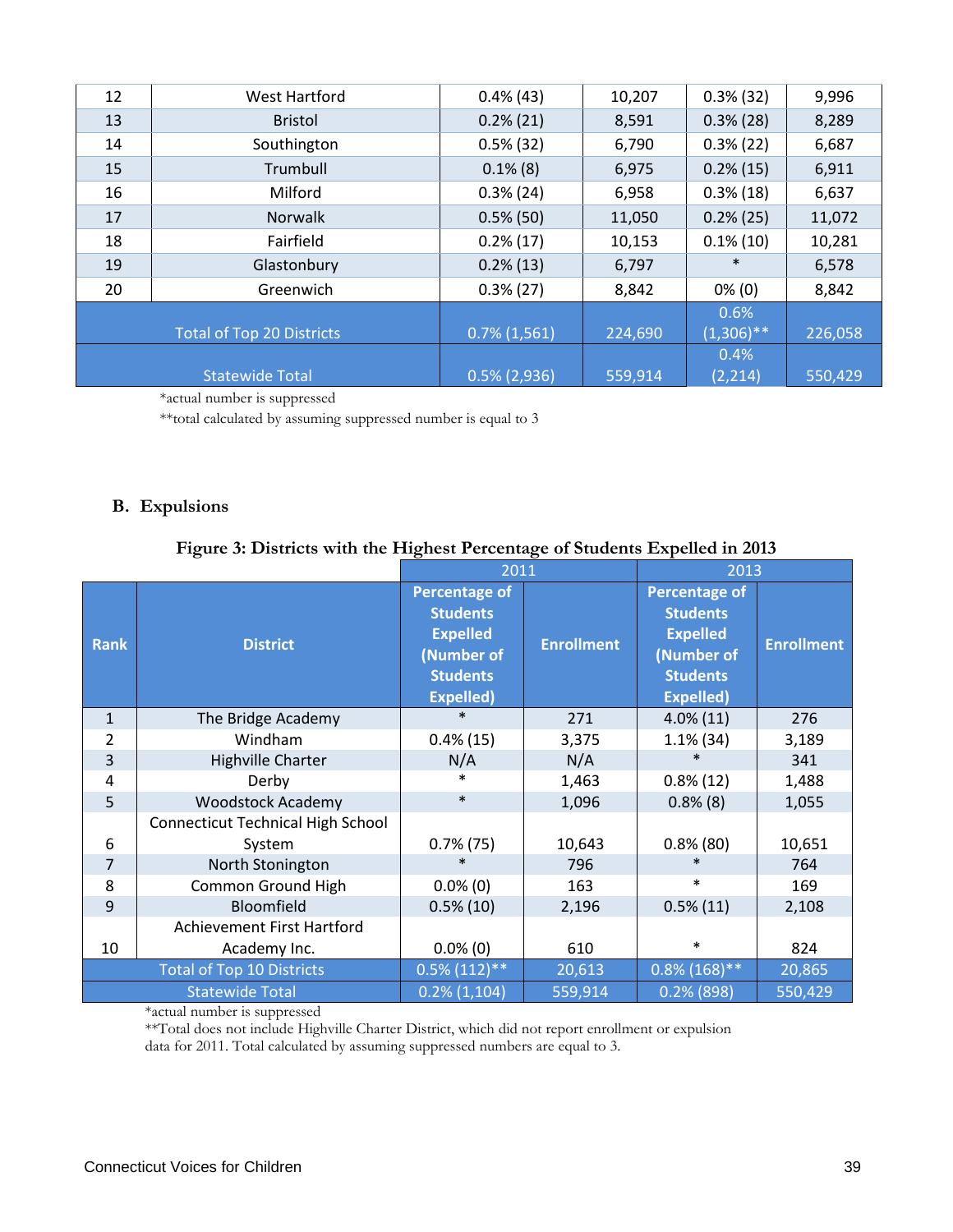| 12 | West Hartford                    | $0.4\%$ (43)    | 10,207  | $0.3\%$ (32)                | 9,996   |
|----|----------------------------------|-----------------|---------|-----------------------------|---------|
| 13 | <b>Bristol</b>                   | $0.2\%$ (21)    | 8,591   | $0.3\%$ (28)                | 8,289   |
| 14 | Southington                      | $0.5\%$ (32)    | 6,790   | $0.3\%$ (22)                | 6,687   |
| 15 | Trumbull                         | $0.1\%$ (8)     | 6,975   | $0.2\%$ (15)                | 6,911   |
| 16 | Milford                          | $0.3\%$ (24)    | 6,958   | $0.3\%$ (18)                | 6,637   |
| 17 | <b>Norwalk</b>                   | $0.5\%$ (50)    | 11,050  | $0.2\%$ (25)                | 11,072  |
| 18 | Fairfield                        | $0.2\%$ (17)    | 10,153  | $0.1\%$ (10)                | 10,281  |
| 19 | Glastonbury                      | $0.2\%$ (13)    | 6,797   | $\ast$                      | 6,578   |
| 20 | Greenwich                        | $0.3\%$ (27)    | 8,842   | $0\%$ (0)                   | 8,842   |
|    | <b>Total of Top 20 Districts</b> | $0.7\%$ (1,561) | 224,690 | 0.6%<br>$\sqrt{(1,306)}$ ** | 226,058 |
|    | <b>Statewide Total</b>           | $0.5\%$ (2,936) | 559,914 | 0.4%<br>(2, 214)            | 550,429 |

\*actual number is suppressed

\*\*total calculated by assuming suppressed number is equal to 3

#### **B. Expulsions**

## **Figure 3: Districts with the Highest Percentage of Students Expelled in 2013**

| 2011           |                                          |                      | 2013              |                      |                   |
|----------------|------------------------------------------|----------------------|-------------------|----------------------|-------------------|
|                |                                          | <b>Percentage of</b> |                   | <b>Percentage of</b> |                   |
|                |                                          | <b>Students</b>      |                   | <b>Students</b>      |                   |
| <b>Rank</b>    | <b>District</b>                          | <b>Expelled</b>      | <b>Enrollment</b> | <b>Expelled</b>      | <b>Enrollment</b> |
|                |                                          | (Number of           |                   | (Number of           |                   |
|                |                                          | <b>Students</b>      |                   | <b>Students</b>      |                   |
|                |                                          | <b>Expelled)</b>     |                   | <b>Expelled)</b>     |                   |
| $\mathbf{1}$   | The Bridge Academy                       | $\ast$               | 271               | $4.0\%$ (11)         | 276               |
| 2              | Windham                                  | $0.4\%$ (15)         | 3,375             | $1.1\%$ (34)         | 3,189             |
| 3              | <b>Highville Charter</b>                 | N/A                  | N/A               |                      | 341               |
| 4              | Derby                                    | $\ast$               | 1,463             | $0.8\%$ (12)         | 1,488             |
| 5              | <b>Woodstock Academy</b>                 | $\ast$               | 1,096             | $0.8\%$ (8)          | 1,055             |
|                | <b>Connecticut Technical High School</b> |                      |                   |                      |                   |
| 6              | System                                   | $0.7\%$ (75)         | 10,643            | $0.8\%$ (80)         | 10,651            |
| $\overline{7}$ | North Stonington                         | $\ast$               | 796               | $\ast$               | 764               |
| 8              | <b>Common Ground High</b>                | $0.0\%$ (0)          | 163               | $\ast$               | 169               |
| 9              | Bloomfield                               | $0.5\%$ (10)         | 2,196             | $0.5\%(11)$          | 2,108             |
|                | Achievement First Hartford               |                      |                   |                      |                   |
| 10             | Academy Inc.                             | $0.0\%$ (0)          | 610               | $\ast$               | 824               |
|                | <b>Total of Top 10 Districts</b>         | $0.5\%$ (112)**      | 20,613            | $0.8\%$ (168)**      | 20,865            |
|                | <b>Statewide Total</b>                   | $0.2\%$ (1,104)      | 559,914           | $0.2%$ (898)         | 550,429           |

\*actual number is suppressed

\*\*Total does not include Highville Charter District, which did not report enrollment or expulsion data for 2011. Total calculated by assuming suppressed numbers are equal to 3.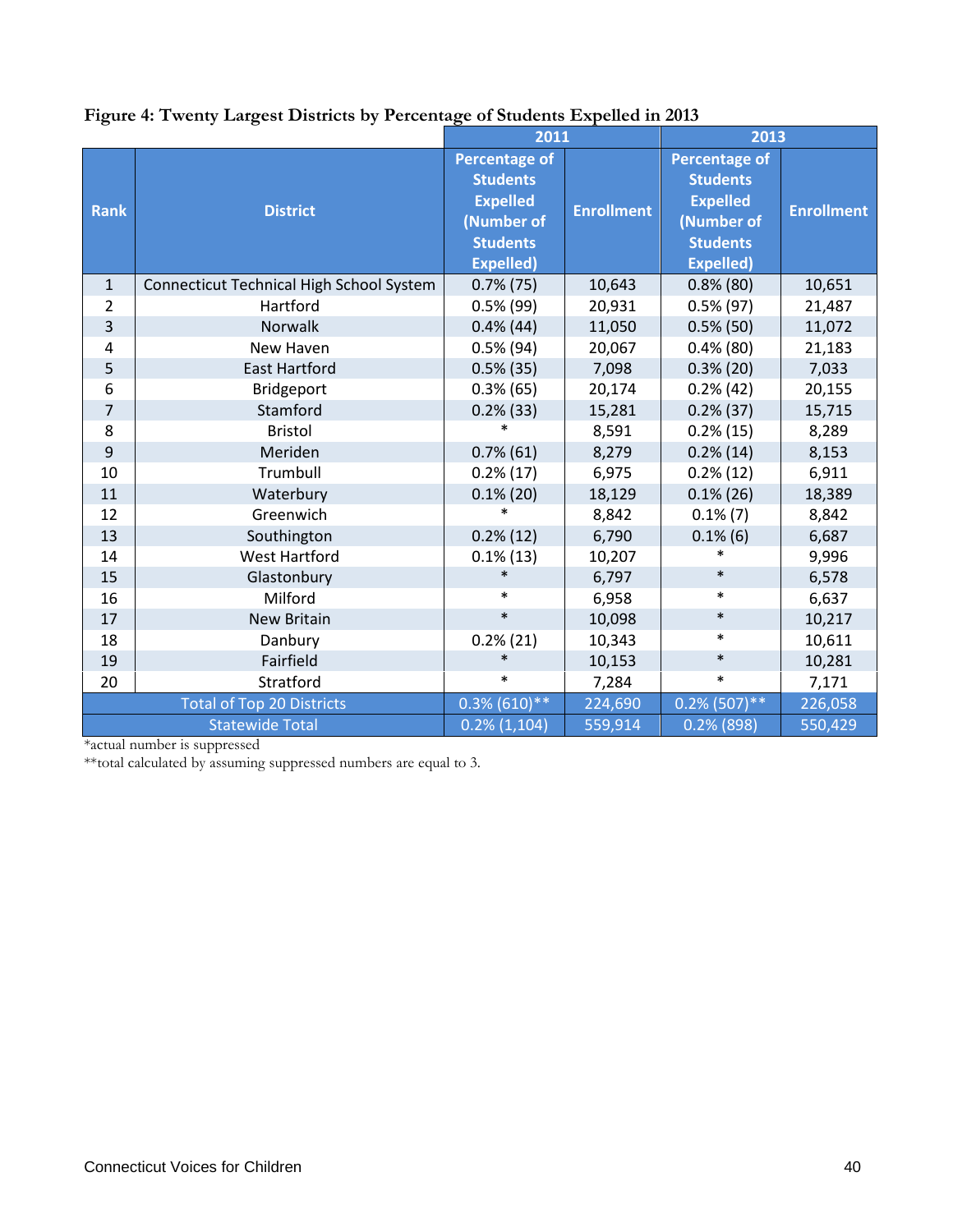|                |                                          |                      | 2011              |                      | 2013              |
|----------------|------------------------------------------|----------------------|-------------------|----------------------|-------------------|
|                |                                          | <b>Percentage of</b> |                   | <b>Percentage of</b> |                   |
|                |                                          | <b>Students</b>      |                   | <b>Students</b>      |                   |
| <b>Rank</b>    | <b>District</b>                          | <b>Expelled</b>      | <b>Enrollment</b> | <b>Expelled</b>      | <b>Enrollment</b> |
|                |                                          | (Number of           |                   | (Number of           |                   |
|                |                                          | <b>Students</b>      |                   | <b>Students</b>      |                   |
|                |                                          | <b>Expelled)</b>     |                   | <b>Expelled)</b>     |                   |
| $\mathbf{1}$   | Connecticut Technical High School System | $0.7\%$ (75)         | 10,643            | $0.8\%$ (80)         | 10,651            |
| 2              | Hartford                                 | $0.5\%$ (99)         | 20,931            | $0.5\%$ (97)         | 21,487            |
| $\overline{3}$ | Norwalk                                  | $0.4\%$ (44)         | 11,050            | $0.5\%$ (50)         | 11,072            |
| 4              | New Haven                                | $0.5\%$ (94)         | 20,067            | $0.4\%$ (80)         | 21,183            |
| 5              | <b>East Hartford</b>                     | $0.5\%$ (35)         | 7,098             | $0.3\%$ (20)         | 7,033             |
| 6              | <b>Bridgeport</b>                        | $0.3\%$ (65)         | 20,174            | 0.2% (42)            | 20,155            |
| $\overline{7}$ | Stamford                                 | $0.2\%$ (33)         | 15,281            | $0.2\%$ (37)         | 15,715            |
| 8              | <b>Bristol</b>                           | $\ast$               | 8,591             | 0.2%(15)             | 8,289             |
| 9              | Meriden                                  | $0.7\%$ (61)         | 8,279             | $0.2\%$ (14)         | 8,153             |
| 10             | Trumbull                                 | $0.2\%$ (17)         | 6,975             | $0.2\%$ (12)         | 6,911             |
| 11             | Waterbury                                | $0.1\%$ (20)         | 18,129            | $0.1\%$ (26)         | 18,389            |
| 12             | Greenwich                                | $\ast$               | 8,842             | $0.1\%$ $(7)$        | 8,842             |
| 13             | Southington                              | $0.2\%$ (12)         | 6,790             | $0.1\%$ (6)          | 6,687             |
| 14             | <b>West Hartford</b>                     | $0.1\%$ (13)         | 10,207            | $\ast$               | 9,996             |
| 15             | Glastonbury                              |                      | 6,797             | $\ast$               | 6,578             |
| 16             | Milford                                  | $\ast$               | 6,958             | $\ast$               | 6,637             |
| 17             | New Britain                              | $\ast$               | 10,098            | $\ast$               | 10,217            |
| 18             | Danbury                                  | 0.2%(21)             | 10,343            | $\ast$               | 10,611            |
| 19             | Fairfield                                | $\ast$               | 10,153            | $\ast$               | 10,281            |
| 20             | Stratford                                | $\ast$               | 7,284             | $\ast$               | 7,171             |
|                | <b>Total of Top 20 Districts</b>         | $0.3\%$ (610)**      | 224,690           | $0.2\%$ (507)**      | 226,058           |
|                | <b>Statewide Total</b>                   | $0.2\%$ (1,104)      | 559,914           | $0.2\%$ (898)        | 550,429           |

## **Figure 4: Twenty Largest Districts by Percentage of Students Expelled in 2013**

\*actual number is suppressed

\*\*total calculated by assuming suppressed numbers are equal to 3.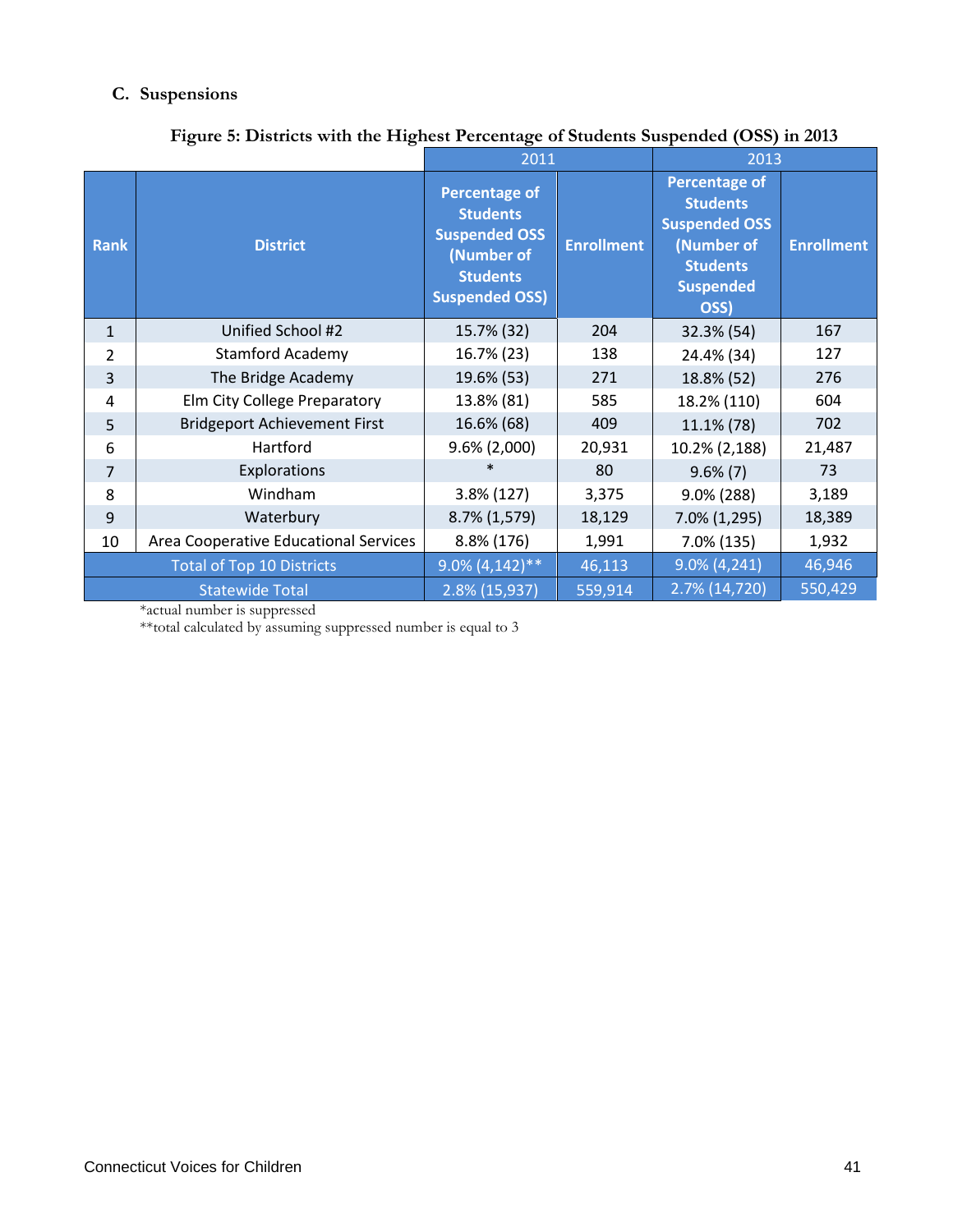## **C. Suspensions**

|              | Tigure 3. Districts with the Tightst I creentage of statemes suspended (Obo) in 2015 | 2011                                                                                                                      |                   | 2013                                                                                                                         |                   |  |
|--------------|--------------------------------------------------------------------------------------|---------------------------------------------------------------------------------------------------------------------------|-------------------|------------------------------------------------------------------------------------------------------------------------------|-------------------|--|
| <b>Rank</b>  | <b>District</b>                                                                      | <b>Percentage of</b><br><b>Students</b><br><b>Suspended OSS</b><br>(Number of<br><b>Students</b><br><b>Suspended OSS)</b> | <b>Enrollment</b> | <b>Percentage of</b><br><b>Students</b><br><b>Suspended OSS</b><br>(Number of<br><b>Students</b><br><b>Suspended</b><br>OSS) | <b>Enrollment</b> |  |
| $\mathbf{1}$ | Unified School #2                                                                    | 15.7% (32)                                                                                                                | 204               | 32.3% (54)                                                                                                                   | 167               |  |
| 2            | <b>Stamford Academy</b>                                                              | 16.7% (23)                                                                                                                | 138               | 24.4% (34)                                                                                                                   | 127               |  |
| 3            | The Bridge Academy                                                                   | 19.6% (53)                                                                                                                | 271               | 18.8% (52)                                                                                                                   | 276               |  |
| 4            | Elm City College Preparatory                                                         | 13.8% (81)                                                                                                                | 585               | 18.2% (110)                                                                                                                  | 604               |  |
| 5            | <b>Bridgeport Achievement First</b>                                                  | 16.6% (68)                                                                                                                | 409               | 11.1% (78)                                                                                                                   | 702               |  |
| 6            | Hartford                                                                             | $9.6\%$ (2,000)                                                                                                           | 20,931            | 10.2% (2,188)                                                                                                                | 21,487            |  |
| 7            | Explorations                                                                         | $\ast$                                                                                                                    | 80                | $9.6\%$ (7)                                                                                                                  | 73                |  |
| 8            | Windham                                                                              | 3.8% (127)                                                                                                                | 3,375             | 9.0% (288)                                                                                                                   | 3,189             |  |
| 9            | Waterbury                                                                            | 8.7% (1,579)                                                                                                              | 18,129            | 7.0% (1,295)                                                                                                                 | 18,389            |  |
| 10           | Area Cooperative Educational Services                                                | 8.8% (176)                                                                                                                | 1,991             | $7.0\%$ (135)                                                                                                                | 1,932             |  |
|              | <b>Total of Top 10 Districts</b>                                                     | $9.0\%$ (4,142)**                                                                                                         | 46,113            | $9.0\% (4, 241)$                                                                                                             | 46,946            |  |
|              | <b>Statewide Total</b>                                                               | 2.8% (15,937)                                                                                                             | 559,914           | 2.7% (14,720)                                                                                                                | 550,429           |  |

## **Figure 5: Districts with the Highest Percentage of Students Suspended (OSS) in 2013**

\*actual number is suppressed

\*\*total calculated by assuming suppressed number is equal to 3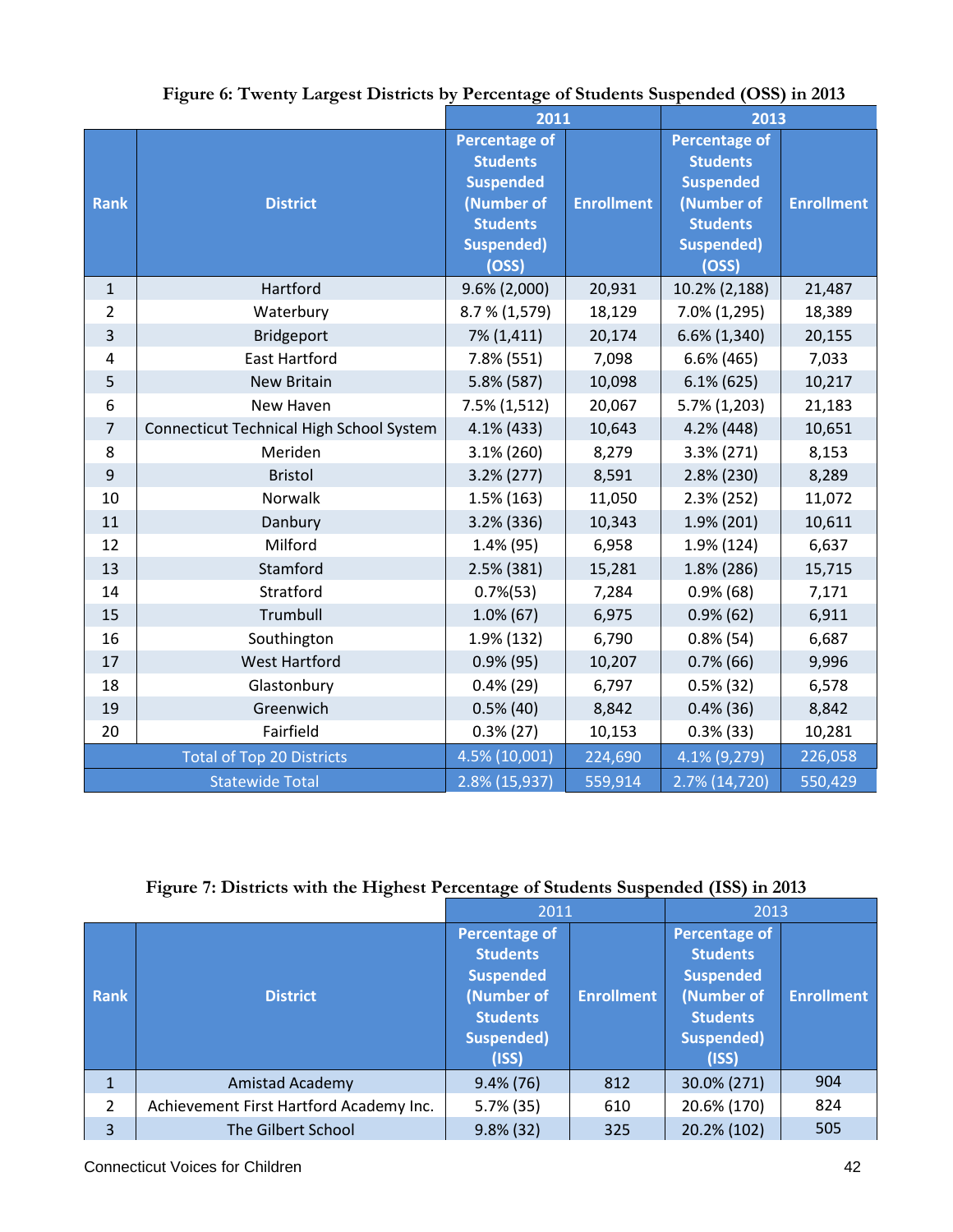|                |                                          | 2011                  |                   | 2013                 |                   |
|----------------|------------------------------------------|-----------------------|-------------------|----------------------|-------------------|
|                |                                          | <b>Percentage of</b>  |                   | <b>Percentage of</b> |                   |
|                |                                          | <b>Students</b>       |                   | <b>Students</b>      |                   |
|                |                                          | <b>Suspended</b>      |                   | <b>Suspended</b>     |                   |
| <b>Rank</b>    | <b>District</b>                          | (Number of            | <b>Enrollment</b> | (Number of           | <b>Enrollment</b> |
|                |                                          | <b>Students</b>       |                   | <b>Students</b>      |                   |
|                |                                          | <b>Suspended)</b>     |                   | <b>Suspended)</b>    |                   |
|                |                                          | (OSS)                 |                   | (OSS)                |                   |
| $\mathbf{1}$   | Hartford                                 | 9.6% (2,000)          | 20,931            | 10.2% (2,188)        | 21,487            |
| $\overline{2}$ | Waterbury                                | 8.7 % (1,579)         | 18,129            | 7.0% (1,295)         | 18,389            |
| 3              | Bridgeport                               | 7% (1,411)            | 20,174            | 6.6% (1,340)         | 20,155            |
| $\overline{4}$ | <b>East Hartford</b>                     | 7.8% (551)            | 7,098             | $6.6\%$ (465)        | 7,033             |
| 5              | <b>New Britain</b>                       | 5.8% (587)            | 10,098            | $6.1\%$ (625)        | 10,217            |
| $6\,$          | New Haven                                | $7.5\%$ (1,512)       | 20,067            | 5.7% (1,203)         | 21,183            |
| $\overline{7}$ | Connecticut Technical High School System | 4.1% (433)            | 10,643            | 4.2% (448)           | 10,651            |
| 8              | Meriden                                  | $3.1\%$ (260)         | 8,279             | 3.3% (271)           | 8,153             |
| $\overline{9}$ | <b>Bristol</b>                           | $3.2\% (277)$         | 8,591             | 2.8% (230)           | 8,289             |
| 10             | Norwalk                                  | 1.5% (163)            | 11,050            | 2.3% (252)           | 11,072            |
| 11             | Danbury                                  | 3.2% (336)            | 10,343            | 1.9% (201)           | 10,611            |
| 12             | Milford                                  | 1.4% (95)             | 6,958             | 1.9% (124)           | 6,637             |
| 13             | Stamford                                 | 2.5% (381)            | 15,281            | 1.8% (286)           | 15,715            |
| 14             | Stratford                                | $0.7\frac{1}{6}$ (53) | 7,284             | $0.9\%$ (68)         | 7,171             |
| 15             | Trumbull                                 | $1.0\%$ (67)          | 6,975             | $0.9\%$ (62)         | 6,911             |
| 16             | Southington                              | 1.9% (132)            | 6,790             | $0.8\%$ (54)         | 6,687             |
| 17             | <b>West Hartford</b>                     | $0.9\%$ (95)          | 10,207            | $0.7\%$ (66)         | 9,996             |
| 18             | Glastonbury                              | $0.4\%$ (29)          | 6,797             | $0.5\%$ (32)         | 6,578             |
| 19             | Greenwich                                | $0.5\%$ (40)          | 8,842             | $0.4\%$ (36)         | 8,842             |
| 20             | Fairfield                                | $0.3\% (27)$          | 10,153            | $0.3\%$ (33)         | 10,281            |
|                | <b>Total of Top 20 Districts</b>         | 4.5% (10,001)         | 224,690           | 4.1% (9,279)         | 226,058           |
|                | <b>Statewide Total</b>                   | 2.8% (15,937)         | 559,914           | 2.7% (14,720)        | 550,429           |

## **Figure 6: Twenty Largest Districts by Percentage of Students Suspended (OSS) in 2013**

## **Figure 7: Districts with the Highest Percentage of Students Suspended (ISS) in 2013**

|                |                                         | 2011                                                                                                         |                   | 2013                                                                                                                       |                   |  |
|----------------|-----------------------------------------|--------------------------------------------------------------------------------------------------------------|-------------------|----------------------------------------------------------------------------------------------------------------------------|-------------------|--|
| <b>Rank</b>    | <b>District</b>                         | Percentage of<br><b>Students</b><br><b>Suspended</b><br>(Number of<br><b>Students</b><br>Suspended)<br>(ISS) | <b>Enrollment</b> | <b>Percentage of</b><br><b>Students</b><br><b>Suspended</b><br>(Number of<br><b>Students</b><br><b>Suspended)</b><br>(ISS) | <b>Enrollment</b> |  |
|                | Amistad Academy                         | $9.4\%$ (76)                                                                                                 | 812               | 30.0% (271)                                                                                                                | 904               |  |
| $\overline{2}$ | Achievement First Hartford Academy Inc. | $5.7\%$ (35)                                                                                                 | 610               | 20.6% (170)                                                                                                                | 824               |  |
| 3              | The Gilbert School                      | $9.8\%$ (32)                                                                                                 | 325               | 20.2% (102)                                                                                                                | 505               |  |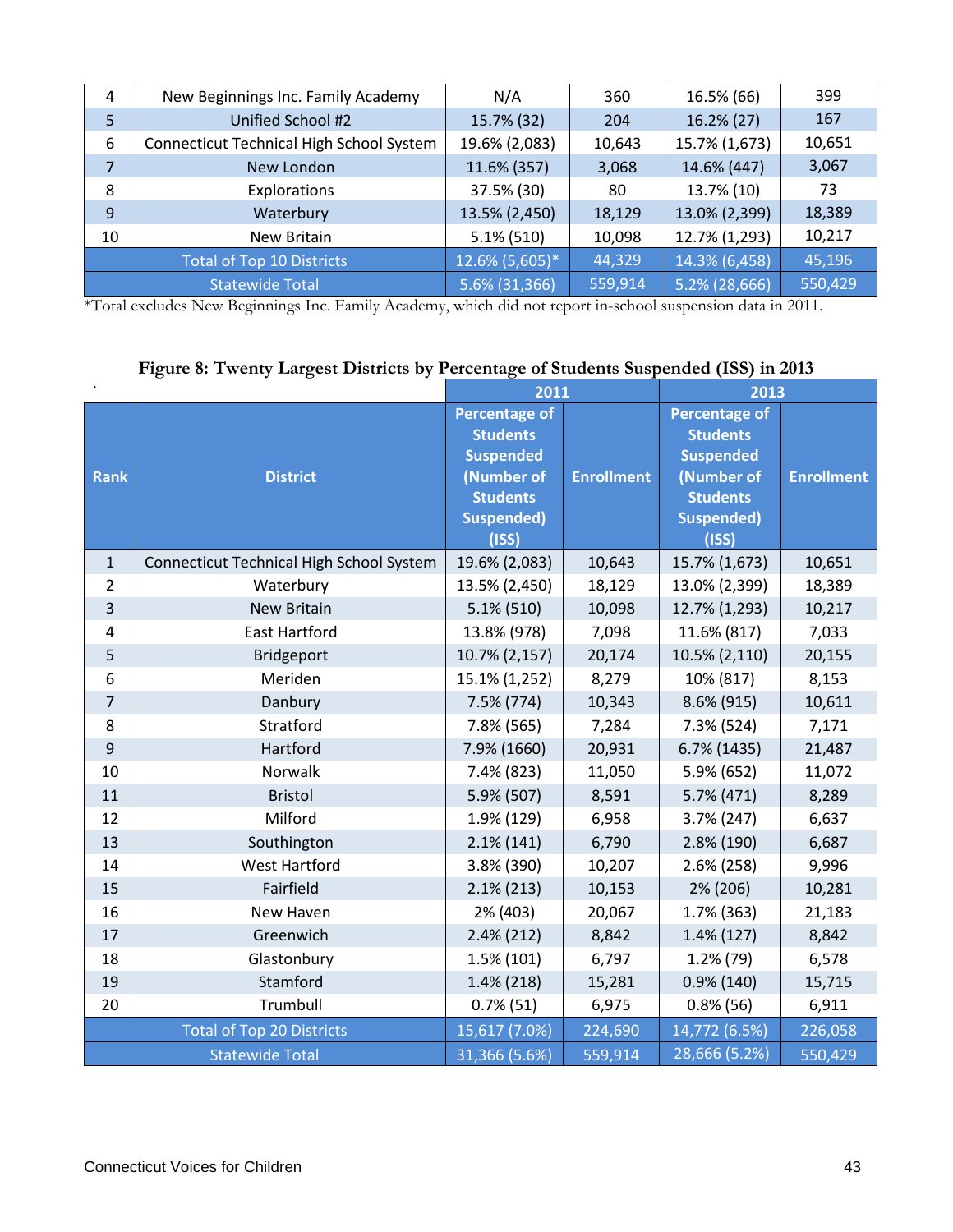| 4                                | New Beginnings Inc. Family Academy       | N/A            | 360     | 16.5% (66)    | 399     |
|----------------------------------|------------------------------------------|----------------|---------|---------------|---------|
| 5                                | Unified School #2                        | 15.7% (32)     | 204     | 16.2% (27)    | 167     |
| 6                                | Connecticut Technical High School System | 19.6% (2,083)  | 10,643  | 15.7% (1,673) | 10,651  |
| $\overline{7}$                   | New London                               | 11.6% (357)    | 3,068   | 14.6% (447)   | 3,067   |
| 8                                | Explorations                             | 37.5% (30)     | 80      | 13.7% (10)    | 73      |
| 9                                | Waterbury                                | 13.5% (2,450)  | 18,129  | 13.0% (2,399) | 18,389  |
| 10                               | New Britain                              | $5.1\%$ (510)  | 10,098  | 12.7% (1,293) | 10,217  |
| <b>Total of Top 10 Districts</b> |                                          | 12.6% (5,605)* | 44,329  | 14.3% (6,458) | 45,196  |
| <b>Statewide Total</b>           |                                          | 5.6% (31,366)  | 559,914 | 5.2% (28,666) | 550,429 |

\*Total excludes New Beginnings Inc. Family Academy, which did not report in-school suspension data in 2011.

|                |                                                 | 2011                 |                        | 2013                 |                   |  |
|----------------|-------------------------------------------------|----------------------|------------------------|----------------------|-------------------|--|
|                |                                                 | <b>Percentage of</b> |                        | <b>Percentage of</b> |                   |  |
|                |                                                 | <b>Students</b>      |                        | <b>Students</b>      | <b>Enrollment</b> |  |
|                |                                                 | <b>Suspended</b>     |                        | <b>Suspended</b>     |                   |  |
| <b>Rank</b>    | <b>District</b>                                 | (Number of           | <b>Enrollment</b>      | (Number of           |                   |  |
|                |                                                 | <b>Students</b>      |                        | <b>Students</b>      |                   |  |
|                |                                                 | <b>Suspended)</b>    |                        | <b>Suspended)</b>    |                   |  |
|                |                                                 | (ISS)                |                        | (ISS)                |                   |  |
| $\mathbf{1}$   | <b>Connecticut Technical High School System</b> | 19.6% (2,083)        | 10,643                 | 15.7% (1,673)        | 10,651            |  |
| $\overline{2}$ | Waterbury                                       | 13.5% (2,450)        | 18,129                 | 13.0% (2,399)        | 18,389            |  |
| 3              | <b>New Britain</b>                              | $5.1\%$ (510)        | 10,098                 | 12.7% (1,293)        | 10,217            |  |
| 4              | <b>East Hartford</b>                            | 13.8% (978)          | 7,098                  | 11.6% (817)          | 7,033             |  |
| 5              | <b>Bridgeport</b>                               | 10.7% (2,157)        | 20,174                 | 10.5% (2,110)        | 20,155            |  |
| 6              | Meriden                                         | 15.1% (1,252)        | 8,279                  | 10% (817)            | 8,153             |  |
| $\overline{7}$ | Danbury                                         | 7.5% (774)           | 10,343                 | 8.6% (915)           | 10,611            |  |
| 8              | Stratford                                       | 7.8% (565)           | 7,284                  | 7.3% (524)           | 7,171             |  |
| $9$            | Hartford                                        | 7.9% (1660)          | 20,931                 | 6.7% (1435)          | 21,487            |  |
| 10             | Norwalk                                         | 7.4% (823)           | 11,050                 | 5.9% (652)           | 11,072            |  |
| 11             | <b>Bristol</b>                                  | 5.9% (507)           | 8,591                  | 5.7% (471)           | 8,289             |  |
| 12             | Milford                                         | 1.9% (129)           | 6,958                  | 3.7% (247)           | 6,637             |  |
| 13             | Southington                                     | $2.1\%$ (141)        | 6,790                  | 2.8% (190)           | 6,687             |  |
| 14             | <b>West Hartford</b>                            | 3.8% (390)           | 10,207                 | $2.6\%$ (258)        | 9,996             |  |
| 15             | Fairfield                                       | $2.1\%$ (213)        | 10,153                 | 2% (206)             | 10,281            |  |
| 16             | New Haven                                       | 2% (403)             | 20,067                 | 1.7% (363)           | 21,183            |  |
| 17             | Greenwich                                       | $2.4\%$ (212)        | 8,842<br>$1.4\%$ (127) |                      | 8,842             |  |
| 18             | Glastonbury                                     | 1.5% (101)           | 6,797                  | $1.2\%$ (79)         | 6,578             |  |
| 19             | Stamford                                        | $1.4\%$ (218)        | 15,281                 | $0.9\%$ (140)        | 15,715            |  |
| 20             | Trumbull                                        | $0.7\%$ (51)         | 6,975                  | $0.8\%$ (56)         | 6,911             |  |
|                | <b>Total of Top 20 Districts</b>                | 15,617 (7.0%)        | 224,690                | 14,772 (6.5%)        | 226,058           |  |
|                | <b>Statewide Total</b>                          | 31,366 (5.6%)        | 559,914                | 28,666 (5.2%)        | 550,429           |  |

## **Figure 8: Twenty Largest Districts by Percentage of Students Suspended (ISS) in 2013**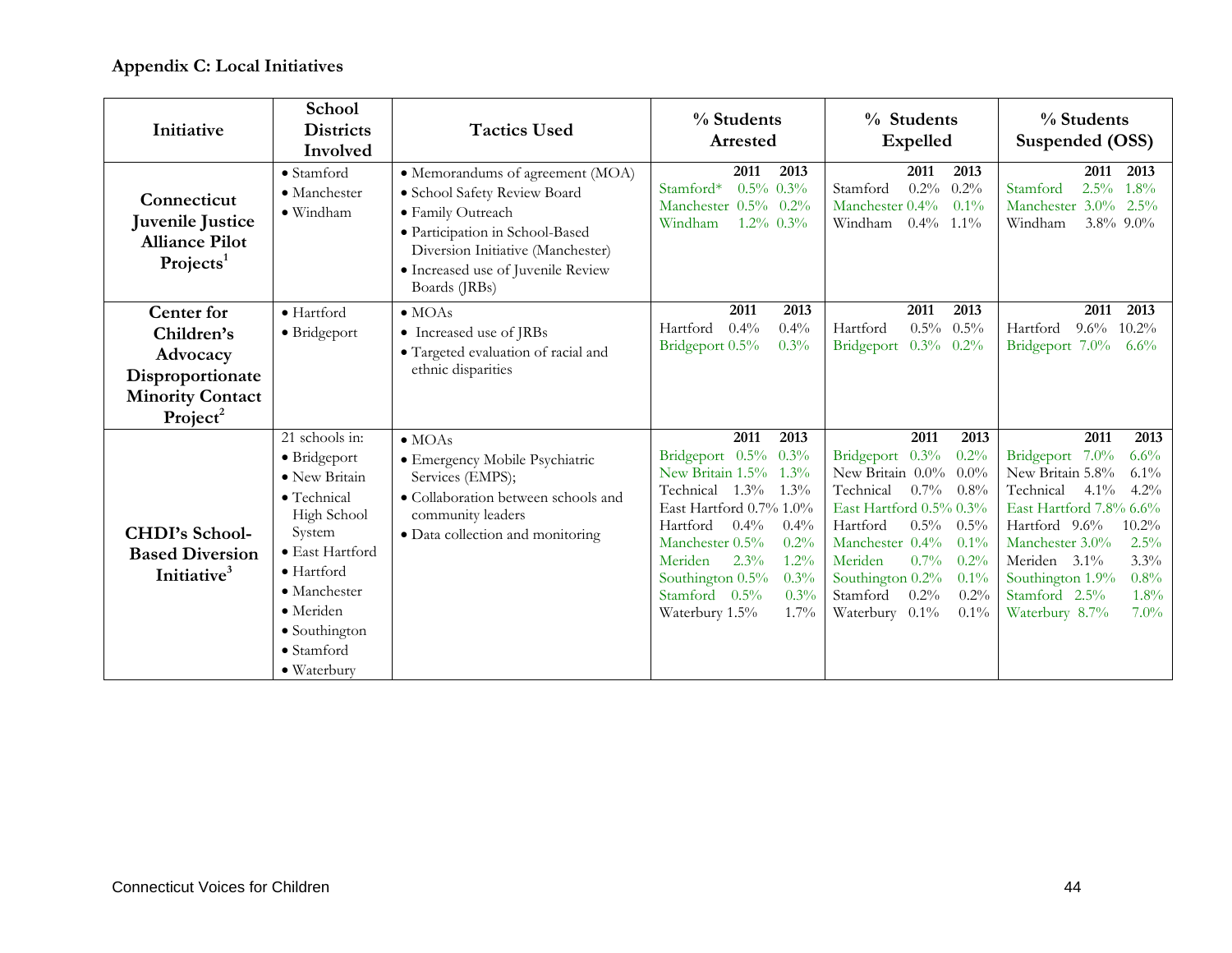## **Appendix C: Local Initiatives**

| Initiative                                                                                                  | School<br><b>Districts</b><br>Involved                                                                                                                                                                                      | <b>Tactics Used</b>                                                                                                                                                                                                  | % Students<br>Arrested                                                                                                                                                                                                                                                                    | % Students<br><b>Expelled</b>                                                                                                                                                                                                                                                                               | % Students<br>Suspended (OSS)                                                                                                                                                                                                                                                                       |  |  |
|-------------------------------------------------------------------------------------------------------------|-----------------------------------------------------------------------------------------------------------------------------------------------------------------------------------------------------------------------------|----------------------------------------------------------------------------------------------------------------------------------------------------------------------------------------------------------------------|-------------------------------------------------------------------------------------------------------------------------------------------------------------------------------------------------------------------------------------------------------------------------------------------|-------------------------------------------------------------------------------------------------------------------------------------------------------------------------------------------------------------------------------------------------------------------------------------------------------------|-----------------------------------------------------------------------------------------------------------------------------------------------------------------------------------------------------------------------------------------------------------------------------------------------------|--|--|
| Connecticut<br>Juvenile Justice<br><b>Alliance Pilot</b><br>Projects <sup>1</sup>                           | · Stamford<br>• Manchester<br>$\bullet$ Windham                                                                                                                                                                             | · Memorandums of agreement (MOA)<br>· School Safety Review Board<br>· Family Outreach<br>· Participation in School-Based<br>Diversion Initiative (Manchester)<br>· Increased use of Juvenile Review<br>Boards (JRBs) | 2011<br>2013<br>$0.5\%$ 0.3%<br>Stamford*<br>Manchester 0.5% 0.2%<br>Windham<br>$1.2\%$ 0.3%                                                                                                                                                                                              | 2011<br>2013<br>$0.2\%$ 0.2%<br>Stamford<br>Manchester 0.4%<br>$0.1\%$<br>$0.4\%$ 1.1%<br>Windham                                                                                                                                                                                                           | 2011<br>2013<br>$2.5\%$ 1.8%<br>Stamford<br>$3.0\%$ 2.5%<br>Manchester<br>Windham<br>3.8% 9.0%                                                                                                                                                                                                      |  |  |
| Center for<br>Children's<br>Advocacy<br>Disproportionate<br><b>Minority Contact</b><br>Project <sup>2</sup> | · Hartford<br>• Bridgeport                                                                                                                                                                                                  | $\bullet$ MOAs<br>• Increased use of JRBs<br>· Targeted evaluation of racial and<br>ethnic disparities                                                                                                               | 2013<br>2011<br>Hartford<br>$0.4\%$<br>0.4%<br>Bridgeport 0.5%<br>0.3%                                                                                                                                                                                                                    | 2011<br>2013<br>$0.5\%$ $0.5\%$<br>Hartford<br>$0.3\%$ 0.2%<br>Bridgeport                                                                                                                                                                                                                                   | 2013<br>2011<br>$9.6\%$<br>$10.2\%$<br>Hartford<br>Bridgeport 7.0%<br>$6.6\%$                                                                                                                                                                                                                       |  |  |
| <b>CHDI's School-</b><br><b>Based Diversion</b><br>Initiative <sup>3</sup>                                  | 21 schools in:<br>• Bridgeport<br>• New Britain<br>· Technical<br>High School<br>System<br>• East Hartford<br>$\bullet$ Hartford<br>$\bullet$ Manchester<br>· Meriden<br>• Southington<br>$\bullet$ Stamford<br>• Waterbury | $\bullet$ MOAs<br>· Emergency Mobile Psychiatric<br>Services (EMPS);<br>• Collaboration between schools and<br>community leaders<br>· Data collection and monitoring                                                 | 2011<br>2013<br>Bridgeport 0.5% 0.3%<br>New Britain 1.5% 1.3%<br>Technical 1.3% 1.3%<br>East Hartford 0.7% 1.0%<br>$0.4\%$<br>Hartford<br>0.4%<br>Manchester 0.5%<br>0.2%<br>Meriden<br>$2.3\%$<br>$1.2\%$<br>Southington 0.5%<br>0.3%<br>Stamford 0.5%<br>0.3%<br>1.7%<br>Waterbury 1.5% | 2011<br>2013<br>Bridgeport 0.3%<br>0.2%<br>New Britain 0.0% 0.0%<br>$0.7\%$ 0.8%<br>Technical<br>East Hartford 0.5% 0.3%<br>$0.5\%$<br>Hartford<br>$0.5\%$<br>Manchester 0.4%<br>0.1%<br>Meriden<br>$0.7\%$<br>0.2%<br>Southington 0.2%<br>0.1%<br>$0.2\%$<br>0.2%<br>Stamford<br>Waterbury 0.1%<br>$0.1\%$ | 2011<br>2013<br>Bridgeport 7.0%<br>6.6%<br>New Britain 5.8%<br>$6.1\%$<br>$4.1\%$<br>$4.2\%$<br>Technical<br>East Hartford 7.8% 6.6%<br>Hartford 9.6%<br>10.2%<br>Manchester 3.0%<br>2.5%<br>Meriden 3.1%<br>3.3%<br>Southington 1.9%<br>0.8%<br>1.8%<br>Stamford 2.5%<br>Waterbury 8.7%<br>$7.0\%$ |  |  |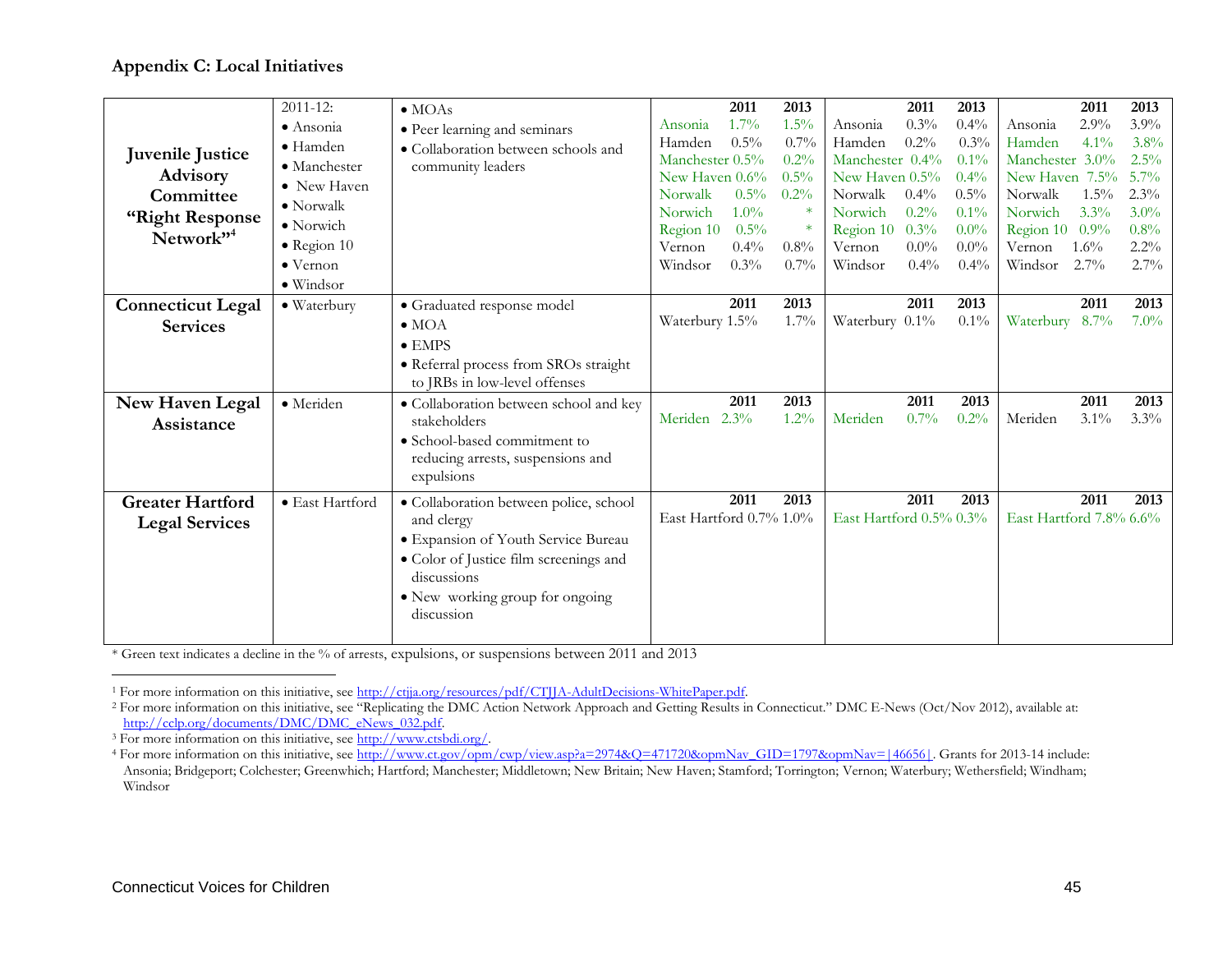#### <span id="page-46-1"></span><span id="page-46-0"></span>**Appendix C: Local Initiatives**

|                          | $2011 - 12$ :        | $\bullet$ MOAs                                |                         | 2011    | 2013    |                         | 2011    | 2013    |                         | 2011    | 2013    |
|--------------------------|----------------------|-----------------------------------------------|-------------------------|---------|---------|-------------------------|---------|---------|-------------------------|---------|---------|
|                          | $\bullet$ Ansonia    | • Peer learning and seminars                  | Ansonia                 | $1.7\%$ | 1.5%    | Ansonia                 | 0.3%    | $0.4\%$ | Ansonia                 | 2.9%    | 3.9%    |
|                          | $\bullet$ Hamden     | • Collaboration between schools and           | Hamden                  | $0.5\%$ | 0.7%    | Hamden                  | 0.2%    | 0.3%    | Hamden                  | $4.1\%$ | 3.8%    |
| Juvenile Justice         | $\bullet$ Manchester | community leaders                             | Manchester 0.5%         |         | $0.2\%$ | Manchester 0.4%         |         | $0.1\%$ | Manchester 3.0%         |         | $2.5\%$ |
| Advisory                 | • New Haven          |                                               | New Haven 0.6%          |         | 0.5%    | New Haven 0.5%          |         | $0.4\%$ | New Haven 7.5%          |         | $5.7\%$ |
| Committee                | $\bullet$ Norwalk    |                                               | Norwalk                 | $0.5\%$ | 0.2%    | Norwalk                 | $0.4\%$ | $0.5\%$ | Norwalk                 | $1.5\%$ | $2.3\%$ |
| "Right Response          | $\bullet$ Norwich    |                                               | Norwich                 | $1.0\%$ | $\ast$  | Norwich                 | 0.2%    | 0.1%    | Norwich                 | 3.3%    | $3.0\%$ |
| Network" <sup>4</sup>    |                      |                                               | Region 10               | $0.5\%$ | $\ast$  | Region 10               | 0.3%    | $0.0\%$ | Region 10               | 0.9%    | 0.8%    |
|                          | $\bullet$ Region 10  |                                               | Vernon                  | 0.4%    | $0.8\%$ | Vernon                  | $0.0\%$ | $0.0\%$ | Vernon                  | $1.6\%$ | $2.2\%$ |
|                          | $\bullet$ Vernon     |                                               | Windsor                 | $0.3\%$ | $0.7\%$ | Windsor                 | $0.4\%$ | $0.4\%$ | Windsor                 | $2.7\%$ | $2.7\%$ |
|                          | $\bullet$ Windsor    |                                               |                         |         |         |                         |         |         |                         |         |         |
| <b>Connecticut Legal</b> | · Waterbury          | · Graduated response model                    |                         | 2011    | 2013    |                         | 2011    | 2013    |                         | 2011    | 2013    |
| <b>Services</b>          |                      | $\bullet$ MOA                                 | Waterbury 1.5%          |         | 1.7%    | Waterbury 0.1%          |         | 0.1%    | Waterbury 8.7%          |         | $7.0\%$ |
|                          |                      | $\bullet$ EMPS                                |                         |         |         |                         |         |         |                         |         |         |
|                          |                      | • Referral process from SROs straight         |                         |         |         |                         |         |         |                         |         |         |
|                          |                      | to JRBs in low-level offenses                 |                         |         |         |                         |         |         |                         |         |         |
| New Haven Legal          | · Meriden            | · Collaboration between school and key        |                         | 2011    | 2013    |                         | 2011    | 2013    |                         | 2011    | 2013    |
| Assistance               |                      | stakeholders                                  | Meriden                 | 2.3%    | 1.2%    | Meriden                 | $0.7\%$ | 0.2%    | Meriden                 | 3.1%    | $3.3\%$ |
|                          |                      | • School-based commitment to                  |                         |         |         |                         |         |         |                         |         |         |
|                          |                      | reducing arrests, suspensions and             |                         |         |         |                         |         |         |                         |         |         |
|                          |                      | expulsions                                    |                         |         |         |                         |         |         |                         |         |         |
| <b>Greater Hartford</b>  | · East Hartford      | · Collaboration between police, school        |                         | 2011    | 2013    |                         | 2011    | 2013    |                         | 2011    | 2013    |
|                          |                      | and clergy                                    | East Hartford 0.7% 1.0% |         |         | East Hartford 0.5% 0.3% |         |         | East Hartford 7.8% 6.6% |         |         |
| <b>Legal Services</b>    |                      | · Expansion of Youth Service Bureau           |                         |         |         |                         |         |         |                         |         |         |
|                          |                      |                                               |                         |         |         |                         |         |         |                         |         |         |
|                          |                      | • Color of Justice film screenings and        |                         |         |         |                         |         |         |                         |         |         |
|                          |                      |                                               |                         |         |         |                         |         |         |                         |         |         |
|                          |                      | discussions                                   |                         |         |         |                         |         |         |                         |         |         |
|                          |                      | • New working group for ongoing<br>discussion |                         |         |         |                         |         |         |                         |         |         |

\* Green text indicates a decline in the % of arrests, expulsions, or suspensions between 2011 and 2013

 $\overline{a}$ 

<sup>1</sup> For more information on this initiative, see http://ctjja.org/resources/pdf/CTJJA-AdultDecisions-WhitePaper.pdf.

<sup>&</sup>lt;sup>2</sup> For more information on this initiative, see "Replicating the DMC Action Network Approach and Getting Results in Connecticut." DMC E-News (Oct/Nov 2012), available at: http://cclp.org/documents/DMC/DMC\_eNews\_032.pdf.

<sup>3</sup> For more information on this initiative, see http://www.ctsbdi.org/.

<sup>&</sup>lt;sup>4</sup> For more information on this initiative, see http://www.ct.gov/opm/cwp/view.asp?a=2974&Q=471720&opmNav\_GID=1797&opmNav=|46656|. Grants for 2013-14 include: Ansonia; Bridgeport; Colchester; Greenwhich; Hartford; Manchester; Middletown; New Britain; New Haven; Stamford; Torrington; Vernon; Waterbury; Wethersfield; Windham; Windsor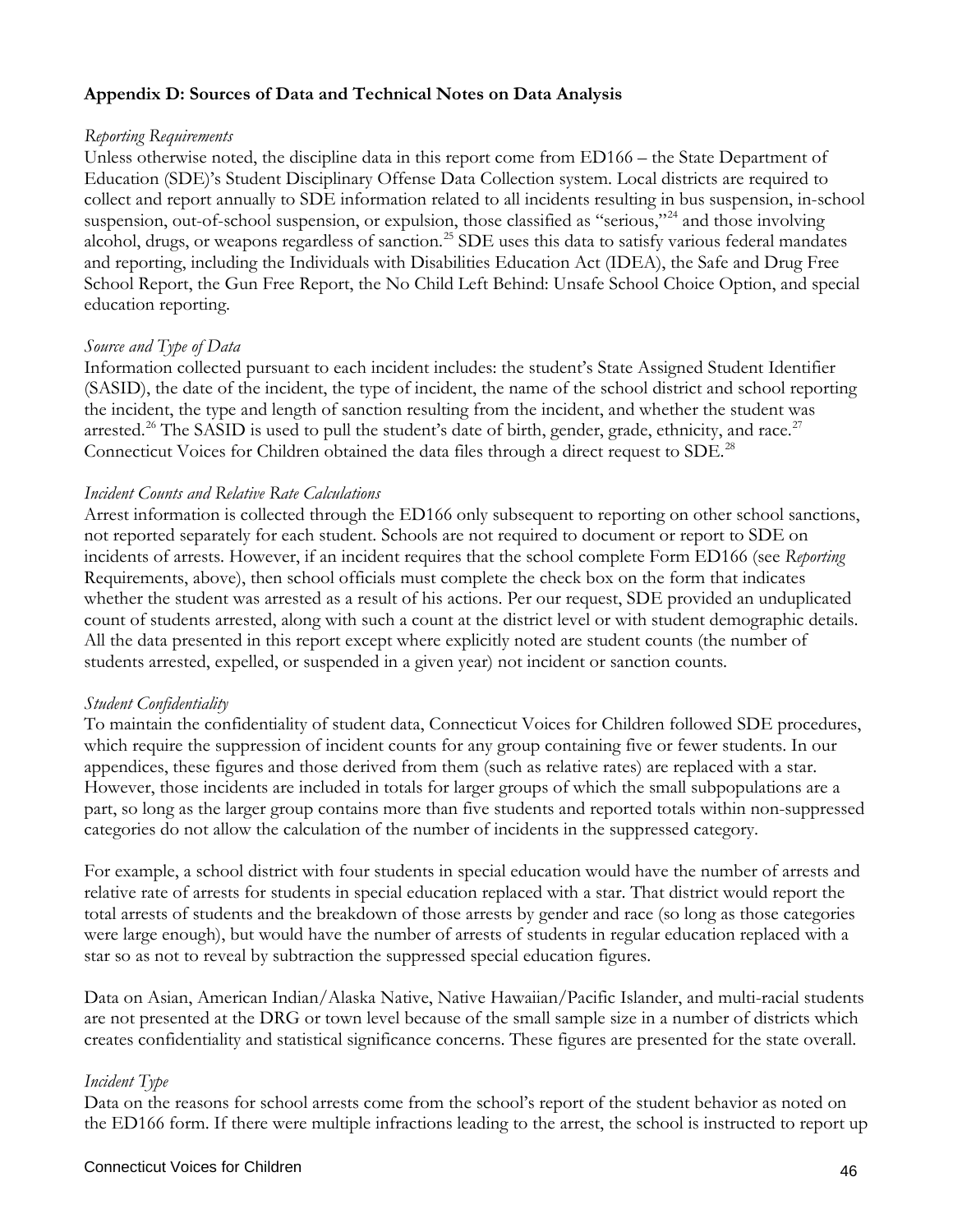#### **Appendix D: Sources of Data and Technical Notes on Data Analysis**

#### *Reporting Requirements*

Unless otherwise noted, the discipline data in this report come from ED166 – the State Department of Education (SDE)'s Student Disciplinary Offense Data Collection system. Local districts are required to collect and report annually to SDE information related to all incidents resulting in bus suspension, in-school suspension, out-of-school suspension, or expulsion, those classified as "serious,"<sup>[24](#page-51-18)</sup> and those involving alcohol, drugs, or weapons regardless of sanction.<sup>[25](#page-51-19)</sup> SDE uses this data to satisfy various federal mandates and reporting, including the Individuals with Disabilities Education Act (IDEA), the Safe and Drug Free School Report, the Gun Free Report, the No Child Left Behind: Unsafe School Choice Option, and special education reporting.

#### *Source and Type of Data*

Information collected pursuant to each incident includes: the student's State Assigned Student Identifier (SASID), the date of the incident, the type of incident, the name of the school district and school reporting the incident, the type and length of sanction resulting from the incident, and whether the student was arrested.<sup>[26](#page-51-20)</sup> The SASID is used to pull the student's date of birth, gender, grade, ethnicity, and race.<sup>[27](#page-51-21)</sup> Connecticut Voices for Children obtained the data files through a direct request to SDE.<sup>[28](#page-51-22)</sup>

#### *Incident Counts and Relative Rate Calculations*

Arrest information is collected through the ED166 only subsequent to reporting on other school sanctions, not reported separately for each student. Schools are not required to document or report to SDE on incidents of arrests. However, if an incident requires that the school complete Form ED166 (see *Reporting*  Requirements, above), then school officials must complete the check box on the form that indicates whether the student was arrested as a result of his actions. Per our request, SDE provided an unduplicated count of students arrested, along with such a count at the district level or with student demographic details. All the data presented in this report except where explicitly noted are student counts (the number of students arrested, expelled, or suspended in a given year) not incident or sanction counts.

#### *Student Confidentiality*

To maintain the confidentiality of student data, Connecticut Voices for Children followed SDE procedures, which require the suppression of incident counts for any group containing five or fewer students. In our appendices, these figures and those derived from them (such as relative rates) are replaced with a star. However, those incidents are included in totals for larger groups of which the small subpopulations are a part, so long as the larger group contains more than five students and reported totals within non-suppressed categories do not allow the calculation of the number of incidents in the suppressed category.

For example, a school district with four students in special education would have the number of arrests and relative rate of arrests for students in special education replaced with a star. That district would report the total arrests of students and the breakdown of those arrests by gender and race (so long as those categories were large enough), but would have the number of arrests of students in regular education replaced with a star so as not to reveal by subtraction the suppressed special education figures.

Data on Asian, American Indian/Alaska Native, Native Hawaiian/Pacific Islander, and multi-racial students are not presented at the DRG or town level because of the small sample size in a number of districts which creates confidentiality and statistical significance concerns. These figures are presented for the state overall.

#### *Incident Type*

Data on the reasons for school arrests come from the school's report of the student behavior as noted on the ED166 form. If there were multiple infractions leading to the arrest, the school is instructed to report up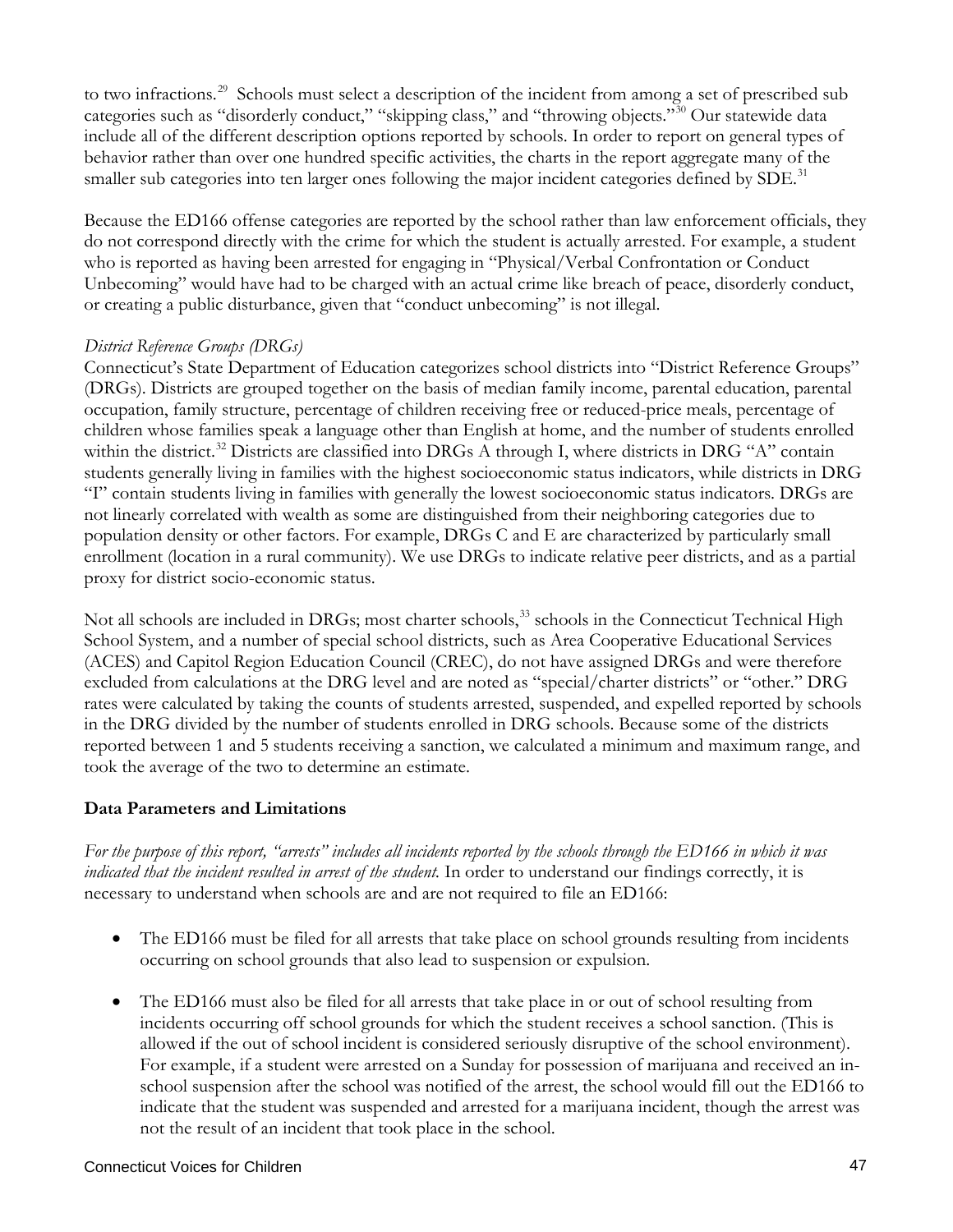to two infractions.<sup>[29](#page-51-23)</sup> Schools must select a description of the incident from among a set of prescribed sub categories such as "disorderly conduct," "skipping class," and "throwing objects."[30](#page-51-24) Our statewide data include all of the different description options reported by schools. In order to report on general types of behavior rather than over one hundred specific activities, the charts in the report aggregate many of the smaller sub categories into ten larger ones following the major incident categories defined by SDE.<sup>[31](#page-51-25)</sup>

Because the ED166 offense categories are reported by the school rather than law enforcement officials, they do not correspond directly with the crime for which the student is actually arrested. For example, a student who is reported as having been arrested for engaging in "Physical/Verbal Confrontation or Conduct Unbecoming" would have had to be charged with an actual crime like breach of peace, disorderly conduct, or creating a public disturbance, given that "conduct unbecoming" is not illegal.

#### *District Reference Groups (DRGs)*

Connecticut's State Department of Education categorizes school districts into "District Reference Groups" (DRGs). Districts are grouped together on the basis of median family income, parental education, parental occupation, family structure, percentage of children receiving free or reduced-price meals, percentage of children whose families speak a language other than English at home, and the number of students enrolled within the district.<sup>[32](#page-51-26)</sup> Districts are classified into DRGs A through I, where districts in DRG "A" contain students generally living in families with the highest socioeconomic status indicators, while districts in DRG "I" contain students living in families with generally the lowest socioeconomic status indicators. DRGs are not linearly correlated with wealth as some are distinguished from their neighboring categories due to population density or other factors. For example, DRGs C and E are characterized by particularly small enrollment (location in a rural community). We use DRGs to indicate relative peer districts, and as a partial proxy for district socio-economic status.

Not all schools are included in DRGs; most charter schools,<sup>[33](#page-51-27)</sup> schools in the Connecticut Technical High School System, and a number of special school districts, such as Area Cooperative Educational Services (ACES) and Capitol Region Education Council (CREC), do not have assigned DRGs and were therefore excluded from calculations at the DRG level and are noted as "special/charter districts" or "other." DRG rates were calculated by taking the counts of students arrested, suspended, and expelled reported by schools in the DRG divided by the number of students enrolled in DRG schools. Because some of the districts reported between 1 and 5 students receiving a sanction, we calculated a minimum and maximum range, and took the average of the two to determine an estimate.

#### **Data Parameters and Limitations**

*For the purpose of this report, "arrests" includes all incidents reported by the schools through the ED166 in which it was indicated that the incident resulted in arrest of the student.* In order to understand our findings correctly, it is necessary to understand when schools are and are not required to file an ED166:

- The ED166 must be filed for all arrests that take place on school grounds resulting from incidents occurring on school grounds that also lead to suspension or expulsion.
- The ED166 must also be filed for all arrests that take place in or out of school resulting from incidents occurring off school grounds for which the student receives a school sanction. (This is allowed if the out of school incident is considered seriously disruptive of the school environment). For example, if a student were arrested on a Sunday for possession of marijuana and received an inschool suspension after the school was notified of the arrest, the school would fill out the ED166 to indicate that the student was suspended and arrested for a marijuana incident, though the arrest was not the result of an incident that took place in the school.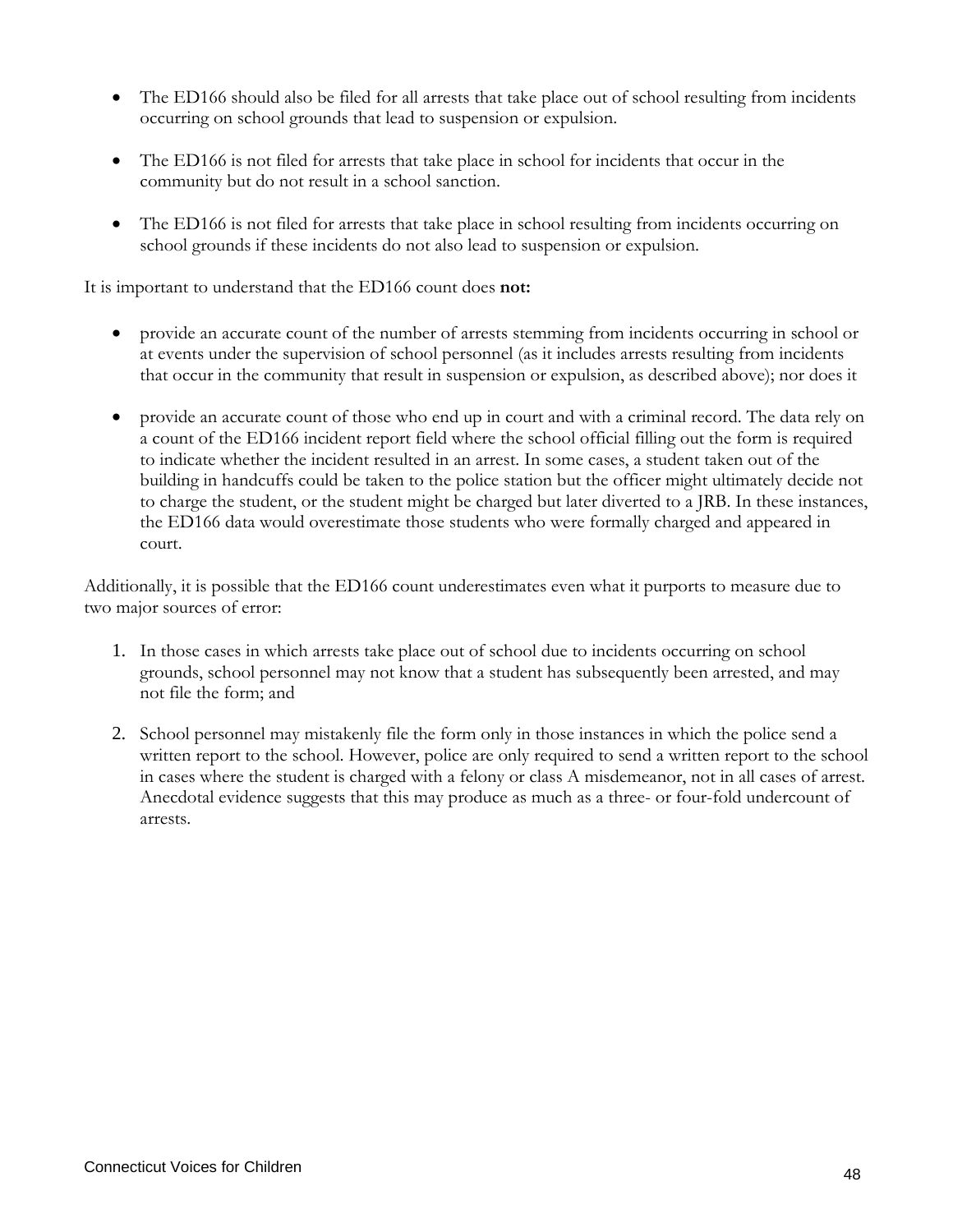- The ED166 should also be filed for all arrests that take place out of school resulting from incidents occurring on school grounds that lead to suspension or expulsion.
- The ED166 is not filed for arrests that take place in school for incidents that occur in the community but do not result in a school sanction.
- The ED166 is not filed for arrests that take place in school resulting from incidents occurring on school grounds if these incidents do not also lead to suspension or expulsion.

It is important to understand that the ED166 count does **not:**

- provide an accurate count of the number of arrests stemming from incidents occurring in school or at events under the supervision of school personnel (as it includes arrests resulting from incidents that occur in the community that result in suspension or expulsion, as described above); nor does it
- provide an accurate count of those who end up in court and with a criminal record. The data rely on a count of the ED166 incident report field where the school official filling out the form is required to indicate whether the incident resulted in an arrest. In some cases, a student taken out of the building in handcuffs could be taken to the police station but the officer might ultimately decide not to charge the student, or the student might be charged but later diverted to a JRB. In these instances, the ED166 data would overestimate those students who were formally charged and appeared in court.

Additionally, it is possible that the ED166 count underestimates even what it purports to measure due to two major sources of error:

- 1. In those cases in which arrests take place out of school due to incidents occurring on school grounds, school personnel may not know that a student has subsequently been arrested, and may not file the form; and
- 2. School personnel may mistakenly file the form only in those instances in which the police send a written report to the school. However, police are only required to send a written report to the school in cases where the student is charged with a felony or class A misdemeanor, not in all cases of arrest. Anecdotal evidence suggests that this may produce as much as a three- or four-fold undercount of arrests.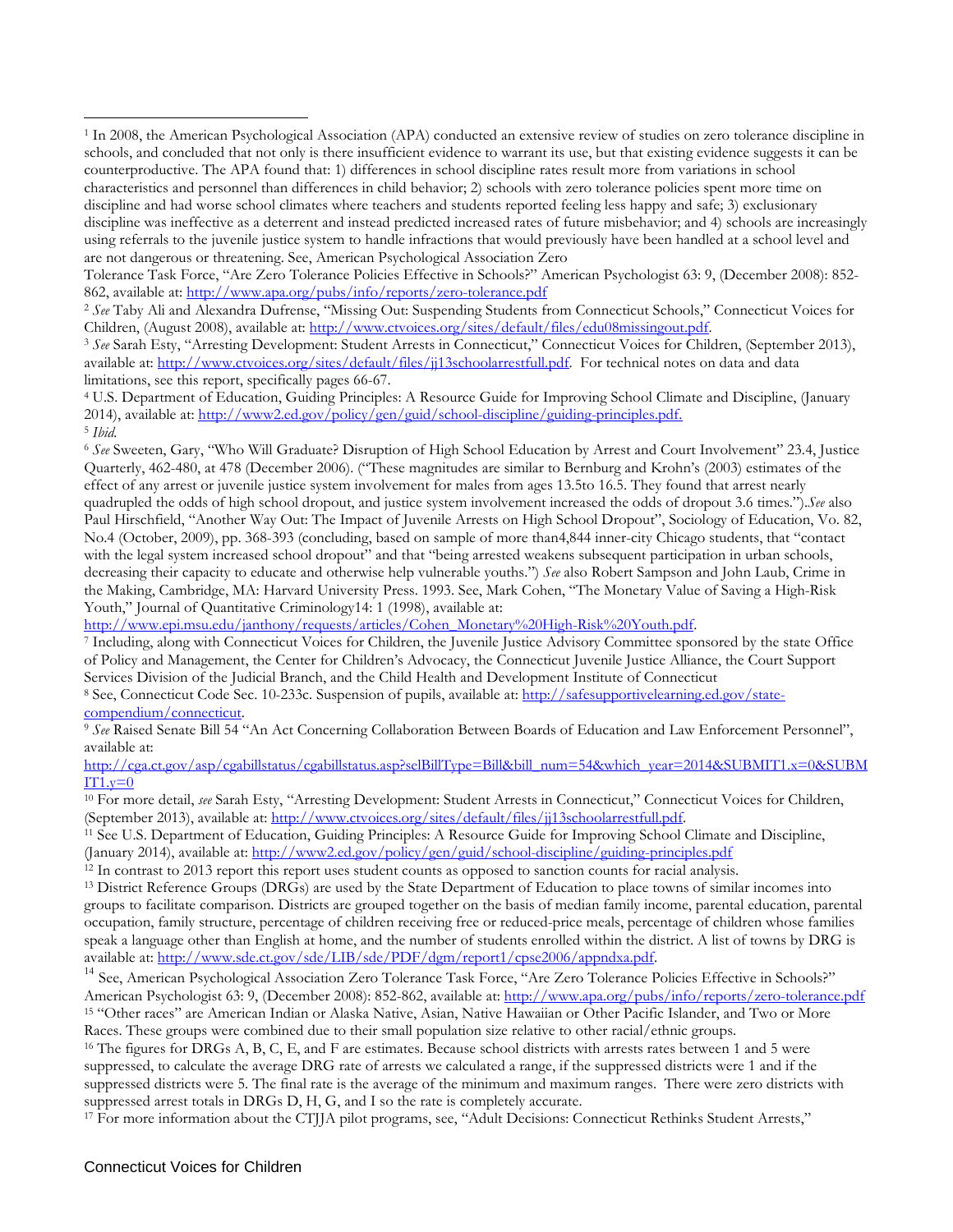<span id="page-50-2"></span>Children, (August 2008), available at: http://www.ctvoices.org/sites/default/files/edu08missingout.pdf.<br><sup>3</sup> See Sarah Esty, "Arresting Development: Student Arrests in Connecticut," Connecticut Voices for Children, (Septemb available at: [http://www.ctvoices.org/sites/default/files/jj13schoolarrestfull.pdf.](http://www.ctvoices.org/sites/default/files/jj13schoolarrestfull.pdf) For technical notes on data and data limitations, see this report, specifically pages 66-67.

<span id="page-50-3"></span><sup>4</sup> U.S. Department of Education, Guiding Principles: A Resource Guide for Improving School Climate and Discipline, (January 2014), available at: [http://www2.ed.gov/policy/gen/guid/school-discipline/guiding-principles.pdf.](http://www2.ed.gov/policy/gen/guid/school-discipline/guiding-principles.pdf) <sup>5</sup> *Ibid.*

<span id="page-50-4"></span><sup>6</sup> *See* Sweeten, Gary, "Who Will Graduate? Disruption of High School Education by Arrest and Court Involvement" 23.4, Justice Quarterly, 462-480, at 478 (December 2006). ("These magnitudes are similar to Bernburg and Krohn's (2003) estimates of the effect of any arrest or juvenile justice system involvement for males from ages 13.5to 16.5. They found that arrest nearly quadrupled the odds of high school dropout, and justice system involvement increased the odds of dropout 3.6 times.").*See* also Paul Hirschfield, "Another Way Out: The Impact of Juvenile Arrests on High School Dropout", Sociology of Education, Vo. 82, No.4 (October, 2009), pp. 368-393 (concluding, based on sample of more than4,844 inner-city Chicago students, that "contact with the legal system increased school dropout" and that "being arrested weakens subsequent participation in urban schools, decreasing their capacity to educate and otherwise help vulnerable youths.") *See* also Robert Sampson and John Laub, Crime in the Making, Cambridge, MA: Harvard University Press. 1993. See, Mark Cohen, "The Monetary Value of Saving a High-Risk Youth," Journal of Quantitative Criminology14: 1 (1998), available at:<br>http://www.epi.msu.edu/janthony/requests/articles/Cohen\_Monetary%20High-Risk%20Youth.pdf.

<sup>7</sup> Including, along with Connecticut Voices for Children, the Juvenile Justice Advisory Committee sponsored by the state Office of Policy and Management, the Center for Children's Advocacy, the Connecticut Juvenile Justice Alliance, the Court Support Services Division of the Judicial Branch, and the Child Health and Development Institute of Connecticut

8 See, Connecticut Code Sec. 10-233c. Suspension of pupils, available at[: http://safesupportivelearning.ed.gov/state](http://safesupportivelearning.ed.gov/state-compendium/connecticut)[compendium/connecticut.](http://safesupportivelearning.ed.gov/state-compendium/connecticut)

<sup>9</sup> *See* Raised Senate Bill 54 "An Act Concerning Collaboration Between Boards of Education and Law Enforcement Personnel", available at:

[http://cga.ct.gov/asp/cgabillstatus/cgabillstatus.asp?selBillType=Bill&bill\\_num=54&which\\_year=2014&SUBMIT1.x=0&SUBM](http://cga.ct.gov/asp/cgabillstatus/cgabillstatus.asp?selBillType=Bill&bill_num=54&which_year=2014&SUBMIT1.x=0&SUBMIT1.y=0)  $IT1.y=0$ 

<sup>10</sup> For more detail, *see* Sarah Esty, "Arresting Development: Student Arrests in Connecticut," Connecticut Voices for Children, (September 2013), available at: [http://www.ctvoices.org/sites/default/files/jj13schoolarrestfull.pdf.](http://www.ctvoices.org/sites/default/files/jj13schoolarrestfull.pdf)<br><sup>11</sup> See U.S. Department of Education, Guiding Principles: A Resource Guide for Improving School Climate and Discipline,

(January 2014), available at:<http://www2.ed.gov/policy/gen/guid/school-discipline/guiding-principles.pdf>

 $12$  In contrast to 2013 report this report uses student counts as opposed to sanction counts for racial analysis.

<sup>13</sup> District Reference Groups (DRGs) are used by the State Department of Education to place towns of similar incomes into groups to facilitate comparison. Districts are grouped together on the basis of median family income, parental education, parental occupation, family structure, percentage of children receiving free or reduced-price meals, percentage of children whose families speak a language other than English at home, and the number of students enrolled within the district. A list of towns by DRG is available at: [http://www.sde.ct.gov/sde/LIB/sde/PDF/dgm/report1/cpse2006/appndxa.pdf.](http://www.sde.ct.gov/sde/LIB/sde/PDF/dgm/report1/cpse2006/appndxa.pdf)

<sup>14</sup> See, American Psychological Association Zero Tolerance Task Force, "Are Zero Tolerance Policies Effective in Schools?" American Psychologist 63: 9, (December 2008): 852-862, available at:<http://www.apa.org/pubs/info/reports/zero-tolerance.pdf> <sup>15</sup> "Other races" are American Indian or Alaska Native, Asian, Native Hawaiian or Other Pacific Islander, and Two or More Races. These groups were combined due to their small population size relative to other racial/ethnic groups.

<sup>16</sup> The figures for DRGs A, B, C, E, and F are estimates. Because school districts with arrests rates between 1 and 5 were suppressed, to calculate the average DRG rate of arrests we calculated a range, if the suppressed districts were 1 and if the suppressed districts were 5. The final rate is the average of the minimum and maximum ranges. There were zero districts with suppressed arrest totals in DRGs D, H, G, and I so the rate is completely accurate. 17 For more information about the CTJJA pilot programs, see, "Adult Decisions: Connecticut Rethinks Student Arrests,"

 $\overline{a}$ 

<span id="page-50-0"></span><sup>1</sup> In 2008, the American Psychological Association (APA) conducted an extensive review of studies on zero tolerance discipline in schools, and concluded that not only is there insufficient evidence to warrant its use, but that existing evidence suggests it can be counterproductive. The APA found that: 1) differences in school discipline rates result more from variations in school characteristics and personnel than differences in child behavior; 2) schools with zero tolerance policies spent more time on discipline and had worse school climates where teachers and students reported feeling less happy and safe; 3) exclusionary discipline was ineffective as a deterrent and instead predicted increased rates of future misbehavior; and 4) schools are increasingly using referrals to the juvenile justice system to handle infractions that would previously have been handled at a school level and are not dangerous or threatening. See, American Psychological Association Zero

Tolerance Task Force, "Are Zero Tolerance Policies Effective in Schools?" American Psychologist 63: 9, (December 2008): 852- 862, available at:<http://www.apa.org/pubs/info/reports/zero-tolerance.pdf>

<span id="page-50-1"></span><sup>2</sup> *See* Taby Ali and Alexandra Dufrense, "Missing Out: Suspending Students from Connecticut Schools," Connecticut Voices for